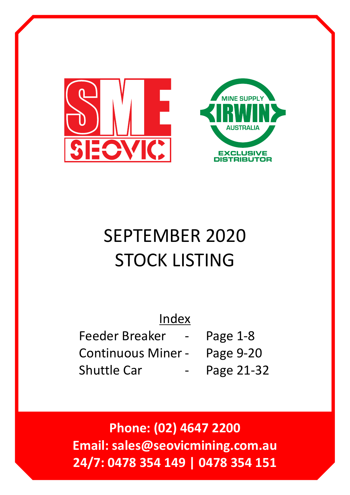



## SEPTEMBER 2020 STOCK LISTING

| Index                     |            |
|---------------------------|------------|
| Feeder Breaker -          | Page $1-8$ |
| <b>Continuous Miner -</b> | Page 9-20  |
| <b>Shuttle Car</b>        | Page 21-32 |

**Phone: (02) 4647 2200 Email: sales@seovicmining.com.au 24/7: 0478 354 149 | 0478 354 151**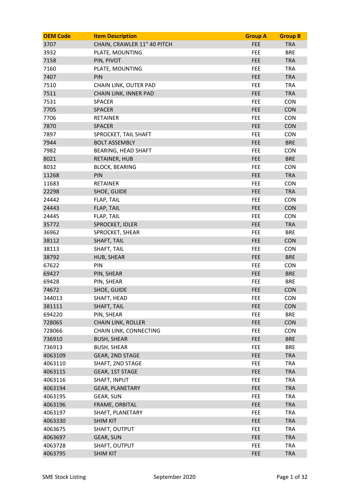| <b>OEM Code</b> | <b>Item Description</b>     | <b>Group A</b> | <b>Group B</b> |
|-----------------|-----------------------------|----------------|----------------|
| 3707            | CHAIN, CRAWLER 11" 40 PITCH | <b>FEE</b>     | <b>TRA</b>     |
| 3932            | PLATE, MOUNTING             | FEE            | <b>BRE</b>     |
| 7158            | PIN, PIVOT                  | <b>FEE</b>     | <b>TRA</b>     |
| 7160            | PLATE, MOUNTING             | <b>FEE</b>     | <b>TRA</b>     |
| 7407            | PIN                         | <b>FEE</b>     | <b>TRA</b>     |
| 7510            | CHAIN LINK, OUTER PAD       | <b>FEE</b>     | <b>TRA</b>     |
| 7511            | CHAIN LINK, INNER PAD       | <b>FEE</b>     | <b>TRA</b>     |
| 7531            | <b>SPACER</b>               | FEE            | <b>CON</b>     |
| 7705            | <b>SPACER</b>               | <b>FEE</b>     | <b>CON</b>     |
| 7706            | <b>RETAINER</b>             | <b>FEE</b>     | <b>CON</b>     |
| 7870            | <b>SPACER</b>               | <b>FEE</b>     | <b>CON</b>     |
| 7897            | SPROCKET, TAIL SHAFT        | FEE            | <b>CON</b>     |
| 7944            | <b>BOLT ASSEMBLY</b>        | <b>FEE</b>     | <b>BRE</b>     |
| 7982            | <b>BEARING, HEAD SHAFT</b>  | <b>FEE</b>     | <b>CON</b>     |
| 8021            | RETAINER, HUB               | <b>FEE</b>     | <b>BRE</b>     |
| 8032            | <b>BLOCK, BEARING</b>       | FEE            | <b>CON</b>     |
| 11268           | <b>PIN</b>                  | <b>FEE</b>     | <b>TRA</b>     |
| 11683           | <b>RETAINER</b>             | FEE            | <b>CON</b>     |
| 22298           | SHOE, GUIDE                 | FEE            | <b>TRA</b>     |
| 24442           | FLAP, TAIL                  | <b>FEE</b>     | <b>CON</b>     |
| 24443           | <b>FLAP, TAIL</b>           | <b>FEE</b>     | <b>CON</b>     |
| 24445           | FLAP, TAIL                  | <b>FEE</b>     | <b>CON</b>     |
| 35772           | SPROCKET, IDLER             | <b>FEE</b>     | <b>TRA</b>     |
| 36962           | SPROCKET, SHEAR             | <b>FEE</b>     | <b>BRE</b>     |
| 38112           | <b>SHAFT, TAIL</b>          | <b>FEE</b>     | <b>CON</b>     |
| 38113           | SHAFT, TAIL                 | FEE            | <b>CON</b>     |
| 38792           | HUB, SHEAR                  | <b>FEE</b>     | <b>BRE</b>     |
| 67622           | PIN                         | <b>FEE</b>     | <b>CON</b>     |
| 69427           | PIN, SHEAR                  | <b>FEE</b>     | <b>BRE</b>     |
| 69428           | PIN, SHEAR                  | FEE            | <b>BRE</b>     |
| 74672           | SHOE, GUIDE                 | <b>FEE</b>     | <b>CON</b>     |
| 344013          | SHAFT, HEAD                 | <b>FEE</b>     | <b>CON</b>     |
| 381111          | <b>SHAFT, TAIL</b>          | <b>FEE</b>     | <b>CON</b>     |
| 694220          | PIN, SHEAR                  | FEE            | <b>BRE</b>     |
| 728065          | <b>CHAIN LINK, ROLLER</b>   | <b>FEE</b>     | <b>CON</b>     |
| 728066          | CHAIN LINK, CONNECTING      | <b>FEE</b>     | <b>CON</b>     |
| 736910          | <b>BUSH, SHEAR</b>          | <b>FEE</b>     | <b>BRE</b>     |
| 736913          | <b>BUSH, SHEAR</b>          | <b>FEE</b>     | <b>BRE</b>     |
| 4063109         | <b>GEAR, 2ND STAGE</b>      | <b>FEE</b>     | <b>TRA</b>     |
| 4063110         | SHAFT, 2ND STAGE            | FEE            | <b>TRA</b>     |
| 4063115         | GEAR, 1ST STAGE             | <b>FEE</b>     | <b>TRA</b>     |
| 4063116         | SHAFT, INPUT                | <b>FEE</b>     | <b>TRA</b>     |
| 4063194         | <b>GEAR, PLANETARY</b>      | <b>FEE</b>     | <b>TRA</b>     |
| 4063195         | GEAR, SUN                   | <b>FEE</b>     | <b>TRA</b>     |
| 4063196         | FRAME, ORBITAL              | <b>FEE</b>     | <b>TRA</b>     |
| 4063197         | SHAFT, PLANETARY            | FEE            | <b>TRA</b>     |
| 4063330         | <b>SHIM KIT</b>             | FEE            | <b>TRA</b>     |
| 4063675         | SHAFT, OUTPUT               | <b>FEE</b>     | <b>TRA</b>     |
| 4063697         | GEAR, SUN                   | <b>FEE</b>     | <b>TRA</b>     |
| 4063728         | SHAFT, OUTPUT               | <b>FEE</b>     | <b>TRA</b>     |
| 4063795         | <b>SHIM KIT</b>             | <b>FEE</b>     | <b>TRA</b>     |
|                 |                             |                |                |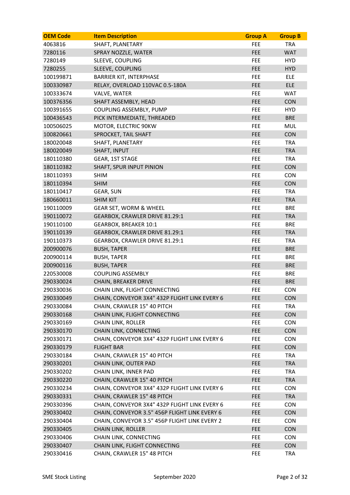| <b>OEM Code</b> | <b>Item Description</b>                       | <b>Group A</b> | <b>Group B</b> |
|-----------------|-----------------------------------------------|----------------|----------------|
| 4063816         | SHAFT, PLANETARY                              | FEE            | <b>TRA</b>     |
| 7280116         | SPRAY NOZZLE, WATER                           | <b>FEE</b>     | <b>WAT</b>     |
| 7280149         | SLEEVE, COUPLING                              | FEE            | <b>HYD</b>     |
| 7280255         | SLEEVE, COUPLING                              | <b>FEE</b>     | <b>HYD</b>     |
| 100199871       | <b>BARRIER KIT, INTERPHASE</b>                | <b>FEE</b>     | ELE            |
| 100330987       | RELAY, OVERLOAD 110VAC 0.5-180A               | <b>FEE</b>     | <b>ELE</b>     |
| 100333674       | VALVE, WATER                                  | <b>FEE</b>     | <b>WAT</b>     |
| 100376356       | SHAFT ASSEMBLY, HEAD                          | <b>FEE</b>     | <b>CON</b>     |
| 100391655       | COUPLING ASSEMBLY, PUMP                       | <b>FEE</b>     | <b>HYD</b>     |
| 100436543       | PICK INTERMEDIATE, THREADED                   | <b>FEE</b>     | <b>BRE</b>     |
| 100506025       | MOTOR, ELECTRIC 90KW                          | <b>FEE</b>     | <b>MUL</b>     |
| 100820661       | SPROCKET, TAIL SHAFT                          | <b>FEE</b>     | <b>CON</b>     |
| 180020048       | SHAFT, PLANETARY                              | <b>FEE</b>     | <b>TRA</b>     |
| 180020049       | SHAFT, INPUT                                  | <b>FEE</b>     | <b>TRA</b>     |
| 180110380       | GEAR, 1ST STAGE                               | FEE            | <b>TRA</b>     |
| 180110382       | SHAFT, SPUR INPUT PINION                      | <b>FEE</b>     | <b>CON</b>     |
| 180110393       | <b>SHIM</b>                                   | <b>FEE</b>     | <b>CON</b>     |
| 180110394       | <b>SHIM</b>                                   | <b>FEE</b>     | <b>CON</b>     |
| 180110417       | GEAR, SUN                                     | <b>FEE</b>     | <b>TRA</b>     |
| 180660011       | <b>SHIM KIT</b>                               | <b>FEE</b>     | <b>TRA</b>     |
| 190110009       | GEAR SET, WORM & WHEEL                        | FEE            | <b>BRE</b>     |
| 190110072       | GEARBOX, CRAWLER DRIVE 81.29:1                | <b>FEE</b>     | <b>TRA</b>     |
| 190110100       | <b>GEARBOX, BREAKER 10:1</b>                  | <b>FEE</b>     | <b>BRE</b>     |
| 190110139       | GEARBOX, CRAWLER DRIVE 81.29:1                | <b>FEE</b>     | <b>TRA</b>     |
| 190110373       | GEARBOX, CRAWLER DRIVE 81.29:1                | <b>FEE</b>     | <b>TRA</b>     |
| 200900076       | <b>BUSH, TAPER</b>                            | <b>FEE</b>     | <b>BRE</b>     |
| 200900114       | <b>BUSH, TAPER</b>                            | FEE            | <b>BRE</b>     |
| 200900116       | <b>BUSH, TAPER</b>                            | <b>FEE</b>     | <b>BRE</b>     |
| 220530008       | <b>COUPLING ASSEMBLY</b>                      | FEE            | <b>BRE</b>     |
| 290330024       | <b>CHAIN, BREAKER DRIVE</b>                   | <b>FEE</b>     | <b>BRE</b>     |
| 290330036       | CHAIN LINK, FLIGHT CONNECTING                 | FEE            | <b>CON</b>     |
| 290330049       | CHAIN, CONVEYOR 3X4" 432P FLIGHT LINK EVERY 6 | <b>FEE</b>     | CON            |
| 290330084       | CHAIN, CRAWLER 15" 40 PITCH                   | FEE            | <b>TRA</b>     |
| 290330168       | CHAIN LINK, FLIGHT CONNECTING                 | <b>FEE</b>     | <b>CON</b>     |
| 290330169       | <b>CHAIN LINK, ROLLER</b>                     | FEE.           | <b>CON</b>     |
| 290330170       | CHAIN LINK, CONNECTING                        | <b>FEE</b>     | <b>CON</b>     |
| 290330171       | CHAIN, CONVEYOR 3X4" 432P FLIGHT LINK EVERY 6 | FEE            | <b>CON</b>     |
| 290330179       | <b>FLIGHT BAR</b>                             | <b>FEE</b>     | <b>CON</b>     |
| 290330184       | CHAIN, CRAWLER 15" 40 PITCH                   | FEE.           | <b>TRA</b>     |
| 290330201       | CHAIN LINK, OUTER PAD                         | <b>FEE</b>     | <b>TRA</b>     |
| 290330202       | CHAIN LINK, INNER PAD                         | FEE.           | <b>TRA</b>     |
| 290330220       | CHAIN, CRAWLER 15" 40 PITCH                   | <b>FEE</b>     | <b>TRA</b>     |
| 290330234       | CHAIN, CONVEYOR 3X4" 432P FLIGHT LINK EVERY 6 | FEE            | <b>CON</b>     |
| 290330331       | CHAIN, CRAWLER 15" 48 PITCH                   | <b>FEE</b>     | <b>TRA</b>     |
| 290330396       | CHAIN, CONVEYOR 3X4" 432P FLIGHT LINK EVERY 6 | <b>FEE</b>     | <b>CON</b>     |
| 290330402       | CHAIN, CONVEYOR 3.5" 456P FLIGHT LINK EVERY 6 | <b>FEE</b>     | <b>CON</b>     |
| 290330404       | CHAIN, CONVEYOR 3.5" 456P FLIGHT LINK EVERY 2 | FEE.           | <b>CON</b>     |
| 290330405       | <b>CHAIN LINK, ROLLER</b>                     | <b>FEE</b>     | <b>CON</b>     |
| 290330406       | CHAIN LINK, CONNECTING                        | FEE            | <b>CON</b>     |
| 290330407       | CHAIN LINK, FLIGHT CONNECTING                 | <b>FEE</b>     | <b>CON</b>     |
| 290330416       | CHAIN, CRAWLER 15" 48 PITCH                   | <b>FEE</b>     | <b>TRA</b>     |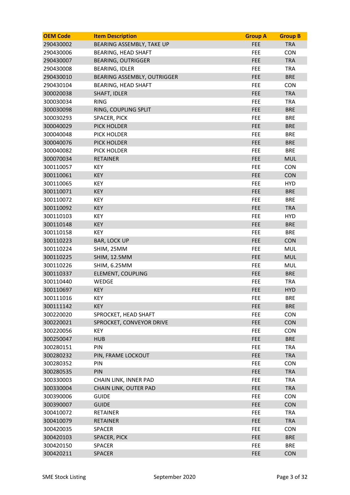| <b>OEM Code</b> | <b>Item Description</b>     | <b>Group A</b> | <b>Group B</b> |
|-----------------|-----------------------------|----------------|----------------|
| 290430002       | BEARING ASSEMBLY, TAKE UP   | <b>FEE</b>     | <b>TRA</b>     |
| 290430006       | <b>BEARING, HEAD SHAFT</b>  | FEE            | <b>CON</b>     |
| 290430007       | <b>BEARING, OUTRIGGER</b>   | <b>FEE</b>     | <b>TRA</b>     |
| 290430008       | <b>BEARING, IDLER</b>       | FEE            | <b>TRA</b>     |
| 290430010       | BEARING ASSEMBLY, OUTRIGGER | <b>FEE</b>     | <b>BRE</b>     |
| 290430104       | <b>BEARING, HEAD SHAFT</b>  | FEE            | <b>CON</b>     |
| 300020038       | <b>SHAFT, IDLER</b>         | <b>FEE</b>     | <b>TRA</b>     |
| 300030034       | <b>RING</b>                 | FEE            | <b>TRA</b>     |
| 300030098       | RING, COUPLING SPLIT        | <b>FEE</b>     | <b>BRE</b>     |
| 300030293       | SPACER, PICK                | FEE            | <b>BRE</b>     |
| 300040029       | <b>PICK HOLDER</b>          | <b>FEE</b>     | <b>BRE</b>     |
| 300040048       | PICK HOLDER                 | FEE            | <b>BRE</b>     |
| 300040076       | <b>PICK HOLDER</b>          | <b>FEE</b>     | <b>BRE</b>     |
| 300040082       | PICK HOLDER                 | FEE            | <b>BRE</b>     |
| 300070034       | <b>RETAINER</b>             | FEE            | <b>MUL</b>     |
| 300110057       | <b>KEY</b>                  | FEE            | <b>CON</b>     |
| 300110061       | <b>KEY</b>                  | <b>FEE</b>     | <b>CON</b>     |
| 300110065       | <b>KEY</b>                  | FEE            | <b>HYD</b>     |
| 300110071       | <b>KEY</b>                  | <b>FEE</b>     | <b>BRE</b>     |
| 300110072       | <b>KEY</b>                  | FEE            | <b>BRE</b>     |
| 300110092       | <b>KEY</b>                  | FEE            | <b>TRA</b>     |
| 300110103       | <b>KEY</b>                  | FEE            | <b>HYD</b>     |
| 300110148       | <b>KEY</b>                  | <b>FEE</b>     | <b>BRE</b>     |
| 300110158       | <b>KEY</b>                  | FEE            | <b>BRE</b>     |
| 300110223       | <b>BAR, LOCK UP</b>         | <b>FEE</b>     | <b>CON</b>     |
| 300110224       | SHIM, 25MM                  | FEE            | MUL            |
| 300110225       | <b>SHIM, 12.5MM</b>         | <b>FEE</b>     | <b>MUL</b>     |
| 300110226       | <b>SHIM, 6.25MM</b>         | FEE            | <b>MUL</b>     |
| 300110337       | <b>ELEMENT, COUPLING</b>    | <b>FEE</b>     | <b>BRE</b>     |
| 300110440       | WEDGE                       | FEE            | <b>TRA</b>     |
| 300110697       | <b>KEY</b>                  | <b>FEE</b>     | <b>HYD</b>     |
| 300111016       | <b>KEY</b>                  | FEE            | <b>BRE</b>     |
| 300111142       | <b>KEY</b>                  | <b>FEE</b>     | <b>BRE</b>     |
| 300220020       | SPROCKET, HEAD SHAFT        | FEE            | <b>CON</b>     |
| 300220021       | SPROCKET, CONVEYOR DRIVE    | <b>FEE</b>     | <b>CON</b>     |
| 300220056       | <b>KEY</b>                  | FEE            | <b>CON</b>     |
| 300250047       | <b>HUB</b>                  | FEE            | <b>BRE</b>     |
| 300280151       | <b>PIN</b>                  | <b>FEE</b>     | <b>TRA</b>     |
| 300280232       | PIN, FRAME LOCKOUT          | <b>FEE</b>     | <b>TRA</b>     |
| 300280352       | PIN                         | FEE            | <b>CON</b>     |
| 300280535       | PIN                         | <b>FEE</b>     | <b>TRA</b>     |
| 300330003       | CHAIN LINK, INNER PAD       | <b>FEE</b>     | <b>TRA</b>     |
| 300330004       | CHAIN LINK, OUTER PAD       | FEE            | <b>TRA</b>     |
| 300390006       | <b>GUIDE</b>                | <b>FEE</b>     | <b>CON</b>     |
| 300390007       | <b>GUIDE</b>                | <b>FEE</b>     | <b>CON</b>     |
| 300410072       | <b>RETAINER</b>             | FEE            | <b>TRA</b>     |
| 300410079       | <b>RETAINER</b>             | FEE            | <b>TRA</b>     |
| 300420035       | <b>SPACER</b>               | <b>FEE</b>     | <b>CON</b>     |
| 300420103       | SPACER, PICK                | <b>FEE</b>     | <b>BRE</b>     |
| 300420150       | <b>SPACER</b>               | <b>FEE</b>     | <b>BRE</b>     |
| 300420211       | <b>SPACER</b>               | <b>FEE</b>     | <b>CON</b>     |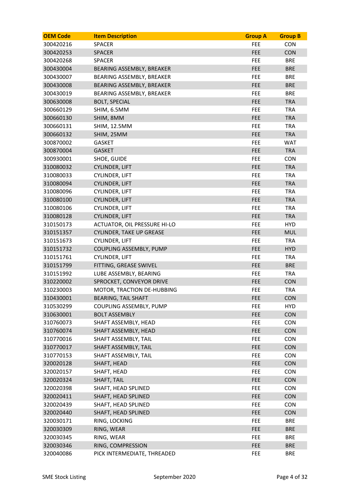| <b>OEM Code</b> | <b>Item Description</b>         | <b>Group A</b> | <b>Group B</b> |
|-----------------|---------------------------------|----------------|----------------|
| 300420216       | <b>SPACER</b>                   | FEE            | <b>CON</b>     |
| 300420253       | <b>SPACER</b>                   | <b>FEE</b>     | <b>CON</b>     |
| 300420268       | <b>SPACER</b>                   | FEE            | <b>BRE</b>     |
| 300430004       | BEARING ASSEMBLY, BREAKER       | <b>FEE</b>     | <b>BRE</b>     |
| 300430007       | BEARING ASSEMBLY, BREAKER       | <b>FEE</b>     | <b>BRE</b>     |
| 300430008       | BEARING ASSEMBLY, BREAKER       | <b>FEE</b>     | <b>BRE</b>     |
| 300430019       | BEARING ASSEMBLY, BREAKER       | <b>FEE</b>     | <b>BRE</b>     |
| 300630008       | <b>BOLT, SPECIAL</b>            | <b>FEE</b>     | <b>TRA</b>     |
| 300660129       | SHIM, 6.5MM                     | FEE            | <b>TRA</b>     |
| 300660130       | SHIM, 8MM                       | <b>FEE</b>     | <b>TRA</b>     |
| 300660131       | <b>SHIM, 12.5MM</b>             | <b>FEE</b>     | <b>TRA</b>     |
| 300660132       | SHIM, 25MM                      | <b>FEE</b>     | <b>TRA</b>     |
| 300870002       | <b>GASKET</b>                   | <b>FEE</b>     | <b>WAT</b>     |
| 300870004       | <b>GASKET</b>                   | <b>FEE</b>     | <b>TRA</b>     |
| 300930001       | SHOE, GUIDE                     | FEE            | <b>CON</b>     |
| 310080032       | <b>CYLINDER, LIFT</b>           | <b>FEE</b>     | <b>TRA</b>     |
| 310080033       | <b>CYLINDER, LIFT</b>           | <b>FEE</b>     | <b>TRA</b>     |
| 310080094       | <b>CYLINDER, LIFT</b>           | <b>FEE</b>     | <b>TRA</b>     |
| 310080096       | <b>CYLINDER, LIFT</b>           | FEE.           | <b>TRA</b>     |
| 310080100       | <b>CYLINDER, LIFT</b>           | <b>FEE</b>     | <b>TRA</b>     |
| 310080106       | <b>CYLINDER, LIFT</b>           | FEE            | <b>TRA</b>     |
| 310080128       | <b>CYLINDER, LIFT</b>           | <b>FEE</b>     | <b>TRA</b>     |
| 310150173       | ACTUATOR, OIL PRESSURE HI-LO    | <b>FEE</b>     | <b>HYD</b>     |
| 310151357       | <b>CYLINDER, TAKE UP GREASE</b> | <b>FEE</b>     | <b>MUL</b>     |
| 310151673       | <b>CYLINDER, LIFT</b>           | <b>FEE</b>     | <b>TRA</b>     |
| 310151732       | COUPLING ASSEMBLY, PUMP         | <b>FEE</b>     | <b>HYD</b>     |
| 310151761       | <b>CYLINDER, LIFT</b>           | <b>FEE</b>     | <b>TRA</b>     |
| 310151799       | FITTING, GREASE SWIVEL          | <b>FEE</b>     | <b>BRE</b>     |
| 310151992       | LUBE ASSEMBLY, BEARING          | <b>FEE</b>     | <b>TRA</b>     |
| 310220002       | SPROCKET, CONVEYOR DRIVE        | <b>FEE</b>     | <b>CON</b>     |
| 310230003       | MOTOR, TRACTION DE-HUBBING      | FEE            | <b>TRA</b>     |
| 310430001       | <b>BEARING, TAIL SHAFT</b>      | <b>FEE</b>     | CON            |
| 310530299       | COUPLING ASSEMBLY, PUMP         | <b>FEE</b>     | <b>HYD</b>     |
| 310630001       | <b>BOLT ASSEMBLY</b>            | <b>FEE</b>     | <b>CON</b>     |
| 310760073       | SHAFT ASSEMBLY, HEAD            | <b>FEE</b>     | <b>CON</b>     |
| 310760074       | SHAFT ASSEMBLY, HEAD            | <b>FEE</b>     | <b>CON</b>     |
| 310770016       | SHAFT ASSEMBLY, TAIL            | FEE            | <b>CON</b>     |
| 310770017       | SHAFT ASSEMBLY, TAIL            | <b>FEE</b>     | CON            |
| 310770153       | SHAFT ASSEMBLY, TAIL            | <b>FEE</b>     | <b>CON</b>     |
| 320020128       | SHAFT, HEAD                     | <b>FEE</b>     | <b>CON</b>     |
| 320020157       | SHAFT, HEAD                     | <b>FEE</b>     | <b>CON</b>     |
| 320020324       | SHAFT, TAIL                     | <b>FEE</b>     | <b>CON</b>     |
| 320020398       | SHAFT, HEAD SPLINED             | FEE            | <b>CON</b>     |
| 320020411       | SHAFT, HEAD SPLINED             | <b>FEE</b>     | <b>CON</b>     |
| 320020439       | SHAFT, HEAD SPLINED             | <b>FEE</b>     | <b>CON</b>     |
| 320020440       | SHAFT, HEAD SPLINED             | <b>FEE</b>     | <b>CON</b>     |
| 320030171       | RING, LOCKING                   | <b>FEE</b>     | <b>BRE</b>     |
| 320030309       | RING, WEAR                      | <b>FEE</b>     | <b>BRE</b>     |
| 320030345       | RING, WEAR                      | FEE            | <b>BRE</b>     |
| 320030346       | RING, COMPRESSION               | FEE            | <b>BRE</b>     |
| 320040086       | PICK INTERMEDIATE, THREADED     | FEE            | <b>BRE</b>     |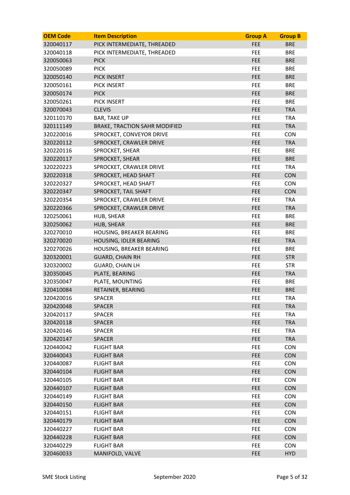| <b>OEM Code</b> | <b>Item Description</b>              | <b>Group A</b> | <b>Group B</b> |
|-----------------|--------------------------------------|----------------|----------------|
| 320040117       | PICK INTERMEDIATE, THREADED          | <b>FEE</b>     | <b>BRE</b>     |
| 320040118       | PICK INTERMEDIATE, THREADED          | <b>FEE</b>     | <b>BRE</b>     |
| 320050063       | <b>PICK</b>                          | <b>FEE</b>     | <b>BRE</b>     |
| 320050089       | <b>PICK</b>                          | FEE            | <b>BRE</b>     |
| 320050140       | <b>PICK INSERT</b>                   | <b>FEE</b>     | <b>BRE</b>     |
| 320050161       | PICK INSERT                          | FEE            | <b>BRE</b>     |
| 320050174       | <b>PICK</b>                          | <b>FEE</b>     | <b>BRE</b>     |
| 320050261       | <b>PICK INSERT</b>                   | <b>FEE</b>     | <b>BRE</b>     |
| 320070043       | <b>CLEVIS</b>                        | <b>FEE</b>     | <b>TRA</b>     |
| 320110170       | <b>BAR, TAKE UP</b>                  | FEE            | <b>TRA</b>     |
| 320111149       | <b>BRAKE, TRACTION SAHR MODIFIED</b> | <b>FEE</b>     | <b>TRA</b>     |
| 320220016       | SPROCKET, CONVEYOR DRIVE             | FEE            | <b>CON</b>     |
| 320220112       | SPROCKET, CRAWLER DRIVE              | <b>FEE</b>     | <b>TRA</b>     |
| 320220116       | SPROCKET, SHEAR                      | FEE            | <b>BRE</b>     |
| 320220117       | SPROCKET, SHEAR                      | FEE            | <b>BRE</b>     |
| 320220223       | SPROCKET, CRAWLER DRIVE              | FEE            | <b>TRA</b>     |
| 320220318       | SPROCKET, HEAD SHAFT                 | <b>FEE</b>     | <b>CON</b>     |
| 320220327       | SPROCKET, HEAD SHAFT                 | FEE            | <b>CON</b>     |
| 320220347       | SPROCKET, TAIL SHAFT                 | <b>FEE</b>     | <b>CON</b>     |
| 320220354       | SPROCKET, CRAWLER DRIVE              | FEE            | <b>TRA</b>     |
| 320220366       | SPROCKET, CRAWLER DRIVE              | <b>FEE</b>     | <b>TRA</b>     |
| 320250061       | HUB, SHEAR                           | FEE            | <b>BRE</b>     |
| 320250062       | HUB, SHEAR                           | <b>FEE</b>     | <b>BRE</b>     |
| 320270010       | HOUSING, BREAKER BEARING             | <b>FEE</b>     | <b>BRE</b>     |
| 320270020       | HOUSING, IDLER BEARING               | <b>FEE</b>     | <b>TRA</b>     |
| 320270026       | HOUSING, BREAKER BEARING             | FEE            | <b>BRE</b>     |
| 320320001       | <b>GUARD, CHAIN RH</b>               | <b>FEE</b>     | <b>STR</b>     |
| 320320002       | <b>GUARD, CHAIN LH</b>               | FEE            | <b>STR</b>     |
| 320350045       | PLATE, BEARING                       | <b>FEE</b>     | <b>TRA</b>     |
| 320350047       | PLATE, MOUNTING                      | FEE            | <b>BRE</b>     |
| 320410084       | RETAINER, BEARING                    | <b>FEE</b>     | <b>BRE</b>     |
| 320420016       | <b>SPACER</b>                        | FEE            | TRA            |
| 320420048       | <b>SPACER</b>                        | <b>FEE</b>     | <b>TRA</b>     |
| 320420117       | <b>SPACER</b>                        | FEE            | <b>TRA</b>     |
| 320420118       | <b>SPACER</b>                        | <b>FEE</b>     | <b>TRA</b>     |
| 320420146       | <b>SPACER</b>                        | FEE            | <b>TRA</b>     |
| 320420147       | <b>SPACER</b>                        | FEE            | <b>TRA</b>     |
| 320440042       | <b>FLIGHT BAR</b>                    | FEE            | <b>CON</b>     |
| 320440043       | <b>FLIGHT BAR</b>                    | <b>FEE</b>     | <b>CON</b>     |
| 320440087       | <b>FLIGHT BAR</b>                    | FEE            | <b>CON</b>     |
| 320440104       | <b>FLIGHT BAR</b>                    | <b>FEE</b>     | <b>CON</b>     |
| 320440105       | <b>FLIGHT BAR</b>                    | FEE            | <b>CON</b>     |
| 320440107       | <b>FLIGHT BAR</b>                    | FEE            | <b>CON</b>     |
| 320440149       | <b>FLIGHT BAR</b>                    | FEE            | <b>CON</b>     |
| 320440150       | <b>FLIGHT BAR</b>                    | FEE            | <b>CON</b>     |
| 320440151       | <b>FLIGHT BAR</b>                    | FEE            | <b>CON</b>     |
| 320440179       | <b>FLIGHT BAR</b>                    | <b>FEE</b>     | <b>CON</b>     |
| 320440227       | <b>FLIGHT BAR</b>                    | FEE            | <b>CON</b>     |
| 320440228       | <b>FLIGHT BAR</b>                    | <b>FEE</b>     | <b>CON</b>     |
| 320440229       | <b>FLIGHT BAR</b>                    | <b>FEE</b>     | <b>CON</b>     |
| 320460033       | MANIFOLD, VALVE                      | <b>FEE</b>     | <b>HYD</b>     |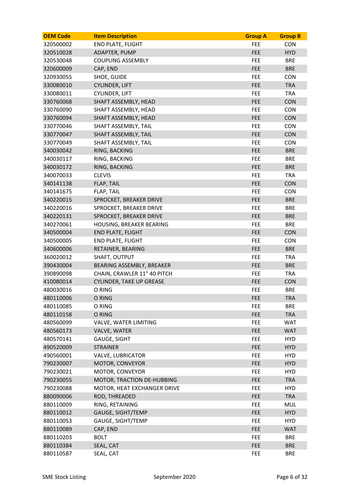| <b>OEM Code</b> | <b>Item Description</b>         | <b>Group A</b> | <b>Group B</b> |
|-----------------|---------------------------------|----------------|----------------|
| 320500002       | <b>END PLATE, FLIGHT</b>        | <b>FEE</b>     | <b>CON</b>     |
| 320510028       | ADAPTER, PUMP                   | <b>FEE</b>     | <b>HYD</b>     |
| 320530048       | <b>COUPLING ASSEMBLY</b>        | <b>FEE</b>     | <b>BRE</b>     |
| 320600009       | CAP, END                        | <b>FEE</b>     | <b>BRE</b>     |
| 320930055       | SHOE, GUIDE                     | <b>FEE</b>     | <b>CON</b>     |
| 330080010       | <b>CYLINDER, LIFT</b>           | <b>FEE</b>     | <b>TRA</b>     |
| 330080011       | CYLINDER, LIFT                  | <b>FEE</b>     | <b>TRA</b>     |
| 330760068       | SHAFT ASSEMBLY, HEAD            | <b>FEE</b>     | <b>CON</b>     |
| 330760090       | SHAFT ASSEMBLY, HEAD            | <b>FEE</b>     | <b>CON</b>     |
| 330760094       | SHAFT ASSEMBLY, HEAD            | <b>FEE</b>     | <b>CON</b>     |
| 330770046       | SHAFT ASSEMBLY, TAIL            | <b>FEE</b>     | <b>CON</b>     |
| 330770047       | SHAFT ASSEMBLY, TAIL            | <b>FEE</b>     | <b>CON</b>     |
| 330770049       | SHAFT ASSEMBLY, TAIL            | <b>FEE</b>     | <b>CON</b>     |
| 340030042       | RING, BACKING                   | <b>FEE</b>     | <b>BRE</b>     |
| 340030117       | RING, BACKING                   | FEE            | <b>BRE</b>     |
| 340030172       | RING, BACKING                   | <b>FEE</b>     | <b>BRE</b>     |
| 340070033       | <b>CLEVIS</b>                   | <b>FEE</b>     | <b>TRA</b>     |
| 340141138       | FLAP, TAIL                      | <b>FEE</b>     | <b>CON</b>     |
| 340141675       | FLAP, TAIL                      | <b>FEE</b>     | <b>CON</b>     |
| 340220015       | SPROCKET, BREAKER DRIVE         | <b>FEE</b>     | <b>BRE</b>     |
| 340220016       | SPROCKET, BREAKER DRIVE         | FEE            | <b>BRE</b>     |
| 340220131       | SPROCKET, BREAKER DRIVE         | <b>FEE</b>     | <b>BRE</b>     |
| 340270061       | HOUSING, BREAKER BEARING        | <b>FEE</b>     | <b>BRE</b>     |
| 340500004       | <b>END PLATE, FLIGHT</b>        | <b>FEE</b>     | <b>CON</b>     |
| 340500005       | <b>END PLATE, FLIGHT</b>        | FEE.           | <b>CON</b>     |
| 340600006       | RETAINER, BEARING               | <b>FEE</b>     | <b>BRE</b>     |
| 360020012       | SHAFT, OUTPUT                   | FEE            | <b>TRA</b>     |
| 390430004       | BEARING ASSEMBLY, BREAKER       | <b>FEE</b>     | <b>BRE</b>     |
| 390890098       | CHAIN, CRAWLER 11" 40 PITCH     | FEE            | <b>TRA</b>     |
| 410080014       | <b>CYLINDER, TAKE UP GREASE</b> | <b>FEE</b>     | <b>CON</b>     |
| 480030016       | O RING                          | <b>FEE</b>     | <b>BRE</b>     |
| 480110006       | O RING                          | <b>FEE</b>     | <b>TRA</b>     |
| 480110085       | O RING                          | <b>FEE</b>     | <b>BRE</b>     |
| 480110158       | O RING                          | <b>FEE</b>     | <b>TRA</b>     |
| 480560099       | VALVE, WATER LIMITING           | <b>FEE</b>     | <b>WAT</b>     |
| 480560173       | VALVE, WATER                    | <b>FEE</b>     | <b>WAT</b>     |
| 480570141       | GAUGE, SIGHT                    | FEE            | <b>HYD</b>     |
| 490520009       | <b>STRAINER</b>                 | <b>FEE</b>     | <b>HYD</b>     |
| 490560001       | <b>VALVE, LUBRICATOR</b>        | <b>FEE</b>     | <b>HYD</b>     |
| 790230007       | MOTOR, CONVEYOR                 | <b>FEE</b>     | <b>HYD</b>     |
| 790230021       | MOTOR, CONVEYOR                 | <b>FEE</b>     | <b>HYD</b>     |
| 790230055       | MOTOR, TRACTION DE-HUBBING      | <b>FEE</b>     | <b>TRA</b>     |
| 790230088       | MOTOR, HEAT EXCHANGER DRIVE     | FEE            | <b>HYD</b>     |
| 880090006       | ROD, THREADED                   | <b>FEE</b>     | <b>TRA</b>     |
| 880110009       | RING, RETAINING                 | <b>FEE</b>     | <b>MUL</b>     |
| 880110012       | GAUGE, SIGHT/TEMP               | <b>FEE</b>     | <b>HYD</b>     |
| 880110053       | GAUGE, SIGHT/TEMP               | <b>FEE</b>     | <b>HYD</b>     |
| 880110089       | CAP, END                        | <b>FEE</b>     | <b>WAT</b>     |
| 880110203       | <b>BOLT</b>                     | FEE            | <b>BRE</b>     |
| 880110384       | SEAL, CAT                       | <b>FEE</b>     | <b>BRE</b>     |
| 880110587       | SEAL, CAT                       | <b>FEE</b>     | <b>BRE</b>     |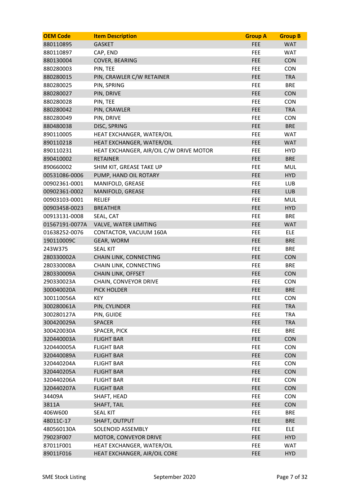| <b>OEM Code</b> | <b>Item Description</b>                 | <b>Group A</b> | <b>Group B</b> |
|-----------------|-----------------------------------------|----------------|----------------|
| 880110895       | <b>GASKET</b>                           | FEE            | <b>WAT</b>     |
| 880110897       | CAP, END                                | FEE            | <b>WAT</b>     |
| 880130004       | COVER, BEARING                          | <b>FEE</b>     | <b>CON</b>     |
| 880280003       | PIN, TEE                                | <b>FEE</b>     | <b>CON</b>     |
| 880280015       | PIN, CRAWLER C/W RETAINER               | <b>FEE</b>     | <b>TRA</b>     |
| 880280025       | PIN, SPRING                             | <b>FEE</b>     | <b>BRE</b>     |
| 880280027       | PIN, DRIVE                              | <b>FEE</b>     | <b>CON</b>     |
| 880280028       | PIN, TEE                                | FEE            | <b>CON</b>     |
| 880280042       | PIN, CRAWLER                            | <b>FEE</b>     | <b>TRA</b>     |
| 880280049       | PIN, DRIVE                              | FEE            | <b>CON</b>     |
| 880480038       | DISC, SPRING                            | <b>FEE</b>     | <b>BRE</b>     |
| 890110005       | HEAT EXCHANGER, WATER/OIL               | FEE            | <b>WAT</b>     |
| 890110218       | HEAT EXCHANGER, WATER/OIL               | <b>FEE</b>     | <b>WAT</b>     |
| 890110231       | HEAT EXCHANGER, AIR/OIL C/W DRIVE MOTOR | FEE.           | <b>HYD</b>     |
| 890410002       | <b>RETAINER</b>                         | <b>FEE</b>     | <b>BRE</b>     |
| 890660002       | SHIM KIT, GREASE TAKE UP                | <b>FEE</b>     | <b>MUL</b>     |
| 00531086-0006   | PUMP, HAND OIL ROTARY                   | <b>FEE</b>     | <b>HYD</b>     |
| 00902361-0001   | MANIFOLD, GREASE                        | <b>FEE</b>     | <b>LUB</b>     |
| 00902361-0002   | MANIFOLD, GREASE                        | <b>FEE</b>     | <b>LUB</b>     |
| 00903103-0001   | <b>RELIEF</b>                           | <b>FEE</b>     | <b>MUL</b>     |
| 00903458-0023   | <b>BREATHER</b>                         | <b>FEE</b>     | <b>HYD</b>     |
| 00913131-0008   | SEAL, CAT                               | FEE            | <b>BRE</b>     |
| 01567191-0077A  | VALVE, WATER LIMITING                   | <b>FEE</b>     | <b>WAT</b>     |
| 01638252-0076   | CONTACTOR, VACUUM 160A                  | <b>FEE</b>     | ELE            |
| 190110009C      | GEAR, WORM                              | <b>FEE</b>     | <b>BRE</b>     |
| 243W375         | <b>SEAL KIT</b>                         | FEE            | <b>BRE</b>     |
| 280330002A      | CHAIN LINK, CONNECTING                  | <b>FEE</b>     | <b>CON</b>     |
| 280330008A      | CHAIN LINK, CONNECTING                  | <b>FEE</b>     | <b>BRE</b>     |
| 280330009A      | <b>CHAIN LINK, OFFSET</b>               | <b>FEE</b>     | <b>CON</b>     |
| 290330023A      | CHAIN, CONVEYOR DRIVE                   | FEE            | <b>CON</b>     |
| 300040020A      | PICK HOLDER                             | <b>FEE</b>     | <b>BRE</b>     |
| 300110056A      | <b>KEY</b>                              | FEE            | <b>CON</b>     |
| 300280061A      | PIN, CYLINDER                           | <b>FEE</b>     | <b>TRA</b>     |
| 300280127A      | PIN, GUIDE                              | <b>FEE</b>     | <b>TRA</b>     |
| 300420029A      | <b>SPACER</b>                           | FEE            | <b>TRA</b>     |
| 300420030A      | SPACER, PICK                            | <b>FEE</b>     | <b>BRE</b>     |
| 320440003A      | <b>FLIGHT BAR</b>                       | <b>FEE</b>     | <b>CON</b>     |
| 320440005A      | <b>FLIGHT BAR</b>                       | <b>FEE</b>     | <b>CON</b>     |
| 320440089A      | <b>FLIGHT BAR</b>                       | FEE            | <b>CON</b>     |
| 320440204A      | <b>FLIGHT BAR</b>                       | FEE            | <b>CON</b>     |
| 320440205A      | <b>FLIGHT BAR</b>                       | <b>FEE</b>     | <b>CON</b>     |
| 320440206A      | <b>FLIGHT BAR</b>                       | <b>FEE</b>     | <b>CON</b>     |
| 320440207A      | <b>FLIGHT BAR</b>                       | <b>FEE</b>     | <b>CON</b>     |
| 34409A          | SHAFT, HEAD                             | FEE            | <b>CON</b>     |
| 3811A           | SHAFT, TAIL                             | <b>FEE</b>     | <b>CON</b>     |
| 406W600         | <b>SEAL KIT</b>                         | FEE            | <b>BRE</b>     |
| 48011C-17       | SHAFT, OUTPUT                           | <b>FEE</b>     | <b>BRE</b>     |
| 480560130A      | SOLENOID ASSEMBLY                       | <b>FEE</b>     | <b>ELE</b>     |
| 79023F007       | MOTOR, CONVEYOR DRIVE                   | <b>FEE</b>     | <b>HYD</b>     |
| 87011F001       | HEAT EXCHANGER, WATER/OIL               | <b>FEE</b>     | WAT            |
| 89011F016       | HEAT EXCHANGER, AIR/OIL CORE            | <b>FEE</b>     | <b>HYD</b>     |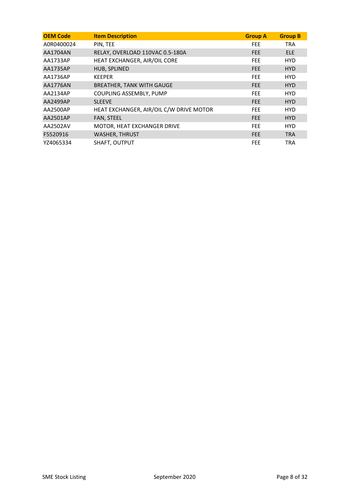| <b>OEM Code</b> | <b>Item Description</b>                 | <b>Group A</b> | <b>Group B</b> |
|-----------------|-----------------------------------------|----------------|----------------|
| A0R0400024      | PIN, TEE                                | <b>FEE</b>     | <b>TRA</b>     |
| <b>AA1704AN</b> | RELAY, OVERLOAD 110VAC 0.5-180A         | <b>FEE</b>     | <b>ELE</b>     |
| AA1733AP        | HEAT EXCHANGER, AIR/OIL CORE            | <b>FEE</b>     | <b>HYD</b>     |
| AA1735AP        | HUB, SPLINED                            | <b>FEE</b>     | <b>HYD</b>     |
| AA1736AP        | <b>KEEPER</b>                           | <b>FEE</b>     | <b>HYD</b>     |
| <b>AA1776AN</b> | <b>BREATHER, TANK WITH GAUGE</b>        | <b>FEE</b>     | <b>HYD</b>     |
| AA2134AP        | COUPLING ASSEMBLY, PUMP                 | <b>FEE</b>     | <b>HYD</b>     |
| AA2499AP        | <b>SLEEVE</b>                           | <b>FEE</b>     | HYD.           |
| AA2500AP        | HEAT EXCHANGER, AIR/OIL C/W DRIVE MOTOR | <b>FEE</b>     | <b>HYD</b>     |
| AA2501AP        | FAN, STEEL                              | <b>FEE</b>     | <b>HYD</b>     |
| AA2502AV        | MOTOR, HEAT EXCHANGER DRIVE             | <b>FEE</b>     | <b>HYD</b>     |
| F5520916        | <b>WASHER, THRUST</b>                   | <b>FEE</b>     | <b>TRA</b>     |
| YZ4065334       | SHAFT, OUTPUT                           | <b>FEE</b>     | <b>TRA</b>     |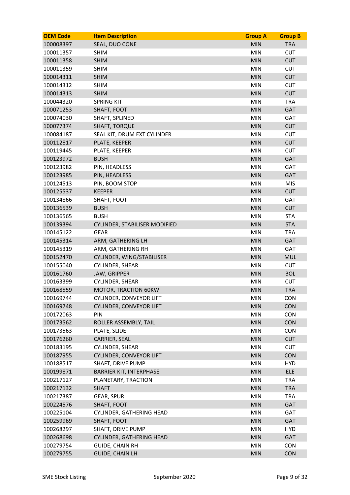| 100008397<br>SEAL, DUO CONE<br><b>MIN</b><br><b>TRA</b><br>100011357<br><b>SHIM</b><br><b>MIN</b><br><b>CUT</b><br>100011358<br><b>SHIM</b><br><b>MIN</b><br><b>CUT</b><br><b>MIN</b><br><b>CUT</b><br>100011359<br><b>SHIM</b><br>100014311<br><b>SHIM</b><br><b>MIN</b><br><b>CUT</b><br><b>MIN</b><br>100014312<br><b>SHIM</b><br><b>CUT</b><br>100014313<br><b>MIN</b><br><b>CUT</b><br><b>SHIM</b><br><b>TRA</b><br>100044320<br><b>SPRING KIT</b><br><b>MIN</b><br>100071253<br><b>MIN</b><br><b>GAT</b><br>SHAFT, FOOT<br><b>MIN</b><br><b>GAT</b><br>100074030<br>SHAFT, SPLINED<br><b>MIN</b><br><b>CUT</b><br>100077374<br><b>SHAFT, TORQUE</b><br><b>MIN</b><br><b>CUT</b><br>100084187<br>SEAL KIT, DRUM EXT CYLINDER<br><b>MIN</b><br><b>CUT</b><br>100112817<br>PLATE, KEEPER<br><b>MIN</b><br><b>CUT</b><br>100119445<br>PLATE, KEEPER<br><b>MIN</b><br><b>GAT</b><br>100123972<br><b>BUSH</b><br><b>MIN</b><br>GAT<br>100123982<br>PIN, HEADLESS<br>PIN, HEADLESS<br><b>MIN</b><br><b>GAT</b><br>100123985<br><b>MIN</b><br><b>MIS</b><br>100124513<br>PIN, BOOM STOP<br><b>MIN</b><br><b>CUT</b><br>100125537<br><b>KEEPER</b><br><b>MIN</b><br>GAT<br>100134866<br>SHAFT, FOOT<br>100136539<br><b>BUSH</b><br><b>MIN</b><br><b>CUT</b><br>100136565<br><b>BUSH</b><br><b>MIN</b><br><b>STA</b><br>100139394<br><b>MIN</b><br><b>STA</b><br>CYLINDER, STABILISER MODIFIED<br><b>MIN</b><br><b>TRA</b><br>100145122<br><b>GEAR</b><br><b>MIN</b><br><b>GAT</b><br>100145314<br>ARM, GATHERING LH<br><b>MIN</b><br>GAT<br>100145319<br>ARM, GATHERING RH<br><b>MIN</b><br><b>MUL</b><br>100152470<br>CYLINDER, WING/STABILISER<br>CYLINDER, SHEAR<br><b>MIN</b><br><b>CUT</b><br>100155040<br>100161760<br><b>MIN</b><br><b>BOL</b><br><b>JAW, GRIPPER</b><br>100163399<br><b>MIN</b><br><b>CUT</b><br><b>CYLINDER, SHEAR</b><br><b>MIN</b><br><b>TRA</b><br>100168559<br>MOTOR, TRACTION 60KW<br>100169744<br>CYLINDER, CONVEYOR LIFT<br>MIN<br>CON<br>CYLINDER, CONVEYOR LIFT<br><b>MIN</b><br><b>CON</b><br>100169748<br>PIN<br><b>MIN</b><br><b>CON</b><br>100172063<br>100173562<br><b>MIN</b><br><b>CON</b><br>ROLLER ASSEMBLY, TAIL<br><b>CON</b><br>100173563<br>PLATE, SLIDE<br><b>MIN</b><br>100176260<br><b>MIN</b><br><b>CUT</b><br><b>CARRIER, SEAL</b><br>CYLINDER, SHEAR<br><b>MIN</b><br><b>CUT</b><br>100183195<br>100187955<br>CYLINDER, CONVEYOR LIFT<br><b>MIN</b><br><b>CON</b><br>SHAFT, DRIVE PUMP<br>MIN<br><b>HYD</b><br>100188517<br><b>MIN</b><br><b>ELE</b><br>100199871<br><b>BARRIER KIT, INTERPHASE</b><br>PLANETARY, TRACTION<br><b>MIN</b><br><b>TRA</b><br>100217127<br><b>MIN</b><br>100217132<br><b>SHAFT</b><br><b>TRA</b><br><b>MIN</b><br>100217387<br><b>TRA</b><br>GEAR, SPUR<br>100224576<br><b>MIN</b><br><b>GAT</b><br>SHAFT, FOOT<br>CYLINDER, GATHERING HEAD<br><b>MIN</b><br>GAT<br>100225104<br>SHAFT, FOOT<br><b>MIN</b><br><b>GAT</b><br>100259969<br>100268297<br><b>MIN</b><br><b>HYD</b><br>SHAFT, DRIVE PUMP<br>GAT<br>100268698<br><b>CYLINDER, GATHERING HEAD</b><br><b>MIN</b><br><b>GUIDE, CHAIN RH</b><br><b>MIN</b><br>100279754<br><b>CON</b><br>100279755<br><b>GUIDE, CHAIN LH</b><br><b>MIN</b><br><b>CON</b> | <b>OEM Code</b> | <b>Item Description</b> | <b>Group A</b> | <b>Group B</b> |
|----------------------------------------------------------------------------------------------------------------------------------------------------------------------------------------------------------------------------------------------------------------------------------------------------------------------------------------------------------------------------------------------------------------------------------------------------------------------------------------------------------------------------------------------------------------------------------------------------------------------------------------------------------------------------------------------------------------------------------------------------------------------------------------------------------------------------------------------------------------------------------------------------------------------------------------------------------------------------------------------------------------------------------------------------------------------------------------------------------------------------------------------------------------------------------------------------------------------------------------------------------------------------------------------------------------------------------------------------------------------------------------------------------------------------------------------------------------------------------------------------------------------------------------------------------------------------------------------------------------------------------------------------------------------------------------------------------------------------------------------------------------------------------------------------------------------------------------------------------------------------------------------------------------------------------------------------------------------------------------------------------------------------------------------------------------------------------------------------------------------------------------------------------------------------------------------------------------------------------------------------------------------------------------------------------------------------------------------------------------------------------------------------------------------------------------------------------------------------------------------------------------------------------------------------------------------------------------------------------------------------------------------------------------------------------------------------------------------------------------------------------------------------------------------------------------------------------------------------------------------------------------------------------------------------------------------------------------------------------------------------------------------------------------------------------------------------------------------------------------------------------------------------------------------------------------------|-----------------|-------------------------|----------------|----------------|
|                                                                                                                                                                                                                                                                                                                                                                                                                                                                                                                                                                                                                                                                                                                                                                                                                                                                                                                                                                                                                                                                                                                                                                                                                                                                                                                                                                                                                                                                                                                                                                                                                                                                                                                                                                                                                                                                                                                                                                                                                                                                                                                                                                                                                                                                                                                                                                                                                                                                                                                                                                                                                                                                                                                                                                                                                                                                                                                                                                                                                                                                                                                                                                                              |                 |                         |                |                |
|                                                                                                                                                                                                                                                                                                                                                                                                                                                                                                                                                                                                                                                                                                                                                                                                                                                                                                                                                                                                                                                                                                                                                                                                                                                                                                                                                                                                                                                                                                                                                                                                                                                                                                                                                                                                                                                                                                                                                                                                                                                                                                                                                                                                                                                                                                                                                                                                                                                                                                                                                                                                                                                                                                                                                                                                                                                                                                                                                                                                                                                                                                                                                                                              |                 |                         |                |                |
|                                                                                                                                                                                                                                                                                                                                                                                                                                                                                                                                                                                                                                                                                                                                                                                                                                                                                                                                                                                                                                                                                                                                                                                                                                                                                                                                                                                                                                                                                                                                                                                                                                                                                                                                                                                                                                                                                                                                                                                                                                                                                                                                                                                                                                                                                                                                                                                                                                                                                                                                                                                                                                                                                                                                                                                                                                                                                                                                                                                                                                                                                                                                                                                              |                 |                         |                |                |
|                                                                                                                                                                                                                                                                                                                                                                                                                                                                                                                                                                                                                                                                                                                                                                                                                                                                                                                                                                                                                                                                                                                                                                                                                                                                                                                                                                                                                                                                                                                                                                                                                                                                                                                                                                                                                                                                                                                                                                                                                                                                                                                                                                                                                                                                                                                                                                                                                                                                                                                                                                                                                                                                                                                                                                                                                                                                                                                                                                                                                                                                                                                                                                                              |                 |                         |                |                |
|                                                                                                                                                                                                                                                                                                                                                                                                                                                                                                                                                                                                                                                                                                                                                                                                                                                                                                                                                                                                                                                                                                                                                                                                                                                                                                                                                                                                                                                                                                                                                                                                                                                                                                                                                                                                                                                                                                                                                                                                                                                                                                                                                                                                                                                                                                                                                                                                                                                                                                                                                                                                                                                                                                                                                                                                                                                                                                                                                                                                                                                                                                                                                                                              |                 |                         |                |                |
|                                                                                                                                                                                                                                                                                                                                                                                                                                                                                                                                                                                                                                                                                                                                                                                                                                                                                                                                                                                                                                                                                                                                                                                                                                                                                                                                                                                                                                                                                                                                                                                                                                                                                                                                                                                                                                                                                                                                                                                                                                                                                                                                                                                                                                                                                                                                                                                                                                                                                                                                                                                                                                                                                                                                                                                                                                                                                                                                                                                                                                                                                                                                                                                              |                 |                         |                |                |
|                                                                                                                                                                                                                                                                                                                                                                                                                                                                                                                                                                                                                                                                                                                                                                                                                                                                                                                                                                                                                                                                                                                                                                                                                                                                                                                                                                                                                                                                                                                                                                                                                                                                                                                                                                                                                                                                                                                                                                                                                                                                                                                                                                                                                                                                                                                                                                                                                                                                                                                                                                                                                                                                                                                                                                                                                                                                                                                                                                                                                                                                                                                                                                                              |                 |                         |                |                |
|                                                                                                                                                                                                                                                                                                                                                                                                                                                                                                                                                                                                                                                                                                                                                                                                                                                                                                                                                                                                                                                                                                                                                                                                                                                                                                                                                                                                                                                                                                                                                                                                                                                                                                                                                                                                                                                                                                                                                                                                                                                                                                                                                                                                                                                                                                                                                                                                                                                                                                                                                                                                                                                                                                                                                                                                                                                                                                                                                                                                                                                                                                                                                                                              |                 |                         |                |                |
|                                                                                                                                                                                                                                                                                                                                                                                                                                                                                                                                                                                                                                                                                                                                                                                                                                                                                                                                                                                                                                                                                                                                                                                                                                                                                                                                                                                                                                                                                                                                                                                                                                                                                                                                                                                                                                                                                                                                                                                                                                                                                                                                                                                                                                                                                                                                                                                                                                                                                                                                                                                                                                                                                                                                                                                                                                                                                                                                                                                                                                                                                                                                                                                              |                 |                         |                |                |
|                                                                                                                                                                                                                                                                                                                                                                                                                                                                                                                                                                                                                                                                                                                                                                                                                                                                                                                                                                                                                                                                                                                                                                                                                                                                                                                                                                                                                                                                                                                                                                                                                                                                                                                                                                                                                                                                                                                                                                                                                                                                                                                                                                                                                                                                                                                                                                                                                                                                                                                                                                                                                                                                                                                                                                                                                                                                                                                                                                                                                                                                                                                                                                                              |                 |                         |                |                |
|                                                                                                                                                                                                                                                                                                                                                                                                                                                                                                                                                                                                                                                                                                                                                                                                                                                                                                                                                                                                                                                                                                                                                                                                                                                                                                                                                                                                                                                                                                                                                                                                                                                                                                                                                                                                                                                                                                                                                                                                                                                                                                                                                                                                                                                                                                                                                                                                                                                                                                                                                                                                                                                                                                                                                                                                                                                                                                                                                                                                                                                                                                                                                                                              |                 |                         |                |                |
|                                                                                                                                                                                                                                                                                                                                                                                                                                                                                                                                                                                                                                                                                                                                                                                                                                                                                                                                                                                                                                                                                                                                                                                                                                                                                                                                                                                                                                                                                                                                                                                                                                                                                                                                                                                                                                                                                                                                                                                                                                                                                                                                                                                                                                                                                                                                                                                                                                                                                                                                                                                                                                                                                                                                                                                                                                                                                                                                                                                                                                                                                                                                                                                              |                 |                         |                |                |
|                                                                                                                                                                                                                                                                                                                                                                                                                                                                                                                                                                                                                                                                                                                                                                                                                                                                                                                                                                                                                                                                                                                                                                                                                                                                                                                                                                                                                                                                                                                                                                                                                                                                                                                                                                                                                                                                                                                                                                                                                                                                                                                                                                                                                                                                                                                                                                                                                                                                                                                                                                                                                                                                                                                                                                                                                                                                                                                                                                                                                                                                                                                                                                                              |                 |                         |                |                |
|                                                                                                                                                                                                                                                                                                                                                                                                                                                                                                                                                                                                                                                                                                                                                                                                                                                                                                                                                                                                                                                                                                                                                                                                                                                                                                                                                                                                                                                                                                                                                                                                                                                                                                                                                                                                                                                                                                                                                                                                                                                                                                                                                                                                                                                                                                                                                                                                                                                                                                                                                                                                                                                                                                                                                                                                                                                                                                                                                                                                                                                                                                                                                                                              |                 |                         |                |                |
|                                                                                                                                                                                                                                                                                                                                                                                                                                                                                                                                                                                                                                                                                                                                                                                                                                                                                                                                                                                                                                                                                                                                                                                                                                                                                                                                                                                                                                                                                                                                                                                                                                                                                                                                                                                                                                                                                                                                                                                                                                                                                                                                                                                                                                                                                                                                                                                                                                                                                                                                                                                                                                                                                                                                                                                                                                                                                                                                                                                                                                                                                                                                                                                              |                 |                         |                |                |
|                                                                                                                                                                                                                                                                                                                                                                                                                                                                                                                                                                                                                                                                                                                                                                                                                                                                                                                                                                                                                                                                                                                                                                                                                                                                                                                                                                                                                                                                                                                                                                                                                                                                                                                                                                                                                                                                                                                                                                                                                                                                                                                                                                                                                                                                                                                                                                                                                                                                                                                                                                                                                                                                                                                                                                                                                                                                                                                                                                                                                                                                                                                                                                                              |                 |                         |                |                |
|                                                                                                                                                                                                                                                                                                                                                                                                                                                                                                                                                                                                                                                                                                                                                                                                                                                                                                                                                                                                                                                                                                                                                                                                                                                                                                                                                                                                                                                                                                                                                                                                                                                                                                                                                                                                                                                                                                                                                                                                                                                                                                                                                                                                                                                                                                                                                                                                                                                                                                                                                                                                                                                                                                                                                                                                                                                                                                                                                                                                                                                                                                                                                                                              |                 |                         |                |                |
|                                                                                                                                                                                                                                                                                                                                                                                                                                                                                                                                                                                                                                                                                                                                                                                                                                                                                                                                                                                                                                                                                                                                                                                                                                                                                                                                                                                                                                                                                                                                                                                                                                                                                                                                                                                                                                                                                                                                                                                                                                                                                                                                                                                                                                                                                                                                                                                                                                                                                                                                                                                                                                                                                                                                                                                                                                                                                                                                                                                                                                                                                                                                                                                              |                 |                         |                |                |
|                                                                                                                                                                                                                                                                                                                                                                                                                                                                                                                                                                                                                                                                                                                                                                                                                                                                                                                                                                                                                                                                                                                                                                                                                                                                                                                                                                                                                                                                                                                                                                                                                                                                                                                                                                                                                                                                                                                                                                                                                                                                                                                                                                                                                                                                                                                                                                                                                                                                                                                                                                                                                                                                                                                                                                                                                                                                                                                                                                                                                                                                                                                                                                                              |                 |                         |                |                |
|                                                                                                                                                                                                                                                                                                                                                                                                                                                                                                                                                                                                                                                                                                                                                                                                                                                                                                                                                                                                                                                                                                                                                                                                                                                                                                                                                                                                                                                                                                                                                                                                                                                                                                                                                                                                                                                                                                                                                                                                                                                                                                                                                                                                                                                                                                                                                                                                                                                                                                                                                                                                                                                                                                                                                                                                                                                                                                                                                                                                                                                                                                                                                                                              |                 |                         |                |                |
|                                                                                                                                                                                                                                                                                                                                                                                                                                                                                                                                                                                                                                                                                                                                                                                                                                                                                                                                                                                                                                                                                                                                                                                                                                                                                                                                                                                                                                                                                                                                                                                                                                                                                                                                                                                                                                                                                                                                                                                                                                                                                                                                                                                                                                                                                                                                                                                                                                                                                                                                                                                                                                                                                                                                                                                                                                                                                                                                                                                                                                                                                                                                                                                              |                 |                         |                |                |
|                                                                                                                                                                                                                                                                                                                                                                                                                                                                                                                                                                                                                                                                                                                                                                                                                                                                                                                                                                                                                                                                                                                                                                                                                                                                                                                                                                                                                                                                                                                                                                                                                                                                                                                                                                                                                                                                                                                                                                                                                                                                                                                                                                                                                                                                                                                                                                                                                                                                                                                                                                                                                                                                                                                                                                                                                                                                                                                                                                                                                                                                                                                                                                                              |                 |                         |                |                |
|                                                                                                                                                                                                                                                                                                                                                                                                                                                                                                                                                                                                                                                                                                                                                                                                                                                                                                                                                                                                                                                                                                                                                                                                                                                                                                                                                                                                                                                                                                                                                                                                                                                                                                                                                                                                                                                                                                                                                                                                                                                                                                                                                                                                                                                                                                                                                                                                                                                                                                                                                                                                                                                                                                                                                                                                                                                                                                                                                                                                                                                                                                                                                                                              |                 |                         |                |                |
|                                                                                                                                                                                                                                                                                                                                                                                                                                                                                                                                                                                                                                                                                                                                                                                                                                                                                                                                                                                                                                                                                                                                                                                                                                                                                                                                                                                                                                                                                                                                                                                                                                                                                                                                                                                                                                                                                                                                                                                                                                                                                                                                                                                                                                                                                                                                                                                                                                                                                                                                                                                                                                                                                                                                                                                                                                                                                                                                                                                                                                                                                                                                                                                              |                 |                         |                |                |
|                                                                                                                                                                                                                                                                                                                                                                                                                                                                                                                                                                                                                                                                                                                                                                                                                                                                                                                                                                                                                                                                                                                                                                                                                                                                                                                                                                                                                                                                                                                                                                                                                                                                                                                                                                                                                                                                                                                                                                                                                                                                                                                                                                                                                                                                                                                                                                                                                                                                                                                                                                                                                                                                                                                                                                                                                                                                                                                                                                                                                                                                                                                                                                                              |                 |                         |                |                |
|                                                                                                                                                                                                                                                                                                                                                                                                                                                                                                                                                                                                                                                                                                                                                                                                                                                                                                                                                                                                                                                                                                                                                                                                                                                                                                                                                                                                                                                                                                                                                                                                                                                                                                                                                                                                                                                                                                                                                                                                                                                                                                                                                                                                                                                                                                                                                                                                                                                                                                                                                                                                                                                                                                                                                                                                                                                                                                                                                                                                                                                                                                                                                                                              |                 |                         |                |                |
|                                                                                                                                                                                                                                                                                                                                                                                                                                                                                                                                                                                                                                                                                                                                                                                                                                                                                                                                                                                                                                                                                                                                                                                                                                                                                                                                                                                                                                                                                                                                                                                                                                                                                                                                                                                                                                                                                                                                                                                                                                                                                                                                                                                                                                                                                                                                                                                                                                                                                                                                                                                                                                                                                                                                                                                                                                                                                                                                                                                                                                                                                                                                                                                              |                 |                         |                |                |
|                                                                                                                                                                                                                                                                                                                                                                                                                                                                                                                                                                                                                                                                                                                                                                                                                                                                                                                                                                                                                                                                                                                                                                                                                                                                                                                                                                                                                                                                                                                                                                                                                                                                                                                                                                                                                                                                                                                                                                                                                                                                                                                                                                                                                                                                                                                                                                                                                                                                                                                                                                                                                                                                                                                                                                                                                                                                                                                                                                                                                                                                                                                                                                                              |                 |                         |                |                |
|                                                                                                                                                                                                                                                                                                                                                                                                                                                                                                                                                                                                                                                                                                                                                                                                                                                                                                                                                                                                                                                                                                                                                                                                                                                                                                                                                                                                                                                                                                                                                                                                                                                                                                                                                                                                                                                                                                                                                                                                                                                                                                                                                                                                                                                                                                                                                                                                                                                                                                                                                                                                                                                                                                                                                                                                                                                                                                                                                                                                                                                                                                                                                                                              |                 |                         |                |                |
|                                                                                                                                                                                                                                                                                                                                                                                                                                                                                                                                                                                                                                                                                                                                                                                                                                                                                                                                                                                                                                                                                                                                                                                                                                                                                                                                                                                                                                                                                                                                                                                                                                                                                                                                                                                                                                                                                                                                                                                                                                                                                                                                                                                                                                                                                                                                                                                                                                                                                                                                                                                                                                                                                                                                                                                                                                                                                                                                                                                                                                                                                                                                                                                              |                 |                         |                |                |
|                                                                                                                                                                                                                                                                                                                                                                                                                                                                                                                                                                                                                                                                                                                                                                                                                                                                                                                                                                                                                                                                                                                                                                                                                                                                                                                                                                                                                                                                                                                                                                                                                                                                                                                                                                                                                                                                                                                                                                                                                                                                                                                                                                                                                                                                                                                                                                                                                                                                                                                                                                                                                                                                                                                                                                                                                                                                                                                                                                                                                                                                                                                                                                                              |                 |                         |                |                |
|                                                                                                                                                                                                                                                                                                                                                                                                                                                                                                                                                                                                                                                                                                                                                                                                                                                                                                                                                                                                                                                                                                                                                                                                                                                                                                                                                                                                                                                                                                                                                                                                                                                                                                                                                                                                                                                                                                                                                                                                                                                                                                                                                                                                                                                                                                                                                                                                                                                                                                                                                                                                                                                                                                                                                                                                                                                                                                                                                                                                                                                                                                                                                                                              |                 |                         |                |                |
|                                                                                                                                                                                                                                                                                                                                                                                                                                                                                                                                                                                                                                                                                                                                                                                                                                                                                                                                                                                                                                                                                                                                                                                                                                                                                                                                                                                                                                                                                                                                                                                                                                                                                                                                                                                                                                                                                                                                                                                                                                                                                                                                                                                                                                                                                                                                                                                                                                                                                                                                                                                                                                                                                                                                                                                                                                                                                                                                                                                                                                                                                                                                                                                              |                 |                         |                |                |
|                                                                                                                                                                                                                                                                                                                                                                                                                                                                                                                                                                                                                                                                                                                                                                                                                                                                                                                                                                                                                                                                                                                                                                                                                                                                                                                                                                                                                                                                                                                                                                                                                                                                                                                                                                                                                                                                                                                                                                                                                                                                                                                                                                                                                                                                                                                                                                                                                                                                                                                                                                                                                                                                                                                                                                                                                                                                                                                                                                                                                                                                                                                                                                                              |                 |                         |                |                |
|                                                                                                                                                                                                                                                                                                                                                                                                                                                                                                                                                                                                                                                                                                                                                                                                                                                                                                                                                                                                                                                                                                                                                                                                                                                                                                                                                                                                                                                                                                                                                                                                                                                                                                                                                                                                                                                                                                                                                                                                                                                                                                                                                                                                                                                                                                                                                                                                                                                                                                                                                                                                                                                                                                                                                                                                                                                                                                                                                                                                                                                                                                                                                                                              |                 |                         |                |                |
|                                                                                                                                                                                                                                                                                                                                                                                                                                                                                                                                                                                                                                                                                                                                                                                                                                                                                                                                                                                                                                                                                                                                                                                                                                                                                                                                                                                                                                                                                                                                                                                                                                                                                                                                                                                                                                                                                                                                                                                                                                                                                                                                                                                                                                                                                                                                                                                                                                                                                                                                                                                                                                                                                                                                                                                                                                                                                                                                                                                                                                                                                                                                                                                              |                 |                         |                |                |
|                                                                                                                                                                                                                                                                                                                                                                                                                                                                                                                                                                                                                                                                                                                                                                                                                                                                                                                                                                                                                                                                                                                                                                                                                                                                                                                                                                                                                                                                                                                                                                                                                                                                                                                                                                                                                                                                                                                                                                                                                                                                                                                                                                                                                                                                                                                                                                                                                                                                                                                                                                                                                                                                                                                                                                                                                                                                                                                                                                                                                                                                                                                                                                                              |                 |                         |                |                |
|                                                                                                                                                                                                                                                                                                                                                                                                                                                                                                                                                                                                                                                                                                                                                                                                                                                                                                                                                                                                                                                                                                                                                                                                                                                                                                                                                                                                                                                                                                                                                                                                                                                                                                                                                                                                                                                                                                                                                                                                                                                                                                                                                                                                                                                                                                                                                                                                                                                                                                                                                                                                                                                                                                                                                                                                                                                                                                                                                                                                                                                                                                                                                                                              |                 |                         |                |                |
|                                                                                                                                                                                                                                                                                                                                                                                                                                                                                                                                                                                                                                                                                                                                                                                                                                                                                                                                                                                                                                                                                                                                                                                                                                                                                                                                                                                                                                                                                                                                                                                                                                                                                                                                                                                                                                                                                                                                                                                                                                                                                                                                                                                                                                                                                                                                                                                                                                                                                                                                                                                                                                                                                                                                                                                                                                                                                                                                                                                                                                                                                                                                                                                              |                 |                         |                |                |
|                                                                                                                                                                                                                                                                                                                                                                                                                                                                                                                                                                                                                                                                                                                                                                                                                                                                                                                                                                                                                                                                                                                                                                                                                                                                                                                                                                                                                                                                                                                                                                                                                                                                                                                                                                                                                                                                                                                                                                                                                                                                                                                                                                                                                                                                                                                                                                                                                                                                                                                                                                                                                                                                                                                                                                                                                                                                                                                                                                                                                                                                                                                                                                                              |                 |                         |                |                |
|                                                                                                                                                                                                                                                                                                                                                                                                                                                                                                                                                                                                                                                                                                                                                                                                                                                                                                                                                                                                                                                                                                                                                                                                                                                                                                                                                                                                                                                                                                                                                                                                                                                                                                                                                                                                                                                                                                                                                                                                                                                                                                                                                                                                                                                                                                                                                                                                                                                                                                                                                                                                                                                                                                                                                                                                                                                                                                                                                                                                                                                                                                                                                                                              |                 |                         |                |                |
|                                                                                                                                                                                                                                                                                                                                                                                                                                                                                                                                                                                                                                                                                                                                                                                                                                                                                                                                                                                                                                                                                                                                                                                                                                                                                                                                                                                                                                                                                                                                                                                                                                                                                                                                                                                                                                                                                                                                                                                                                                                                                                                                                                                                                                                                                                                                                                                                                                                                                                                                                                                                                                                                                                                                                                                                                                                                                                                                                                                                                                                                                                                                                                                              |                 |                         |                |                |
|                                                                                                                                                                                                                                                                                                                                                                                                                                                                                                                                                                                                                                                                                                                                                                                                                                                                                                                                                                                                                                                                                                                                                                                                                                                                                                                                                                                                                                                                                                                                                                                                                                                                                                                                                                                                                                                                                                                                                                                                                                                                                                                                                                                                                                                                                                                                                                                                                                                                                                                                                                                                                                                                                                                                                                                                                                                                                                                                                                                                                                                                                                                                                                                              |                 |                         |                |                |
|                                                                                                                                                                                                                                                                                                                                                                                                                                                                                                                                                                                                                                                                                                                                                                                                                                                                                                                                                                                                                                                                                                                                                                                                                                                                                                                                                                                                                                                                                                                                                                                                                                                                                                                                                                                                                                                                                                                                                                                                                                                                                                                                                                                                                                                                                                                                                                                                                                                                                                                                                                                                                                                                                                                                                                                                                                                                                                                                                                                                                                                                                                                                                                                              |                 |                         |                |                |
|                                                                                                                                                                                                                                                                                                                                                                                                                                                                                                                                                                                                                                                                                                                                                                                                                                                                                                                                                                                                                                                                                                                                                                                                                                                                                                                                                                                                                                                                                                                                                                                                                                                                                                                                                                                                                                                                                                                                                                                                                                                                                                                                                                                                                                                                                                                                                                                                                                                                                                                                                                                                                                                                                                                                                                                                                                                                                                                                                                                                                                                                                                                                                                                              |                 |                         |                |                |
|                                                                                                                                                                                                                                                                                                                                                                                                                                                                                                                                                                                                                                                                                                                                                                                                                                                                                                                                                                                                                                                                                                                                                                                                                                                                                                                                                                                                                                                                                                                                                                                                                                                                                                                                                                                                                                                                                                                                                                                                                                                                                                                                                                                                                                                                                                                                                                                                                                                                                                                                                                                                                                                                                                                                                                                                                                                                                                                                                                                                                                                                                                                                                                                              |                 |                         |                |                |
|                                                                                                                                                                                                                                                                                                                                                                                                                                                                                                                                                                                                                                                                                                                                                                                                                                                                                                                                                                                                                                                                                                                                                                                                                                                                                                                                                                                                                                                                                                                                                                                                                                                                                                                                                                                                                                                                                                                                                                                                                                                                                                                                                                                                                                                                                                                                                                                                                                                                                                                                                                                                                                                                                                                                                                                                                                                                                                                                                                                                                                                                                                                                                                                              |                 |                         |                |                |
|                                                                                                                                                                                                                                                                                                                                                                                                                                                                                                                                                                                                                                                                                                                                                                                                                                                                                                                                                                                                                                                                                                                                                                                                                                                                                                                                                                                                                                                                                                                                                                                                                                                                                                                                                                                                                                                                                                                                                                                                                                                                                                                                                                                                                                                                                                                                                                                                                                                                                                                                                                                                                                                                                                                                                                                                                                                                                                                                                                                                                                                                                                                                                                                              |                 |                         |                |                |
|                                                                                                                                                                                                                                                                                                                                                                                                                                                                                                                                                                                                                                                                                                                                                                                                                                                                                                                                                                                                                                                                                                                                                                                                                                                                                                                                                                                                                                                                                                                                                                                                                                                                                                                                                                                                                                                                                                                                                                                                                                                                                                                                                                                                                                                                                                                                                                                                                                                                                                                                                                                                                                                                                                                                                                                                                                                                                                                                                                                                                                                                                                                                                                                              |                 |                         |                |                |
|                                                                                                                                                                                                                                                                                                                                                                                                                                                                                                                                                                                                                                                                                                                                                                                                                                                                                                                                                                                                                                                                                                                                                                                                                                                                                                                                                                                                                                                                                                                                                                                                                                                                                                                                                                                                                                                                                                                                                                                                                                                                                                                                                                                                                                                                                                                                                                                                                                                                                                                                                                                                                                                                                                                                                                                                                                                                                                                                                                                                                                                                                                                                                                                              |                 |                         |                |                |
|                                                                                                                                                                                                                                                                                                                                                                                                                                                                                                                                                                                                                                                                                                                                                                                                                                                                                                                                                                                                                                                                                                                                                                                                                                                                                                                                                                                                                                                                                                                                                                                                                                                                                                                                                                                                                                                                                                                                                                                                                                                                                                                                                                                                                                                                                                                                                                                                                                                                                                                                                                                                                                                                                                                                                                                                                                                                                                                                                                                                                                                                                                                                                                                              |                 |                         |                |                |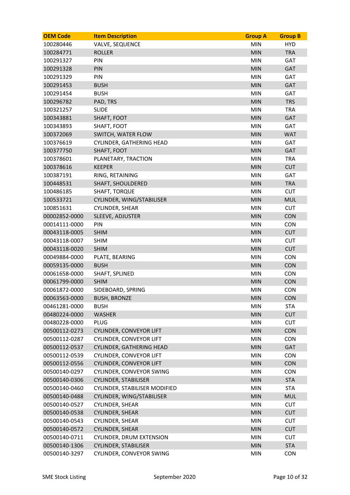| <b>OEM Code</b> | <b>Item Description</b>         | <b>Group A</b> | <b>Group B</b> |
|-----------------|---------------------------------|----------------|----------------|
| 100280446       | <b>VALVE, SEQUENCE</b>          | <b>MIN</b>     | <b>HYD</b>     |
| 100284771       | <b>ROLLER</b>                   | <b>MIN</b>     | <b>TRA</b>     |
| 100291327       | PIN                             | <b>MIN</b>     | <b>GAT</b>     |
| 100291328       | PIN                             | <b>MIN</b>     | GAT            |
| 100291329       | PIN                             | <b>MIN</b>     | <b>GAT</b>     |
| 100291453       | <b>BUSH</b>                     | <b>MIN</b>     | <b>GAT</b>     |
| 100291454       | <b>BUSH</b>                     | <b>MIN</b>     | <b>GAT</b>     |
| 100296782       | PAD, TRS                        | <b>MIN</b>     | <b>TRS</b>     |
| 100321257       | <b>SLIDE</b>                    | <b>MIN</b>     | <b>TRA</b>     |
| 100343881       | SHAFT, FOOT                     | <b>MIN</b>     | GAT            |
| 100343893       | SHAFT, FOOT                     | <b>MIN</b>     | GAT            |
| 100372069       | SWITCH, WATER FLOW              | <b>MIN</b>     | <b>WAT</b>     |
| 100376619       | <b>CYLINDER, GATHERING HEAD</b> | <b>MIN</b>     | <b>GAT</b>     |
| 100377750       | SHAFT, FOOT                     | <b>MIN</b>     | <b>GAT</b>     |
| 100378601       | PLANETARY, TRACTION             | <b>MIN</b>     | <b>TRA</b>     |
| 100378616       | <b>KEEPER</b>                   | <b>MIN</b>     | <b>CUT</b>     |
| 100387191       | RING, RETAINING                 | <b>MIN</b>     | GAT            |
| 100448531       | <b>SHAFT, SHOULDERED</b>        | <b>MIN</b>     | <b>TRA</b>     |
| 100486185       | <b>SHAFT, TORQUE</b>            | <b>MIN</b>     | <b>CUT</b>     |
| 100533721       | CYLINDER, WING/STABILISER       | <b>MIN</b>     | <b>MUL</b>     |
| 100851631       | <b>CYLINDER, SHEAR</b>          | <b>MIN</b>     | <b>CUT</b>     |
| 00002852-0000   | SLEEVE, ADJUSTER                | <b>MIN</b>     | <b>CON</b>     |
| 00014111-0000   | PIN                             | <b>MIN</b>     | <b>CON</b>     |
| 00043118-0005   | <b>SHIM</b>                     | <b>MIN</b>     | <b>CUT</b>     |
| 00043118-0007   | <b>SHIM</b>                     | <b>MIN</b>     | <b>CUT</b>     |
| 00043118-0020   | <b>SHIM</b>                     | <b>MIN</b>     | <b>CUT</b>     |
| 00049884-0000   | PLATE, BEARING                  | <b>MIN</b>     | <b>CON</b>     |
| 00059135-0000   | <b>BUSH</b>                     | <b>MIN</b>     | <b>CON</b>     |
| 00061658-0000   | SHAFT, SPLINED                  | <b>MIN</b>     | <b>CON</b>     |
| 00061799-0000   | <b>SHIM</b>                     | <b>MIN</b>     | <b>CON</b>     |
| 00061872-0000   | SIDEBOARD, SPRING               | <b>MIN</b>     | <b>CON</b>     |
| 00063563-0000   | <b>BUSH, BRONZE</b>             | <b>MIN</b>     | <b>CON</b>     |
| 00461281-0000   | <b>BUSH</b>                     | <b>MIN</b>     | <b>STA</b>     |
| 00480224-0000   | <b>WASHER</b>                   | <b>MIN</b>     | <b>CUT</b>     |
| 00480228-0000   | <b>PLUG</b>                     | <b>MIN</b>     | <b>CUT</b>     |
| 00500112-0273   | <b>CYLINDER, CONVEYOR LIFT</b>  | <b>MIN</b>     | <b>CON</b>     |
| 00500112-0287   | CYLINDER, CONVEYOR LIFT         | <b>MIN</b>     | <b>CON</b>     |
| 00500112-0537   | CYLINDER, GATHERING HEAD        | <b>MIN</b>     | <b>GAT</b>     |
| 00500112-0539   | <b>CYLINDER, CONVEYOR LIFT</b>  | <b>MIN</b>     | <b>CON</b>     |
| 00500112-0556   | CYLINDER, CONVEYOR LIFT         | <b>MIN</b>     | <b>CON</b>     |
| 00500140-0297   | CYLINDER, CONVEYOR SWING        | <b>MIN</b>     | <b>CON</b>     |
| 00500140-0306   | <b>CYLINDER, STABILISER</b>     | <b>MIN</b>     | <b>STA</b>     |
| 00500140-0460   | CYLINDER, STABILISER MODIFIED   | <b>MIN</b>     | <b>STA</b>     |
| 00500140-0488   | CYLINDER, WING/STABILISER       | <b>MIN</b>     | <b>MUL</b>     |
| 00500140-0527   | CYLINDER, SHEAR                 | <b>MIN</b>     | <b>CUT</b>     |
| 00500140-0538   | CYLINDER, SHEAR                 | <b>MIN</b>     | <b>CUT</b>     |
| 00500140-0543   | CYLINDER, SHEAR                 | <b>MIN</b>     | <b>CUT</b>     |
| 00500140-0572   | <b>CYLINDER, SHEAR</b>          | <b>MIN</b>     | <b>CUT</b>     |
| 00500140-0711   | <b>CYLINDER, DRUM EXTENSION</b> | <b>MIN</b>     | <b>CUT</b>     |
| 00500140-1306   | <b>CYLINDER, STABILISER</b>     | <b>MIN</b>     | <b>STA</b>     |
| 00500140-3297   | CYLINDER, CONVEYOR SWING        | MIN            | <b>CON</b>     |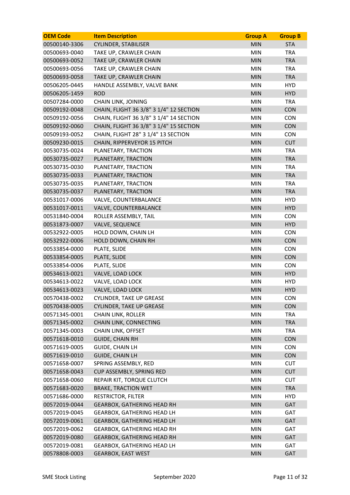| <b>OEM Code</b> | <b>Item Description</b>                 | <b>Group A</b> | <b>Group B</b> |
|-----------------|-----------------------------------------|----------------|----------------|
| 00500140-3306   | <b>CYLINDER, STABILISER</b>             | <b>MIN</b>     | <b>STA</b>     |
| 00500693-0040   | TAKE UP, CRAWLER CHAIN                  | <b>MIN</b>     | <b>TRA</b>     |
| 00500693-0052   | TAKE UP, CRAWLER CHAIN                  | <b>MIN</b>     | <b>TRA</b>     |
| 00500693-0056   | TAKE UP, CRAWLER CHAIN                  | <b>MIN</b>     | <b>TRA</b>     |
| 00500693-0058   | TAKE UP, CRAWLER CHAIN                  | <b>MIN</b>     | <b>TRA</b>     |
| 00506205-0445   | HANDLE ASSEMBLY, VALVE BANK             | <b>MIN</b>     | <b>HYD</b>     |
| 00506205-1459   | <b>ROD</b>                              | <b>MIN</b>     | <b>HYD</b>     |
| 00507284-0000   | <b>CHAIN LINK, JOINING</b>              | <b>MIN</b>     | <b>TRA</b>     |
| 00509192-0048   | CHAIN, FLIGHT 36 3/8" 3 1/4" 12 SECTION | <b>MIN</b>     | CON            |
| 00509192-0056   | CHAIN, FLIGHT 36 3/8" 3 1/4" 14 SECTION | <b>MIN</b>     | <b>CON</b>     |
| 00509192-0060   | CHAIN, FLIGHT 36 3/8" 3 1/4" 15 SECTION | <b>MIN</b>     | <b>CON</b>     |
| 00509193-0052   | CHAIN, FLIGHT 28" 3 1/4" 13 SECTION     | <b>MIN</b>     | <b>CON</b>     |
| 00509230-0015   | CHAIN, RIPPERVEYOR 15 PITCH             | <b>MIN</b>     | <b>CUT</b>     |
| 00530735-0024   | PLANETARY, TRACTION                     | <b>MIN</b>     | <b>TRA</b>     |
| 00530735-0027   | PLANETARY, TRACTION                     | <b>MIN</b>     | <b>TRA</b>     |
| 00530735-0030   | PLANETARY, TRACTION                     | <b>MIN</b>     | <b>TRA</b>     |
| 00530735-0033   | PLANETARY, TRACTION                     | <b>MIN</b>     | <b>TRA</b>     |
| 00530735-0035   | PLANETARY, TRACTION                     | <b>MIN</b>     | <b>TRA</b>     |
| 00530735-0037   | PLANETARY, TRACTION                     | <b>MIN</b>     | <b>TRA</b>     |
| 00531017-0006   | VALVE, COUNTERBALANCE                   | <b>MIN</b>     | <b>HYD</b>     |
| 00531017-0011   | VALVE, COUNTERBALANCE                   | <b>MIN</b>     | <b>HYD</b>     |
| 00531840-0004   | ROLLER ASSEMBLY, TAIL                   | <b>MIN</b>     | <b>CON</b>     |
| 00531873-0007   | <b>VALVE, SEQUENCE</b>                  | <b>MIN</b>     | <b>HYD</b>     |
| 00532922-0005   | HOLD DOWN, CHAIN LH                     | <b>MIN</b>     | <b>CON</b>     |
| 00532922-0006   | HOLD DOWN, CHAIN RH                     | <b>MIN</b>     | <b>CON</b>     |
| 00533854-0000   | PLATE, SLIDE                            | <b>MIN</b>     | <b>CON</b>     |
| 00533854-0005   | PLATE, SLIDE                            | <b>MIN</b>     | <b>CON</b>     |
| 00533854-0006   | PLATE, SLIDE                            | <b>MIN</b>     | <b>CON</b>     |
| 00534613-0021   | VALVE, LOAD LOCK                        | <b>MIN</b>     | <b>HYD</b>     |
| 00534613-0022   | VALVE, LOAD LOCK                        | <b>MIN</b>     | <b>HYD</b>     |
| 00534613-0023   | VALVE, LOAD LOCK                        | <b>MIN</b>     | <b>HYD</b>     |
| 00570438-0002   | <b>CYLINDER, TAKE UP GREASE</b>         | <b>MIN</b>     | CON            |
| 00570438-0005   | <b>CYLINDER, TAKE UP GREASE</b>         | <b>MIN</b>     | CON            |
| 00571345-0001   | <b>CHAIN LINK, ROLLER</b>               | <b>MIN</b>     | <b>TRA</b>     |
| 00571345-0002   | CHAIN LINK, CONNECTING                  | <b>MIN</b>     | <b>TRA</b>     |
| 00571345-0003   | <b>CHAIN LINK, OFFSET</b>               | <b>MIN</b>     | <b>TRA</b>     |
| 00571618-0010   | <b>GUIDE, CHAIN RH</b>                  | <b>MIN</b>     | CON            |
| 00571619-0005   | <b>GUIDE, CHAIN LH</b>                  | <b>MIN</b>     | <b>CON</b>     |
| 00571619-0010   | <b>GUIDE, CHAIN LH</b>                  | <b>MIN</b>     | <b>CON</b>     |
| 00571658-0007   | SPRING ASSEMBLY, RED                    | MIN            | <b>CUT</b>     |
| 00571658-0043   | CUP ASSEMBLY, SPRING RED                | <b>MIN</b>     | <b>CUT</b>     |
| 00571658-0060   | REPAIR KIT, TORQUE CLUTCH               | <b>MIN</b>     | <b>CUT</b>     |
| 00571683-0020   | <b>BRAKE, TRACTION WET</b>              | <b>MIN</b>     | <b>TRA</b>     |
| 00571686-0000   | <b>RESTRICTOR, FILTER</b>               | <b>MIN</b>     | <b>HYD</b>     |
| 00572019-0044   | <b>GEARBOX, GATHERING HEAD RH</b>       | <b>MIN</b>     | <b>GAT</b>     |
| 00572019-0045   | GEARBOX, GATHERING HEAD LH              | MIN            | GAT            |
| 00572019-0061   | <b>GEARBOX, GATHERING HEAD LH</b>       | <b>MIN</b>     | <b>GAT</b>     |
| 00572019-0062   | <b>GEARBOX, GATHERING HEAD RH</b>       | <b>MIN</b>     | GAT            |
| 00572019-0080   | <b>GEARBOX, GATHERING HEAD RH</b>       | <b>MIN</b>     | GAT            |
| 00572019-0081   | GEARBOX, GATHERING HEAD LH              | <b>MIN</b>     | GAT            |
| 00578808-0003   | <b>GEARBOX, EAST WEST</b>               | <b>MIN</b>     | <b>GAT</b>     |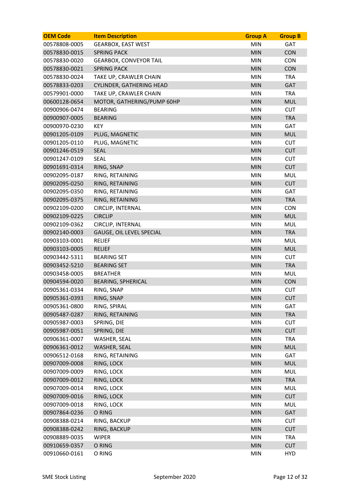| <b>OEM Code</b> | <b>Item Description</b>         | <b>Group A</b> | <b>Group B</b> |
|-----------------|---------------------------------|----------------|----------------|
| 00578808-0005   | <b>GEARBOX, EAST WEST</b>       | <b>MIN</b>     | <b>GAT</b>     |
| 00578830-0015   | <b>SPRING PACK</b>              | <b>MIN</b>     | <b>CON</b>     |
| 00578830-0020   | <b>GEARBOX, CONVEYOR TAIL</b>   | <b>MIN</b>     | <b>CON</b>     |
| 00578830-0021   | <b>SPRING PACK</b>              | <b>MIN</b>     | <b>CON</b>     |
| 00578830-0024   | TAKE UP, CRAWLER CHAIN          | <b>MIN</b>     | <b>TRA</b>     |
| 00578833-0203   | <b>CYLINDER, GATHERING HEAD</b> | <b>MIN</b>     | GAT            |
| 00579901-0000   | TAKE UP, CRAWLER CHAIN          | <b>MIN</b>     | <b>TRA</b>     |
| 00600128-0654   | MOTOR, GATHERING/PUMP 60HP      | <b>MIN</b>     | <b>MUL</b>     |
| 00900906-0474   | <b>BEARING</b>                  | <b>MIN</b>     | <b>CUT</b>     |
| 00900907-0005   | <b>BEARING</b>                  | <b>MIN</b>     | <b>TRA</b>     |
| 00900970-0230   | <b>KEY</b>                      | <b>MIN</b>     | GAT            |
| 00901205-0109   | PLUG, MAGNETIC                  | <b>MIN</b>     | <b>MUL</b>     |
| 00901205-0110   | PLUG, MAGNETIC                  | <b>MIN</b>     | <b>CUT</b>     |
| 00901246-0519   | <b>SEAL</b>                     | <b>MIN</b>     | <b>CUT</b>     |
| 00901247-0109   | <b>SEAL</b>                     | <b>MIN</b>     | <b>CUT</b>     |
| 00901691-0314   | RING, SNAP                      | <b>MIN</b>     | <b>CUT</b>     |
| 00902095-0187   | RING, RETAINING                 | <b>MIN</b>     | <b>MUL</b>     |
| 00902095-0250   | RING, RETAINING                 | <b>MIN</b>     | <b>CUT</b>     |
| 00902095-0350   | RING, RETAINING                 | <b>MIN</b>     | <b>GAT</b>     |
| 00902095-0375   | RING, RETAINING                 | <b>MIN</b>     | <b>TRA</b>     |
| 00902109-0200   | CIRCLIP, INTERNAL               | <b>MIN</b>     | <b>CON</b>     |
| 00902109-0225   | <b>CIRCLIP</b>                  | <b>MIN</b>     | <b>MUL</b>     |
| 00902109-0362   | CIRCLIP, INTERNAL               | <b>MIN</b>     | <b>MUL</b>     |
| 00902140-0003   | GAUGE, OIL LEVEL SPECIAL        | <b>MIN</b>     | <b>TRA</b>     |
| 00903103-0001   | <b>RELIEF</b>                   | <b>MIN</b>     | <b>MUL</b>     |
| 00903103-0005   | <b>RELIEF</b>                   | <b>MIN</b>     | <b>MUL</b>     |
| 00903442-5311   | <b>BEARING SET</b>              | <b>MIN</b>     | <b>CUT</b>     |
| 00903452-5210   | <b>BEARING SET</b>              | <b>MIN</b>     | <b>TRA</b>     |
| 00903458-0005   | <b>BREATHER</b>                 | <b>MIN</b>     | <b>MUL</b>     |
| 00904594-0020   | <b>BEARING, SPHERICAL</b>       | <b>MIN</b>     | <b>CON</b>     |
| 00905361-0334   | RING, SNAP                      | <b>MIN</b>     | <b>CUT</b>     |
| 00905361-0393   | RING, SNAP                      | <b>MIN</b>     | <b>CUT</b>     |
| 00905361-0800   | RING, SPIRAL                    | <b>MIN</b>     | GAT            |
| 00905487-0287   | RING, RETAINING                 | <b>MIN</b>     | <b>TRA</b>     |
| 00905987-0003   | SPRING, DIE                     | <b>MIN</b>     | <b>CUT</b>     |
| 00905987-0051   | SPRING, DIE                     | <b>MIN</b>     | <b>CUT</b>     |
| 00906361-0007   | WASHER, SEAL                    | MIN            | <b>TRA</b>     |
| 00906361-0012   | WASHER, SEAL                    | <b>MIN</b>     | <b>MUL</b>     |
| 00906512-0168   | RING, RETAINING                 | <b>MIN</b>     | GAT            |
| 00907009-0008   | RING, LOCK                      | <b>MIN</b>     | <b>MUL</b>     |
| 00907009-0009   | RING, LOCK                      | <b>MIN</b>     | <b>MUL</b>     |
| 00907009-0012   | RING, LOCK                      | <b>MIN</b>     | <b>TRA</b>     |
| 00907009-0014   | RING, LOCK                      | <b>MIN</b>     | <b>MUL</b>     |
| 00907009-0016   | RING, LOCK                      | <b>MIN</b>     | <b>CUT</b>     |
| 00907009-0018   | RING, LOCK                      | <b>MIN</b>     | <b>MUL</b>     |
| 00907864-0236   | O RING                          | <b>MIN</b>     | GAT            |
| 00908388-0214   | RING, BACKUP                    | <b>MIN</b>     | <b>CUT</b>     |
| 00908388-0242   | RING, BACKUP                    | <b>MIN</b>     | <b>CUT</b>     |
| 00908889-0035   | <b>WIPER</b>                    | <b>MIN</b>     | <b>TRA</b>     |
| 00910659-0357   | O RING                          | <b>MIN</b>     | <b>CUT</b>     |
| 00910660-0161   | O RING                          | <b>MIN</b>     | <b>HYD</b>     |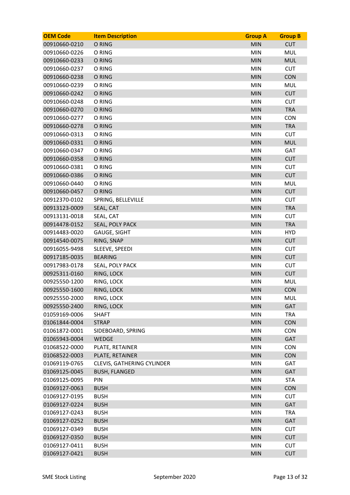| <b>OEM Code</b> | <b>Item Description</b>           | <b>Group A</b> | <b>Group B</b> |
|-----------------|-----------------------------------|----------------|----------------|
| 00910660-0210   | O RING                            | <b>MIN</b>     | <b>CUT</b>     |
| 00910660-0226   | O RING                            | <b>MIN</b>     | <b>MUL</b>     |
| 00910660-0233   | O RING                            | <b>MIN</b>     | <b>MUL</b>     |
| 00910660-0237   | O RING                            | <b>MIN</b>     | <b>CUT</b>     |
| 00910660-0238   | O RING                            | <b>MIN</b>     | <b>CON</b>     |
| 00910660-0239   | O RING                            | <b>MIN</b>     | <b>MUL</b>     |
| 00910660-0242   | O RING                            | <b>MIN</b>     | <b>CUT</b>     |
| 00910660-0248   | O RING                            | <b>MIN</b>     | <b>CUT</b>     |
| 00910660-0270   | O RING                            | <b>MIN</b>     | <b>TRA</b>     |
| 00910660-0277   | O RING                            | <b>MIN</b>     | <b>CON</b>     |
| 00910660-0278   | O RING                            | <b>MIN</b>     | <b>TRA</b>     |
| 00910660-0313   | O RING                            | <b>MIN</b>     | <b>CUT</b>     |
| 00910660-0331   | O RING                            | <b>MIN</b>     | <b>MUL</b>     |
| 00910660-0347   | O RING                            | <b>MIN</b>     | GAT            |
| 00910660-0358   | O RING                            | <b>MIN</b>     | <b>CUT</b>     |
| 00910660-0381   | O RING                            | <b>MIN</b>     | <b>CUT</b>     |
| 00910660-0386   | O RING                            | <b>MIN</b>     | <b>CUT</b>     |
| 00910660-0440   | O RING                            | <b>MIN</b>     | <b>MUL</b>     |
| 00910660-0457   | O RING                            | <b>MIN</b>     | <b>CUT</b>     |
| 00912370-0102   | SPRING, BELLEVILLE                | <b>MIN</b>     | <b>CUT</b>     |
| 00913123-0009   | SEAL, CAT                         | <b>MIN</b>     | <b>TRA</b>     |
| 00913131-0018   | SEAL, CAT                         | <b>MIN</b>     | <b>CUT</b>     |
| 00914478-0152   | SEAL, POLY PACK                   | <b>MIN</b>     | <b>TRA</b>     |
| 00914483-0020   | <b>GAUGE, SIGHT</b>               | <b>MIN</b>     | <b>HYD</b>     |
| 00914540-0075   | RING, SNAP                        | <b>MIN</b>     | <b>CUT</b>     |
| 00916055-9498   | SLEEVE, SPEEDI                    | <b>MIN</b>     | <b>CUT</b>     |
| 00917185-0035   | <b>BEARING</b>                    | <b>MIN</b>     | <b>CUT</b>     |
| 00917983-0178   | SEAL, POLY PACK                   | <b>MIN</b>     | <b>CUT</b>     |
| 00925311-0160   | RING, LOCK                        | <b>MIN</b>     | <b>CUT</b>     |
| 00925550-1200   | RING, LOCK                        | <b>MIN</b>     | <b>MUL</b>     |
| 00925550-1600   | RING, LOCK                        | <b>MIN</b>     | <b>CON</b>     |
| 00925550-2000   | RING, LOCK                        | MIN            | <b>MUL</b>     |
| 00925550-2400   | RING, LOCK                        | <b>MIN</b>     | GAT            |
| 01059169-0006   | <b>SHAFT</b>                      | <b>MIN</b>     | <b>TRA</b>     |
| 01061844-0004   | <b>STRAP</b>                      | <b>MIN</b>     | <b>CON</b>     |
| 01061872-0001   | SIDEBOARD, SPRING                 | <b>MIN</b>     | <b>CON</b>     |
| 01065943-0004   | <b>WEDGE</b>                      | <b>MIN</b>     | <b>GAT</b>     |
| 01068522-0000   | PLATE, RETAINER                   | <b>MIN</b>     | <b>CON</b>     |
| 01068522-0003   | PLATE, RETAINER                   | <b>MIN</b>     | <b>CON</b>     |
| 01069119-0765   | <b>CLEVIS, GATHERING CYLINDER</b> | <b>MIN</b>     | GAT            |
| 01069125-0045   | <b>BUSH, FLANGED</b>              | <b>MIN</b>     | GAT            |
| 01069125-0095   | PIN                               | <b>MIN</b>     | <b>STA</b>     |
| 01069127-0063   | <b>BUSH</b>                       | <b>MIN</b>     | <b>CON</b>     |
| 01069127-0195   | <b>BUSH</b>                       | <b>MIN</b>     | <b>CUT</b>     |
| 01069127-0224   | <b>BUSH</b>                       | <b>MIN</b>     | GAT            |
| 01069127-0243   | <b>BUSH</b>                       | <b>MIN</b>     | <b>TRA</b>     |
| 01069127-0252   | <b>BUSH</b>                       | <b>MIN</b>     | <b>GAT</b>     |
| 01069127-0349   | <b>BUSH</b>                       | <b>MIN</b>     | <b>CUT</b>     |
| 01069127-0350   | <b>BUSH</b>                       | <b>MIN</b>     | <b>CUT</b>     |
| 01069127-0411   | <b>BUSH</b>                       | <b>MIN</b>     | <b>CUT</b>     |
| 01069127-0421   | <b>BUSH</b>                       | <b>MIN</b>     | <b>CUT</b>     |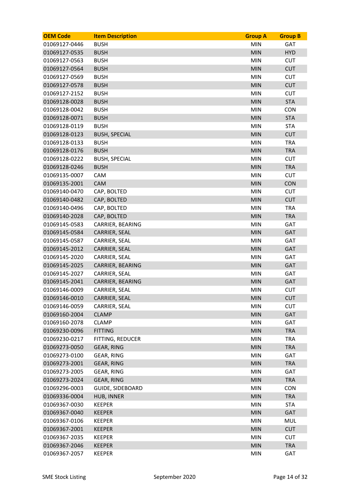| <b>OEM Code</b> | <b>Item Description</b> | <b>Group A</b> | <b>Group B</b> |
|-----------------|-------------------------|----------------|----------------|
| 01069127-0446   | <b>BUSH</b>             | <b>MIN</b>     | <b>GAT</b>     |
| 01069127-0535   | <b>BUSH</b>             | <b>MIN</b>     | <b>HYD</b>     |
| 01069127-0563   | <b>BUSH</b>             | <b>MIN</b>     | <b>CUT</b>     |
| 01069127-0564   | <b>BUSH</b>             | <b>MIN</b>     | <b>CUT</b>     |
| 01069127-0569   | <b>BUSH</b>             | <b>MIN</b>     | <b>CUT</b>     |
| 01069127-0578   | <b>BUSH</b>             | <b>MIN</b>     | <b>CUT</b>     |
| 01069127-2152   | <b>BUSH</b>             | <b>MIN</b>     | <b>CUT</b>     |
| 01069128-0028   | <b>BUSH</b>             | <b>MIN</b>     | <b>STA</b>     |
| 01069128-0042   | <b>BUSH</b>             | <b>MIN</b>     | <b>CON</b>     |
| 01069128-0071   | <b>BUSH</b>             | <b>MIN</b>     | <b>STA</b>     |
| 01069128-0119   | <b>BUSH</b>             | <b>MIN</b>     | <b>STA</b>     |
| 01069128-0123   | <b>BUSH, SPECIAL</b>    | <b>MIN</b>     | <b>CUT</b>     |
| 01069128-0133   | <b>BUSH</b>             | <b>MIN</b>     | <b>TRA</b>     |
| 01069128-0176   | <b>BUSH</b>             | <b>MIN</b>     | <b>TRA</b>     |
| 01069128-0222   | <b>BUSH, SPECIAL</b>    | <b>MIN</b>     | <b>CUT</b>     |
| 01069128-0246   | <b>BUSH</b>             | <b>MIN</b>     | <b>TRA</b>     |
| 01069135-0007   | CAM                     | <b>MIN</b>     | <b>CUT</b>     |
| 01069135-2001   | <b>CAM</b>              | <b>MIN</b>     | <b>CON</b>     |
| 01069140-0470   | CAP, BOLTED             | <b>MIN</b>     | <b>CUT</b>     |
| 01069140-0482   | CAP, BOLTED             | <b>MIN</b>     | <b>CUT</b>     |
| 01069140-0496   | CAP, BOLTED             | <b>MIN</b>     | <b>TRA</b>     |
| 01069140-2028   | CAP, BOLTED             | <b>MIN</b>     | <b>TRA</b>     |
| 01069145-0583   | CARRIER, BEARING        | <b>MIN</b>     | GAT            |
| 01069145-0584   | CARRIER, SEAL           | <b>MIN</b>     | GAT            |
| 01069145-0587   | CARRIER, SEAL           | <b>MIN</b>     | <b>GAT</b>     |
| 01069145-2012   | CARRIER, SEAL           | <b>MIN</b>     | <b>GAT</b>     |
| 01069145-2020   | CARRIER, SEAL           | <b>MIN</b>     | <b>GAT</b>     |
| 01069145-2025   | CARRIER, BEARING        | <b>MIN</b>     | GAT            |
| 01069145-2027   | CARRIER, SEAL           | <b>MIN</b>     | GAT            |
| 01069145-2041   | CARRIER, BEARING        | <b>MIN</b>     | <b>GAT</b>     |
| 01069146-0009   | CARRIER, SEAL           | <b>MIN</b>     | <b>CUT</b>     |
| 01069146-0010   | CARRIER, SEAL           | <b>MIN</b>     | <b>CUT</b>     |
| 01069146-0059   | CARRIER, SEAL           | <b>MIN</b>     | <b>CUT</b>     |
| 01069160-2004   | <b>CLAMP</b>            | <b>MIN</b>     | GAT            |
| 01069160-2078   | <b>CLAMP</b>            | <b>MIN</b>     | GAT            |
| 01069230-0096   | <b>FITTING</b>          | <b>MIN</b>     | <b>TRA</b>     |
| 01069230-0217   | FITTING, REDUCER        | <b>MIN</b>     | <b>TRA</b>     |
| 01069273-0050   | <b>GEAR, RING</b>       | MIN            | <b>TRA</b>     |
| 01069273-0100   | <b>GEAR, RING</b>       | <b>MIN</b>     | GAT            |
| 01069273-2001   | <b>GEAR, RING</b>       | <b>MIN</b>     | <b>TRA</b>     |
| 01069273-2005   | <b>GEAR, RING</b>       | <b>MIN</b>     | GAT            |
| 01069273-2024   | <b>GEAR, RING</b>       | <b>MIN</b>     | <b>TRA</b>     |
| 01069296-0003   | <b>GUIDE, SIDEBOARD</b> | <b>MIN</b>     | <b>CON</b>     |
| 01069336-0004   | <b>HUB, INNER</b>       | MIN            | <b>TRA</b>     |
| 01069367-0030   | <b>KEEPER</b>           | <b>MIN</b>     | <b>STA</b>     |
| 01069367-0040   | <b>KEEPER</b>           | <b>MIN</b>     | GAT            |
| 01069367-0106   | <b>KEEPER</b>           | <b>MIN</b>     | <b>MUL</b>     |
| 01069367-2001   | <b>KEEPER</b>           | MIN            | <b>CUT</b>     |
| 01069367-2035   | <b>KEEPER</b>           | <b>MIN</b>     | <b>CUT</b>     |
| 01069367-2046   | <b>KEEPER</b>           | <b>MIN</b>     | <b>TRA</b>     |
| 01069367-2057   | <b>KEEPER</b>           | MIN            | GAT            |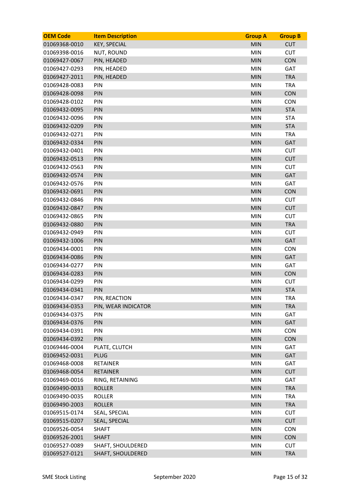| <b>OEM Code</b> | <b>Item Description</b>  | <b>Group A</b> | <b>Group B</b> |
|-----------------|--------------------------|----------------|----------------|
| 01069368-0010   | <b>KEY, SPECIAL</b>      | <b>MIN</b>     | <b>CUT</b>     |
| 01069398-0016   | <b>NUT, ROUND</b>        | <b>MIN</b>     | <b>CUT</b>     |
| 01069427-0067   | PIN, HEADED              | <b>MIN</b>     | <b>CON</b>     |
| 01069427-0293   | PIN, HEADED              | <b>MIN</b>     | <b>GAT</b>     |
| 01069427-2011   | PIN, HEADED              | <b>MIN</b>     | <b>TRA</b>     |
| 01069428-0083   | PIN                      | <b>MIN</b>     | <b>TRA</b>     |
| 01069428-0098   | PIN                      | <b>MIN</b>     | <b>CON</b>     |
| 01069428-0102   | PIN                      | <b>MIN</b>     | <b>CON</b>     |
| 01069432-0095   | PIN                      | <b>MIN</b>     | <b>STA</b>     |
| 01069432-0096   | PIN                      | <b>MIN</b>     | <b>STA</b>     |
| 01069432-0209   | PIN                      | <b>MIN</b>     | <b>STA</b>     |
| 01069432-0271   | PIN                      | <b>MIN</b>     | <b>TRA</b>     |
| 01069432-0334   | PIN                      | <b>MIN</b>     | <b>GAT</b>     |
| 01069432-0401   | PIN                      | <b>MIN</b>     | <b>CUT</b>     |
| 01069432-0513   | PIN                      | <b>MIN</b>     | <b>CUT</b>     |
| 01069432-0563   | PIN                      | <b>MIN</b>     | <b>CUT</b>     |
| 01069432-0574   | PIN                      | <b>MIN</b>     | <b>GAT</b>     |
| 01069432-0576   | PIN                      | <b>MIN</b>     | <b>GAT</b>     |
| 01069432-0691   | PIN                      | <b>MIN</b>     | <b>CON</b>     |
| 01069432-0846   | PIN                      | <b>MIN</b>     | <b>CUT</b>     |
| 01069432-0847   | PIN                      | <b>MIN</b>     | <b>CUT</b>     |
| 01069432-0865   | PIN                      | <b>MIN</b>     | <b>CUT</b>     |
| 01069432-0880   | PIN                      | <b>MIN</b>     | <b>TRA</b>     |
| 01069432-0949   | PIN                      | <b>MIN</b>     | <b>CUT</b>     |
| 01069432-1006   | PIN                      | <b>MIN</b>     | <b>GAT</b>     |
| 01069434-0001   | PIN                      | <b>MIN</b>     | <b>CON</b>     |
| 01069434-0086   | PIN                      | <b>MIN</b>     | <b>GAT</b>     |
| 01069434-0277   | PIN                      | <b>MIN</b>     | GAT            |
| 01069434-0283   | PIN                      | <b>MIN</b>     | <b>CON</b>     |
| 01069434-0299   | <b>PIN</b>               | <b>MIN</b>     | <b>CUT</b>     |
| 01069434-0341   | PIN                      | <b>MIN</b>     | <b>STA</b>     |
| 01069434-0347   | PIN, REACTION            | <b>MIN</b>     | <b>TRA</b>     |
| 01069434-0353   | PIN, WEAR INDICATOR      | <b>MIN</b>     | <b>TRA</b>     |
| 01069434-0375   | PIN                      | <b>MIN</b>     | GAT            |
| 01069434-0376   | PIN                      | <b>MIN</b>     | GAT            |
| 01069434-0391   | PIN                      | <b>MIN</b>     | <b>CON</b>     |
| 01069434-0392   | PIN                      | <b>MIN</b>     | <b>CON</b>     |
| 01069446-0004   | PLATE, CLUTCH            | <b>MIN</b>     | GAT            |
| 01069452-0031   | <b>PLUG</b>              | <b>MIN</b>     | <b>GAT</b>     |
| 01069468-0008   | <b>RETAINER</b>          | <b>MIN</b>     | GAT            |
| 01069468-0054   | <b>RETAINER</b>          | <b>MIN</b>     | <b>CUT</b>     |
| 01069469-0016   | RING, RETAINING          | <b>MIN</b>     | GAT            |
| 01069490-0033   | <b>ROLLER</b>            | <b>MIN</b>     | <b>TRA</b>     |
| 01069490-0035   | <b>ROLLER</b>            | <b>MIN</b>     | <b>TRA</b>     |
| 01069490-2003   | <b>ROLLER</b>            | <b>MIN</b>     | <b>TRA</b>     |
| 01069515-0174   | SEAL, SPECIAL            | <b>MIN</b>     | <b>CUT</b>     |
| 01069515-0207   | SEAL, SPECIAL            | <b>MIN</b>     | <b>CUT</b>     |
| 01069526-0054   | <b>SHAFT</b>             | <b>MIN</b>     | <b>CON</b>     |
| 01069526-2001   | <b>SHAFT</b>             | <b>MIN</b>     | <b>CON</b>     |
| 01069527-0089   | <b>SHAFT, SHOULDERED</b> | <b>MIN</b>     | <b>CUT</b>     |
| 01069527-0121   | SHAFT, SHOULDERED        | <b>MIN</b>     | <b>TRA</b>     |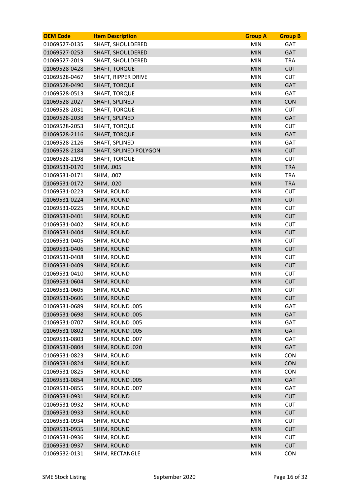| <b>OEM Code</b> | <b>Item Description</b>    | <b>Group A</b> | <b>Group B</b> |
|-----------------|----------------------------|----------------|----------------|
| 01069527-0135   | SHAFT, SHOULDERED          | <b>MIN</b>     | GAT            |
| 01069527-0253   | <b>SHAFT, SHOULDERED</b>   | <b>MIN</b>     | GAT            |
| 01069527-2019   | <b>SHAFT, SHOULDERED</b>   | <b>MIN</b>     | <b>TRA</b>     |
| 01069528-0428   | <b>SHAFT, TORQUE</b>       | <b>MIN</b>     | <b>CUT</b>     |
| 01069528-0467   | <b>SHAFT, RIPPER DRIVE</b> | <b>MIN</b>     | <b>CUT</b>     |
| 01069528-0490   | <b>SHAFT, TORQUE</b>       | <b>MIN</b>     | GAT            |
| 01069528-0513   | <b>SHAFT, TORQUE</b>       | <b>MIN</b>     | GAT            |
| 01069528-2027   | SHAFT, SPLINED             | <b>MIN</b>     | <b>CON</b>     |
| 01069528-2031   | <b>SHAFT, TORQUE</b>       | <b>MIN</b>     | <b>CUT</b>     |
| 01069528-2038   | SHAFT, SPLINED             | <b>MIN</b>     | GAT            |
| 01069528-2053   | <b>SHAFT, TORQUE</b>       | <b>MIN</b>     | <b>CUT</b>     |
| 01069528-2116   | <b>SHAFT, TORQUE</b>       | <b>MIN</b>     | GAT            |
| 01069528-2126   | SHAFT, SPLINED             | <b>MIN</b>     | GAT            |
| 01069528-2184   | SHAFT, SPLINED POLYGON     | <b>MIN</b>     | <b>CUT</b>     |
| 01069528-2198   | <b>SHAFT, TORQUE</b>       | <b>MIN</b>     | <b>CUT</b>     |
| 01069531-0170   | SHIM, .005                 | <b>MIN</b>     | <b>TRA</b>     |
| 01069531-0171   | SHIM, .007                 | <b>MIN</b>     | <b>TRA</b>     |
| 01069531-0172   | SHIM, .020                 | <b>MIN</b>     | <b>TRA</b>     |
| 01069531-0223   | SHIM, ROUND                | <b>MIN</b>     | <b>CUT</b>     |
| 01069531-0224   | SHIM, ROUND                | <b>MIN</b>     | <b>CUT</b>     |
| 01069531-0225   | SHIM, ROUND                | <b>MIN</b>     | <b>CUT</b>     |
| 01069531-0401   | SHIM, ROUND                | <b>MIN</b>     | <b>CUT</b>     |
| 01069531-0402   | SHIM, ROUND                | <b>MIN</b>     | <b>CUT</b>     |
| 01069531-0404   | SHIM, ROUND                | <b>MIN</b>     | <b>CUT</b>     |
| 01069531-0405   | SHIM, ROUND                | <b>MIN</b>     | <b>CUT</b>     |
| 01069531-0406   | SHIM, ROUND                | <b>MIN</b>     | <b>CUT</b>     |
| 01069531-0408   | SHIM, ROUND                | <b>MIN</b>     | <b>CUT</b>     |
| 01069531-0409   | SHIM, ROUND                | <b>MIN</b>     | <b>CUT</b>     |
| 01069531-0410   | SHIM, ROUND                | <b>MIN</b>     | <b>CUT</b>     |
| 01069531-0604   | SHIM, ROUND                | <b>MIN</b>     | <b>CUT</b>     |
| 01069531-0605   | SHIM, ROUND                | <b>MIN</b>     | <b>CUT</b>     |
| 01069531-0606   | SHIM, ROUND                | <b>MIN</b>     | <b>CUT</b>     |
| 01069531-0689   | SHIM, ROUND .005           | <b>MIN</b>     | GAT            |
| 01069531-0698   | SHIM, ROUND .005           | <b>MIN</b>     | GAT            |
| 01069531-0707   | SHIM, ROUND .005           | <b>MIN</b>     | GAT            |
| 01069531-0802   | SHIM, ROUND .005           | <b>MIN</b>     | GAT            |
| 01069531-0803   | SHIM, ROUND .007           | <b>MIN</b>     | GAT            |
| 01069531-0804   | SHIM, ROUND .020           | MIN            | GAT            |
| 01069531-0823   | SHIM, ROUND                | <b>MIN</b>     | <b>CON</b>     |
| 01069531-0824   | SHIM, ROUND                | <b>MIN</b>     | CON            |
| 01069531-0825   | SHIM, ROUND                | <b>MIN</b>     | <b>CON</b>     |
| 01069531-0854   | SHIM, ROUND .005           | <b>MIN</b>     | GAT            |
| 01069531-0855   | SHIM, ROUND .007           | <b>MIN</b>     | <b>GAT</b>     |
| 01069531-0931   | SHIM, ROUND                | MIN            | <b>CUT</b>     |
| 01069531-0932   | SHIM, ROUND                | <b>MIN</b>     | <b>CUT</b>     |
| 01069531-0933   | SHIM, ROUND                | <b>MIN</b>     | <b>CUT</b>     |
| 01069531-0934   | SHIM, ROUND                | <b>MIN</b>     | <b>CUT</b>     |
| 01069531-0935   | SHIM, ROUND                | <b>MIN</b>     | <b>CUT</b>     |
| 01069531-0936   | SHIM, ROUND                | <b>MIN</b>     | <b>CUT</b>     |
| 01069531-0937   | SHIM, ROUND                | MIN            | <b>CUT</b>     |
| 01069532-0131   | SHIM, RECTANGLE            | <b>MIN</b>     | <b>CON</b>     |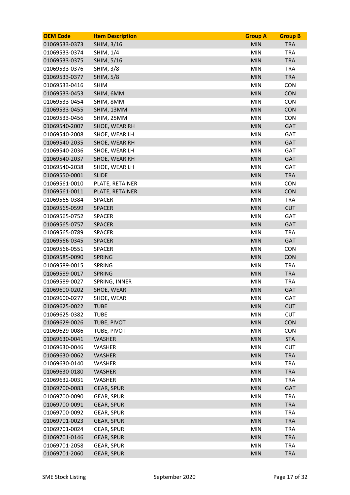| <b>OEM Code</b> | <b>Item Description</b> | <b>Group A</b> | <b>Group B</b> |
|-----------------|-------------------------|----------------|----------------|
| 01069533-0373   | SHIM, 3/16              | <b>MIN</b>     | <b>TRA</b>     |
| 01069533-0374   | SHIM, 1/4               | <b>MIN</b>     | <b>TRA</b>     |
| 01069533-0375   | SHIM, 5/16              | <b>MIN</b>     | <b>TRA</b>     |
| 01069533-0376   | <b>SHIM, 3/8</b>        | <b>MIN</b>     | <b>TRA</b>     |
| 01069533-0377   | <b>SHIM, 5/8</b>        | <b>MIN</b>     | <b>TRA</b>     |
| 01069533-0416   | <b>SHIM</b>             | <b>MIN</b>     | <b>CON</b>     |
| 01069533-0453   | SHIM, 6MM               | <b>MIN</b>     | <b>CON</b>     |
| 01069533-0454   | SHIM, 8MM               | <b>MIN</b>     | <b>CON</b>     |
| 01069533-0455   | SHIM, 13MM              | <b>MIN</b>     | <b>CON</b>     |
| 01069533-0456   | SHIM, 25MM              | <b>MIN</b>     | <b>CON</b>     |
| 01069540-2007   | SHOE, WEAR RH           | <b>MIN</b>     | <b>GAT</b>     |
| 01069540-2008   | SHOE, WEAR LH           | <b>MIN</b>     | <b>GAT</b>     |
| 01069540-2035   | SHOE, WEAR RH           | <b>MIN</b>     | <b>GAT</b>     |
| 01069540-2036   | SHOE, WEAR LH           | <b>MIN</b>     | GAT            |
| 01069540-2037   | SHOE, WEAR RH           | <b>MIN</b>     | <b>GAT</b>     |
| 01069540-2038   | SHOE, WEAR LH           | <b>MIN</b>     | <b>GAT</b>     |
| 01069550-0001   | <b>SLIDE</b>            | <b>MIN</b>     | <b>TRA</b>     |
| 01069561-0010   | PLATE, RETAINER         | <b>MIN</b>     | <b>CON</b>     |
| 01069561-0011   | PLATE, RETAINER         | <b>MIN</b>     | CON            |
| 01069565-0384   | <b>SPACER</b>           | <b>MIN</b>     | <b>TRA</b>     |
| 01069565-0599   | <b>SPACER</b>           | <b>MIN</b>     | <b>CUT</b>     |
| 01069565-0752   | <b>SPACER</b>           | <b>MIN</b>     | GAT            |
| 01069565-0757   | <b>SPACER</b>           | <b>MIN</b>     | <b>GAT</b>     |
| 01069565-0789   | <b>SPACER</b>           | <b>MIN</b>     | <b>TRA</b>     |
| 01069566-0345   | <b>SPACER</b>           | <b>MIN</b>     | <b>GAT</b>     |
| 01069566-0551   | <b>SPACER</b>           | <b>MIN</b>     | <b>CON</b>     |
| 01069585-0090   | <b>SPRING</b>           | <b>MIN</b>     | CON            |
| 01069589-0015   | <b>SPRING</b>           | <b>MIN</b>     | <b>TRA</b>     |
| 01069589-0017   | <b>SPRING</b>           | <b>MIN</b>     | <b>TRA</b>     |
| 01069589-0027   | SPRING, INNER           | <b>MIN</b>     | <b>TRA</b>     |
| 01069600-0202   | SHOE, WEAR              | <b>MIN</b>     | <b>GAT</b>     |
| 01069600-0277   | SHOE, WEAR              | <b>MIN</b>     | GAT            |
| 01069625-0022   | <b>TUBE</b>             | <b>MIN</b>     | <b>CUT</b>     |
| 01069625-0382   | <b>TUBE</b>             | <b>MIN</b>     | <b>CUT</b>     |
| 01069629-0026   | TUBE, PIVOT             | <b>MIN</b>     | CON            |
| 01069629-0086   | TUBE, PIVOT             | <b>MIN</b>     | <b>CON</b>     |
| 01069630-0041   | <b>WASHER</b>           | <b>MIN</b>     | <b>STA</b>     |
| 01069630-0046   | <b>WASHER</b>           | <b>MIN</b>     | <b>CUT</b>     |
| 01069630-0062   | <b>WASHER</b>           | <b>MIN</b>     | <b>TRA</b>     |
| 01069630-0140   | <b>WASHER</b>           | <b>MIN</b>     | <b>TRA</b>     |
| 01069630-0180   | <b>WASHER</b>           | <b>MIN</b>     | <b>TRA</b>     |
| 01069632-0031   | <b>WASHER</b>           | <b>MIN</b>     | <b>TRA</b>     |
| 01069700-0083   | <b>GEAR, SPUR</b>       | <b>MIN</b>     | <b>GAT</b>     |
| 01069700-0090   | <b>GEAR, SPUR</b>       | <b>MIN</b>     | <b>TRA</b>     |
| 01069700-0091   | <b>GEAR, SPUR</b>       | <b>MIN</b>     | <b>TRA</b>     |
| 01069700-0092   | <b>GEAR, SPUR</b>       | <b>MIN</b>     | <b>TRA</b>     |
| 01069701-0023   | <b>GEAR, SPUR</b>       | <b>MIN</b>     | <b>TRA</b>     |
| 01069701-0024   | <b>GEAR, SPUR</b>       | <b>MIN</b>     | <b>TRA</b>     |
| 01069701-0146   | <b>GEAR, SPUR</b>       | <b>MIN</b>     | <b>TRA</b>     |
| 01069701-2058   | <b>GEAR, SPUR</b>       | <b>MIN</b>     | <b>TRA</b>     |
| 01069701-2060   | <b>GEAR, SPUR</b>       | <b>MIN</b>     | <b>TRA</b>     |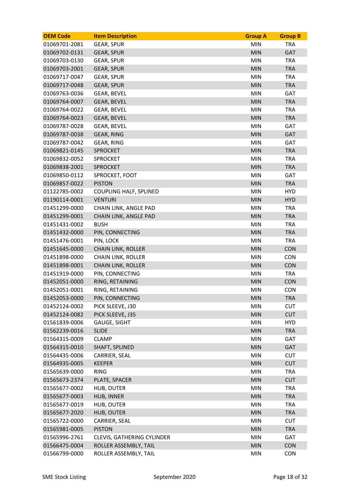| <b>OEM Code</b> | <b>Item Description</b>           | <b>Group A</b> | <b>Group B</b> |
|-----------------|-----------------------------------|----------------|----------------|
| 01069701-2081   | <b>GEAR, SPUR</b>                 | <b>MIN</b>     | <b>TRA</b>     |
| 01069702-0131   | <b>GEAR, SPUR</b>                 | <b>MIN</b>     | GAT            |
| 01069703-0130   | <b>GEAR, SPUR</b>                 | <b>MIN</b>     | <b>TRA</b>     |
| 01069703-2001   | <b>GEAR, SPUR</b>                 | <b>MIN</b>     | <b>TRA</b>     |
| 01069717-0047   | <b>GEAR, SPUR</b>                 | <b>MIN</b>     | <b>TRA</b>     |
| 01069717-0048   | <b>GEAR, SPUR</b>                 | <b>MIN</b>     | <b>TRA</b>     |
| 01069763-0036   | <b>GEAR, BEVEL</b>                | <b>MIN</b>     | GAT            |
| 01069764-0007   | <b>GEAR, BEVEL</b>                | <b>MIN</b>     | <b>TRA</b>     |
| 01069764-0022   | <b>GEAR, BEVEL</b>                | <b>MIN</b>     | <b>TRA</b>     |
| 01069764-0023   | <b>GEAR, BEVEL</b>                | <b>MIN</b>     | <b>TRA</b>     |
| 01069787-0028   | <b>GEAR, BEVEL</b>                | <b>MIN</b>     | GAT            |
| 01069787-0038   | <b>GEAR, RING</b>                 | <b>MIN</b>     | <b>GAT</b>     |
| 01069787-0042   | <b>GEAR, RING</b>                 | <b>MIN</b>     | <b>GAT</b>     |
| 01069821-0145   | <b>SPROCKET</b>                   | <b>MIN</b>     | <b>TRA</b>     |
| 01069832-0052   | <b>SPROCKET</b>                   | <b>MIN</b>     | <b>TRA</b>     |
| 01069838-2001   | <b>SPROCKET</b>                   | <b>MIN</b>     | <b>TRA</b>     |
| 01069850-0112   | SPROCKET, FOOT                    | <b>MIN</b>     | GAT            |
| 01069857-0022   | <b>PISTON</b>                     | <b>MIN</b>     | <b>TRA</b>     |
| 01122785-0002   | <b>COUPLING HALF, SPLINED</b>     | <b>MIN</b>     | <b>HYD</b>     |
| 01190114-0001   | <b>VENTURI</b>                    | <b>MIN</b>     | <b>HYD</b>     |
| 01451299-0000   | CHAIN LINK, ANGLE PAD             | <b>MIN</b>     | <b>TRA</b>     |
| 01451299-0001   | CHAIN LINK, ANGLE PAD             | <b>MIN</b>     | <b>TRA</b>     |
| 01451431-0002   | <b>BUSH</b>                       | <b>MIN</b>     | <b>TRA</b>     |
| 01451432-0000   | PIN, CONNECTING                   | <b>MIN</b>     | <b>TRA</b>     |
| 01451476-0001   | PIN, LOCK                         | <b>MIN</b>     | <b>TRA</b>     |
| 01451645-0000   | <b>CHAIN LINK, ROLLER</b>         | <b>MIN</b>     | <b>CON</b>     |
| 01451898-0000   | <b>CHAIN LINK, ROLLER</b>         | <b>MIN</b>     | <b>CON</b>     |
| 01451898-0001   | <b>CHAIN LINK, ROLLER</b>         | <b>MIN</b>     | <b>CON</b>     |
| 01451919-0000   | PIN, CONNECTING                   | <b>MIN</b>     | <b>TRA</b>     |
| 01452051-0000   | RING, RETAINING                   | <b>MIN</b>     | <b>CON</b>     |
| 01452051-0001   | RING, RETAINING                   | <b>MIN</b>     | <b>CON</b>     |
| 01452053-0000   | PIN, CONNECTING                   | <b>MIN</b>     | <b>TRA</b>     |
| 01452124-0002   | PICK SLEEVE, J30                  | <b>MIN</b>     | <b>CUT</b>     |
| 01452124-0082   | PICK SLEEVE, J35                  | <b>MIN</b>     | <b>CUT</b>     |
| 01561839-0006   | <b>GAUGE, SIGHT</b>               | <b>MIN</b>     | <b>HYD</b>     |
| 01562239-0016   | <b>SLIDE</b>                      | <b>MIN</b>     | <b>TRA</b>     |
| 01564315-0009   | <b>CLAMP</b>                      | MIN            | GAT            |
| 01564315-0010   | SHAFT, SPLINED                    | <b>MIN</b>     | <b>GAT</b>     |
| 01564435-0006   | CARRIER, SEAL                     | <b>MIN</b>     | <b>CUT</b>     |
| 01564935-0005   | <b>KEEPER</b>                     | <b>MIN</b>     | <b>CUT</b>     |
| 01565639-0000   | <b>RING</b>                       | <b>MIN</b>     | <b>TRA</b>     |
| 01565673-2374   | PLATE, SPACER                     | <b>MIN</b>     | <b>CUT</b>     |
| 01565677-0002   | HUB, OUTER                        | <b>MIN</b>     | <b>TRA</b>     |
| 01565677-0003   | HUB, INNER                        | <b>MIN</b>     | <b>TRA</b>     |
| 01565677-0019   | HUB, OUTER                        | <b>MIN</b>     | <b>TRA</b>     |
| 01565677-2020   | <b>HUB, OUTER</b>                 | <b>MIN</b>     | <b>TRA</b>     |
| 01565722-0000   | CARRIER, SEAL                     | <b>MIN</b>     | <b>CUT</b>     |
| 01565981-0005   | <b>PISTON</b>                     | <b>MIN</b>     | <b>TRA</b>     |
| 01565996-2761   | <b>CLEVIS, GATHERING CYLINDER</b> | <b>MIN</b>     | <b>GAT</b>     |
| 01566475-0004   | ROLLER ASSEMBLY, TAIL             | <b>MIN</b>     | <b>CON</b>     |
| 01566799-0000   | ROLLER ASSEMBLY, TAIL             | MIN            | <b>CON</b>     |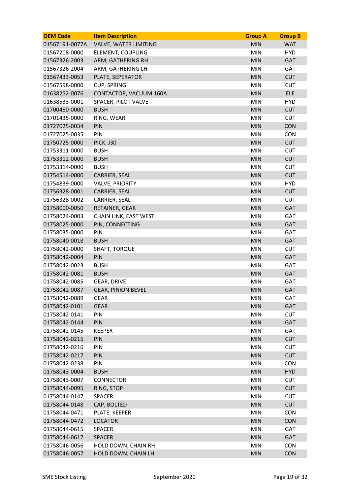| <b>OEM Code</b> | <b>Item Description</b>   | <b>Group A</b> | <b>Group B</b> |
|-----------------|---------------------------|----------------|----------------|
| 01567191-0077A  | VALVE, WATER LIMITING     | <b>MIN</b>     | <b>WAT</b>     |
| 01567208-0000   | ELEMENT, COUPLING         | <b>MIN</b>     | <b>HYD</b>     |
| 01567326-2003   | ARM, GATHERING RH         | <b>MIN</b>     | <b>GAT</b>     |
| 01567326-2004   | ARM, GATHERING LH         | <b>MIN</b>     | <b>GAT</b>     |
| 01567433-0053   | PLATE, SEPERATOR          | <b>MIN</b>     | <b>CUT</b>     |
| 01567598-0000   | CUP, SPRING               | <b>MIN</b>     | <b>CUT</b>     |
| 01638252-0076   | CONTACTOR, VACUUM 160A    | <b>MIN</b>     | <b>ELE</b>     |
| 01638533-0001   | SPACER, PILOT VALVE       | <b>MIN</b>     | <b>HYD</b>     |
| 01700480-0000   | <b>BUSH</b>               | <b>MIN</b>     | <b>CUT</b>     |
| 01701435-0000   | RING, WEAR                | <b>MIN</b>     | <b>CUT</b>     |
| 01727025-0034   | PIN                       | <b>MIN</b>     | <b>CON</b>     |
| 01727025-0035   | PIN                       | <b>MIN</b>     | <b>CON</b>     |
| 01750725-0000   | <b>PICK, J30</b>          | <b>MIN</b>     | <b>CUT</b>     |
| 01753311-0000   | <b>BUSH</b>               | <b>MIN</b>     | <b>CUT</b>     |
| 01753312-0000   | <b>BUSH</b>               | <b>MIN</b>     | <b>CUT</b>     |
| 01753314-0000   | <b>BUSH</b>               | <b>MIN</b>     | <b>CUT</b>     |
| 01754514-0000   | <b>CARRIER, SEAL</b>      | <b>MIN</b>     | <b>CUT</b>     |
| 01754839-0000   | <b>VALVE, PRIORITY</b>    | <b>MIN</b>     | <b>HYD</b>     |
| 01756328-0001   | CARRIER, SEAL             | <b>MIN</b>     | <b>CUT</b>     |
| 01756328-0002   | CARRIER, SEAL             | <b>MIN</b>     | <b>CUT</b>     |
| 01758000-0050   | RETAINER, GEAR            | <b>MIN</b>     | <b>GAT</b>     |
| 01758024-0003   | CHAIN LINK, EAST WEST     | <b>MIN</b>     | <b>GAT</b>     |
| 01758025-0000   | PIN, CONNECTING           | <b>MIN</b>     | <b>GAT</b>     |
| 01758035-0000   | <b>PIN</b>                | <b>MIN</b>     | GAT            |
| 01758040-0018   | <b>BUSH</b>               | <b>MIN</b>     | <b>GAT</b>     |
| 01758042-0000   | SHAFT, TORQUE             | <b>MIN</b>     | <b>CUT</b>     |
| 01758042-0004   | PIN                       | <b>MIN</b>     | GAT            |
| 01758042-0023   | <b>BUSH</b>               | <b>MIN</b>     | GAT            |
| 01758042-0081   | <b>BUSH</b>               | <b>MIN</b>     | <b>GAT</b>     |
| 01758042-0085   | <b>GEAR, DRIVE</b>        | <b>MIN</b>     | <b>GAT</b>     |
| 01758042-0087   | <b>GEAR, PINION BEVEL</b> | <b>MIN</b>     | GAT            |
| 01758042-0089   | <b>GEAR</b>               | <b>MIN</b>     | GAT            |
| 01758042-0101   | <b>GEAR</b>               | <b>MIN</b>     | GAT            |
| 01758042-0141   | PIN                       | <b>MIN</b>     | <b>CUT</b>     |
| 01758042-0144   | PIN                       | <b>MIN</b>     | <b>GAT</b>     |
| 01758042-0145   | <b>KEEPER</b>             | <b>MIN</b>     | GAT            |
| 01758042-0215   | PIN                       | <b>MIN</b>     | <b>CUT</b>     |
| 01758042-0216   | PIN                       | <b>MIN</b>     | <b>CUT</b>     |
| 01758042-0217   | PIN                       | <b>MIN</b>     | <b>CUT</b>     |
| 01758042-0238   | PIN                       | <b>MIN</b>     | <b>CON</b>     |
| 01758043-0004   | <b>BUSH</b>               | <b>MIN</b>     | <b>HYD</b>     |
| 01758043-0007   | <b>CONNECTOR</b>          | <b>MIN</b>     | <b>CUT</b>     |
| 01758044-0095   | RING, STOP                | <b>MIN</b>     | <b>CUT</b>     |
| 01758044-0147   | <b>SPACER</b>             | <b>MIN</b>     | <b>CUT</b>     |
| 01758044-0148   | CAP, BOLTED               | <b>MIN</b>     | <b>CUT</b>     |
| 01758044-0471   | PLATE, KEEPER             | <b>MIN</b>     | <b>CON</b>     |
| 01758044-0472   | <b>LOCATOR</b>            | <b>MIN</b>     | <b>CON</b>     |
| 01758044-0615   | <b>SPACER</b>             | <b>MIN</b>     | GAT            |
| 01758044-0617   | <b>SPACER</b>             | <b>MIN</b>     | GAT            |
| 01758046-0056   | HOLD DOWN, CHAIN RH       | <b>MIN</b>     | <b>CON</b>     |
| 01758046-0057   | HOLD DOWN, CHAIN LH       | <b>MIN</b>     | <b>CON</b>     |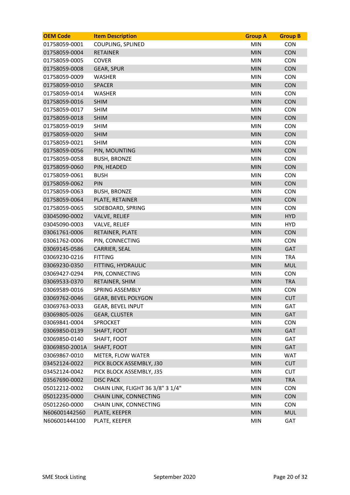| COUPLING, SPLINED<br><b>MIN</b><br><b>CON</b><br>01758059-0001<br>01758059-0004<br><b>RETAINER</b><br><b>MIN</b><br><b>CON</b><br><b>MIN</b><br>01758059-0005<br><b>COVER</b><br><b>CON</b><br>01758059-0008<br><b>GEAR, SPUR</b><br><b>MIN</b><br><b>CON</b><br><b>CON</b><br>01758059-0009<br><b>WASHER</b><br><b>MIN</b><br>01758059-0010<br><b>MIN</b><br><b>CON</b><br><b>SPACER</b><br><b>MIN</b><br><b>CON</b><br>01758059-0014<br><b>WASHER</b><br><b>CON</b><br>01758059-0016<br><b>SHIM</b><br><b>MIN</b><br>01758059-0017<br><b>MIN</b><br><b>SHIM</b><br><b>CON</b><br>CON<br>01758059-0018<br><b>SHIM</b><br><b>MIN</b><br><b>SHIM</b><br><b>MIN</b><br><b>CON</b><br>01758059-0019<br>01758059-0020<br><b>SHIM</b><br><b>MIN</b><br><b>CON</b><br>01758059-0021<br><b>SHIM</b><br><b>MIN</b><br><b>CON</b><br><b>CON</b><br>01758059-0056<br>PIN, MOUNTING<br><b>MIN</b><br><b>CON</b><br>01758059-0058<br><b>BUSH, BRONZE</b><br><b>MIN</b><br>CON<br>01758059-0060<br>PIN, HEADED<br><b>MIN</b><br><b>MIN</b><br><b>CON</b><br>01758059-0061<br><b>BUSH</b><br><b>MIN</b><br><b>CON</b><br>01758059-0062<br>PIN<br><b>CON</b><br>01758059-0063<br><b>BUSH, BRONZE</b><br><b>MIN</b><br><b>MIN</b><br><b>CON</b><br>01758059-0064<br>PLATE, RETAINER<br>01758059-0065<br>SIDEBOARD, SPRING<br><b>MIN</b><br><b>CON</b><br>03045090-0002<br><b>HYD</b><br><b>VALVE, RELIEF</b><br><b>MIN</b><br><b>MIN</b><br><b>HYD</b><br>03045090-0003<br><b>VALVE, RELIEF</b><br>03061761-0006<br>RETAINER, PLATE<br><b>MIN</b><br><b>CON</b><br><b>MIN</b><br>03061762-0006<br>PIN, CONNECTING<br><b>CON</b><br><b>MIN</b><br><b>GAT</b><br>03069145-0586<br>CARRIER, SEAL<br>03069230-0216<br><b>FITTING</b><br><b>MIN</b><br><b>TRA</b><br>03069230-0350<br><b>MUL</b><br>FITTING, HYDRAULIC<br><b>MIN</b><br><b>MIN</b><br><b>CON</b><br>03069427-0294<br>PIN, CONNECTING<br>03069533-0370<br>RETAINER, SHIM<br><b>MIN</b><br><b>TRA</b><br>03069589-0016<br><b>SPRING ASSEMBLY</b><br><b>MIN</b><br><b>CON</b><br><b>GEAR, BEVEL POLYGON</b><br><b>CUT</b><br>03069762-0046<br><b>MIN</b><br>03069763-0033<br><b>GEAR, BEVEL INPUT</b><br><b>MIN</b><br>GAT<br><b>MIN</b><br><b>GAT</b><br><b>GEAR, CLUSTER</b><br>03069805-0026<br><b>MIN</b><br><b>CON</b><br>03069841-0004<br><b>SPROCKET</b><br>03069850-0139<br>SHAFT, FOOT<br><b>MIN</b><br>GAT<br>03069850-0140<br><b>MIN</b><br>GAT<br>SHAFT, FOOT<br>03069850-2001A<br><b>MIN</b><br><b>GAT</b><br>SHAFT, FOOT<br><b>WAT</b><br>03069867-0010<br><b>METER, FLOW WATER</b><br><b>MIN</b><br><b>MIN</b><br><b>CUT</b><br>03452124-0022<br>PICK BLOCK ASSEMBLY, J30<br>03452124-0042<br>PICK BLOCK ASSEMBLY, J35<br><b>MIN</b><br><b>CUT</b><br><b>MIN</b><br><b>TRA</b><br>03567690-0002<br><b>DISC PACK</b><br>05012212-0002<br>CHAIN LINK, FLIGHT 36 3/8" 3 1/4"<br><b>MIN</b><br><b>CON</b><br>05012235-0000<br>CHAIN LINK, CONNECTING<br><b>CON</b><br><b>MIN</b><br><b>MIN</b><br><b>CON</b><br>05012260-0000<br>CHAIN LINK, CONNECTING<br>PLATE, KEEPER<br><b>MIN</b><br><b>MUL</b><br>N606001442560 | <b>OEM Code</b> | <b>Item Description</b> | <b>Group A</b> | <b>Group B</b> |
|--------------------------------------------------------------------------------------------------------------------------------------------------------------------------------------------------------------------------------------------------------------------------------------------------------------------------------------------------------------------------------------------------------------------------------------------------------------------------------------------------------------------------------------------------------------------------------------------------------------------------------------------------------------------------------------------------------------------------------------------------------------------------------------------------------------------------------------------------------------------------------------------------------------------------------------------------------------------------------------------------------------------------------------------------------------------------------------------------------------------------------------------------------------------------------------------------------------------------------------------------------------------------------------------------------------------------------------------------------------------------------------------------------------------------------------------------------------------------------------------------------------------------------------------------------------------------------------------------------------------------------------------------------------------------------------------------------------------------------------------------------------------------------------------------------------------------------------------------------------------------------------------------------------------------------------------------------------------------------------------------------------------------------------------------------------------------------------------------------------------------------------------------------------------------------------------------------------------------------------------------------------------------------------------------------------------------------------------------------------------------------------------------------------------------------------------------------------------------------------------------------------------------------------------------------------------------------------------------------------------------------------------------------------------------------------------------------------------------------------------------------------------------------------------------------------------------------------------------------------------------------------------------------------------------------------------------------------------------------------------------------------------------------------------------------------------------|-----------------|-------------------------|----------------|----------------|
|                                                                                                                                                                                                                                                                                                                                                                                                                                                                                                                                                                                                                                                                                                                                                                                                                                                                                                                                                                                                                                                                                                                                                                                                                                                                                                                                                                                                                                                                                                                                                                                                                                                                                                                                                                                                                                                                                                                                                                                                                                                                                                                                                                                                                                                                                                                                                                                                                                                                                                                                                                                                                                                                                                                                                                                                                                                                                                                                                                                                                                                                          |                 |                         |                |                |
|                                                                                                                                                                                                                                                                                                                                                                                                                                                                                                                                                                                                                                                                                                                                                                                                                                                                                                                                                                                                                                                                                                                                                                                                                                                                                                                                                                                                                                                                                                                                                                                                                                                                                                                                                                                                                                                                                                                                                                                                                                                                                                                                                                                                                                                                                                                                                                                                                                                                                                                                                                                                                                                                                                                                                                                                                                                                                                                                                                                                                                                                          |                 |                         |                |                |
|                                                                                                                                                                                                                                                                                                                                                                                                                                                                                                                                                                                                                                                                                                                                                                                                                                                                                                                                                                                                                                                                                                                                                                                                                                                                                                                                                                                                                                                                                                                                                                                                                                                                                                                                                                                                                                                                                                                                                                                                                                                                                                                                                                                                                                                                                                                                                                                                                                                                                                                                                                                                                                                                                                                                                                                                                                                                                                                                                                                                                                                                          |                 |                         |                |                |
|                                                                                                                                                                                                                                                                                                                                                                                                                                                                                                                                                                                                                                                                                                                                                                                                                                                                                                                                                                                                                                                                                                                                                                                                                                                                                                                                                                                                                                                                                                                                                                                                                                                                                                                                                                                                                                                                                                                                                                                                                                                                                                                                                                                                                                                                                                                                                                                                                                                                                                                                                                                                                                                                                                                                                                                                                                                                                                                                                                                                                                                                          |                 |                         |                |                |
|                                                                                                                                                                                                                                                                                                                                                                                                                                                                                                                                                                                                                                                                                                                                                                                                                                                                                                                                                                                                                                                                                                                                                                                                                                                                                                                                                                                                                                                                                                                                                                                                                                                                                                                                                                                                                                                                                                                                                                                                                                                                                                                                                                                                                                                                                                                                                                                                                                                                                                                                                                                                                                                                                                                                                                                                                                                                                                                                                                                                                                                                          |                 |                         |                |                |
|                                                                                                                                                                                                                                                                                                                                                                                                                                                                                                                                                                                                                                                                                                                                                                                                                                                                                                                                                                                                                                                                                                                                                                                                                                                                                                                                                                                                                                                                                                                                                                                                                                                                                                                                                                                                                                                                                                                                                                                                                                                                                                                                                                                                                                                                                                                                                                                                                                                                                                                                                                                                                                                                                                                                                                                                                                                                                                                                                                                                                                                                          |                 |                         |                |                |
|                                                                                                                                                                                                                                                                                                                                                                                                                                                                                                                                                                                                                                                                                                                                                                                                                                                                                                                                                                                                                                                                                                                                                                                                                                                                                                                                                                                                                                                                                                                                                                                                                                                                                                                                                                                                                                                                                                                                                                                                                                                                                                                                                                                                                                                                                                                                                                                                                                                                                                                                                                                                                                                                                                                                                                                                                                                                                                                                                                                                                                                                          |                 |                         |                |                |
|                                                                                                                                                                                                                                                                                                                                                                                                                                                                                                                                                                                                                                                                                                                                                                                                                                                                                                                                                                                                                                                                                                                                                                                                                                                                                                                                                                                                                                                                                                                                                                                                                                                                                                                                                                                                                                                                                                                                                                                                                                                                                                                                                                                                                                                                                                                                                                                                                                                                                                                                                                                                                                                                                                                                                                                                                                                                                                                                                                                                                                                                          |                 |                         |                |                |
|                                                                                                                                                                                                                                                                                                                                                                                                                                                                                                                                                                                                                                                                                                                                                                                                                                                                                                                                                                                                                                                                                                                                                                                                                                                                                                                                                                                                                                                                                                                                                                                                                                                                                                                                                                                                                                                                                                                                                                                                                                                                                                                                                                                                                                                                                                                                                                                                                                                                                                                                                                                                                                                                                                                                                                                                                                                                                                                                                                                                                                                                          |                 |                         |                |                |
|                                                                                                                                                                                                                                                                                                                                                                                                                                                                                                                                                                                                                                                                                                                                                                                                                                                                                                                                                                                                                                                                                                                                                                                                                                                                                                                                                                                                                                                                                                                                                                                                                                                                                                                                                                                                                                                                                                                                                                                                                                                                                                                                                                                                                                                                                                                                                                                                                                                                                                                                                                                                                                                                                                                                                                                                                                                                                                                                                                                                                                                                          |                 |                         |                |                |
|                                                                                                                                                                                                                                                                                                                                                                                                                                                                                                                                                                                                                                                                                                                                                                                                                                                                                                                                                                                                                                                                                                                                                                                                                                                                                                                                                                                                                                                                                                                                                                                                                                                                                                                                                                                                                                                                                                                                                                                                                                                                                                                                                                                                                                                                                                                                                                                                                                                                                                                                                                                                                                                                                                                                                                                                                                                                                                                                                                                                                                                                          |                 |                         |                |                |
|                                                                                                                                                                                                                                                                                                                                                                                                                                                                                                                                                                                                                                                                                                                                                                                                                                                                                                                                                                                                                                                                                                                                                                                                                                                                                                                                                                                                                                                                                                                                                                                                                                                                                                                                                                                                                                                                                                                                                                                                                                                                                                                                                                                                                                                                                                                                                                                                                                                                                                                                                                                                                                                                                                                                                                                                                                                                                                                                                                                                                                                                          |                 |                         |                |                |
|                                                                                                                                                                                                                                                                                                                                                                                                                                                                                                                                                                                                                                                                                                                                                                                                                                                                                                                                                                                                                                                                                                                                                                                                                                                                                                                                                                                                                                                                                                                                                                                                                                                                                                                                                                                                                                                                                                                                                                                                                                                                                                                                                                                                                                                                                                                                                                                                                                                                                                                                                                                                                                                                                                                                                                                                                                                                                                                                                                                                                                                                          |                 |                         |                |                |
|                                                                                                                                                                                                                                                                                                                                                                                                                                                                                                                                                                                                                                                                                                                                                                                                                                                                                                                                                                                                                                                                                                                                                                                                                                                                                                                                                                                                                                                                                                                                                                                                                                                                                                                                                                                                                                                                                                                                                                                                                                                                                                                                                                                                                                                                                                                                                                                                                                                                                                                                                                                                                                                                                                                                                                                                                                                                                                                                                                                                                                                                          |                 |                         |                |                |
|                                                                                                                                                                                                                                                                                                                                                                                                                                                                                                                                                                                                                                                                                                                                                                                                                                                                                                                                                                                                                                                                                                                                                                                                                                                                                                                                                                                                                                                                                                                                                                                                                                                                                                                                                                                                                                                                                                                                                                                                                                                                                                                                                                                                                                                                                                                                                                                                                                                                                                                                                                                                                                                                                                                                                                                                                                                                                                                                                                                                                                                                          |                 |                         |                |                |
|                                                                                                                                                                                                                                                                                                                                                                                                                                                                                                                                                                                                                                                                                                                                                                                                                                                                                                                                                                                                                                                                                                                                                                                                                                                                                                                                                                                                                                                                                                                                                                                                                                                                                                                                                                                                                                                                                                                                                                                                                                                                                                                                                                                                                                                                                                                                                                                                                                                                                                                                                                                                                                                                                                                                                                                                                                                                                                                                                                                                                                                                          |                 |                         |                |                |
|                                                                                                                                                                                                                                                                                                                                                                                                                                                                                                                                                                                                                                                                                                                                                                                                                                                                                                                                                                                                                                                                                                                                                                                                                                                                                                                                                                                                                                                                                                                                                                                                                                                                                                                                                                                                                                                                                                                                                                                                                                                                                                                                                                                                                                                                                                                                                                                                                                                                                                                                                                                                                                                                                                                                                                                                                                                                                                                                                                                                                                                                          |                 |                         |                |                |
|                                                                                                                                                                                                                                                                                                                                                                                                                                                                                                                                                                                                                                                                                                                                                                                                                                                                                                                                                                                                                                                                                                                                                                                                                                                                                                                                                                                                                                                                                                                                                                                                                                                                                                                                                                                                                                                                                                                                                                                                                                                                                                                                                                                                                                                                                                                                                                                                                                                                                                                                                                                                                                                                                                                                                                                                                                                                                                                                                                                                                                                                          |                 |                         |                |                |
|                                                                                                                                                                                                                                                                                                                                                                                                                                                                                                                                                                                                                                                                                                                                                                                                                                                                                                                                                                                                                                                                                                                                                                                                                                                                                                                                                                                                                                                                                                                                                                                                                                                                                                                                                                                                                                                                                                                                                                                                                                                                                                                                                                                                                                                                                                                                                                                                                                                                                                                                                                                                                                                                                                                                                                                                                                                                                                                                                                                                                                                                          |                 |                         |                |                |
|                                                                                                                                                                                                                                                                                                                                                                                                                                                                                                                                                                                                                                                                                                                                                                                                                                                                                                                                                                                                                                                                                                                                                                                                                                                                                                                                                                                                                                                                                                                                                                                                                                                                                                                                                                                                                                                                                                                                                                                                                                                                                                                                                                                                                                                                                                                                                                                                                                                                                                                                                                                                                                                                                                                                                                                                                                                                                                                                                                                                                                                                          |                 |                         |                |                |
|                                                                                                                                                                                                                                                                                                                                                                                                                                                                                                                                                                                                                                                                                                                                                                                                                                                                                                                                                                                                                                                                                                                                                                                                                                                                                                                                                                                                                                                                                                                                                                                                                                                                                                                                                                                                                                                                                                                                                                                                                                                                                                                                                                                                                                                                                                                                                                                                                                                                                                                                                                                                                                                                                                                                                                                                                                                                                                                                                                                                                                                                          |                 |                         |                |                |
|                                                                                                                                                                                                                                                                                                                                                                                                                                                                                                                                                                                                                                                                                                                                                                                                                                                                                                                                                                                                                                                                                                                                                                                                                                                                                                                                                                                                                                                                                                                                                                                                                                                                                                                                                                                                                                                                                                                                                                                                                                                                                                                                                                                                                                                                                                                                                                                                                                                                                                                                                                                                                                                                                                                                                                                                                                                                                                                                                                                                                                                                          |                 |                         |                |                |
|                                                                                                                                                                                                                                                                                                                                                                                                                                                                                                                                                                                                                                                                                                                                                                                                                                                                                                                                                                                                                                                                                                                                                                                                                                                                                                                                                                                                                                                                                                                                                                                                                                                                                                                                                                                                                                                                                                                                                                                                                                                                                                                                                                                                                                                                                                                                                                                                                                                                                                                                                                                                                                                                                                                                                                                                                                                                                                                                                                                                                                                                          |                 |                         |                |                |
|                                                                                                                                                                                                                                                                                                                                                                                                                                                                                                                                                                                                                                                                                                                                                                                                                                                                                                                                                                                                                                                                                                                                                                                                                                                                                                                                                                                                                                                                                                                                                                                                                                                                                                                                                                                                                                                                                                                                                                                                                                                                                                                                                                                                                                                                                                                                                                                                                                                                                                                                                                                                                                                                                                                                                                                                                                                                                                                                                                                                                                                                          |                 |                         |                |                |
|                                                                                                                                                                                                                                                                                                                                                                                                                                                                                                                                                                                                                                                                                                                                                                                                                                                                                                                                                                                                                                                                                                                                                                                                                                                                                                                                                                                                                                                                                                                                                                                                                                                                                                                                                                                                                                                                                                                                                                                                                                                                                                                                                                                                                                                                                                                                                                                                                                                                                                                                                                                                                                                                                                                                                                                                                                                                                                                                                                                                                                                                          |                 |                         |                |                |
|                                                                                                                                                                                                                                                                                                                                                                                                                                                                                                                                                                                                                                                                                                                                                                                                                                                                                                                                                                                                                                                                                                                                                                                                                                                                                                                                                                                                                                                                                                                                                                                                                                                                                                                                                                                                                                                                                                                                                                                                                                                                                                                                                                                                                                                                                                                                                                                                                                                                                                                                                                                                                                                                                                                                                                                                                                                                                                                                                                                                                                                                          |                 |                         |                |                |
|                                                                                                                                                                                                                                                                                                                                                                                                                                                                                                                                                                                                                                                                                                                                                                                                                                                                                                                                                                                                                                                                                                                                                                                                                                                                                                                                                                                                                                                                                                                                                                                                                                                                                                                                                                                                                                                                                                                                                                                                                                                                                                                                                                                                                                                                                                                                                                                                                                                                                                                                                                                                                                                                                                                                                                                                                                                                                                                                                                                                                                                                          |                 |                         |                |                |
|                                                                                                                                                                                                                                                                                                                                                                                                                                                                                                                                                                                                                                                                                                                                                                                                                                                                                                                                                                                                                                                                                                                                                                                                                                                                                                                                                                                                                                                                                                                                                                                                                                                                                                                                                                                                                                                                                                                                                                                                                                                                                                                                                                                                                                                                                                                                                                                                                                                                                                                                                                                                                                                                                                                                                                                                                                                                                                                                                                                                                                                                          |                 |                         |                |                |
|                                                                                                                                                                                                                                                                                                                                                                                                                                                                                                                                                                                                                                                                                                                                                                                                                                                                                                                                                                                                                                                                                                                                                                                                                                                                                                                                                                                                                                                                                                                                                                                                                                                                                                                                                                                                                                                                                                                                                                                                                                                                                                                                                                                                                                                                                                                                                                                                                                                                                                                                                                                                                                                                                                                                                                                                                                                                                                                                                                                                                                                                          |                 |                         |                |                |
|                                                                                                                                                                                                                                                                                                                                                                                                                                                                                                                                                                                                                                                                                                                                                                                                                                                                                                                                                                                                                                                                                                                                                                                                                                                                                                                                                                                                                                                                                                                                                                                                                                                                                                                                                                                                                                                                                                                                                                                                                                                                                                                                                                                                                                                                                                                                                                                                                                                                                                                                                                                                                                                                                                                                                                                                                                                                                                                                                                                                                                                                          |                 |                         |                |                |
|                                                                                                                                                                                                                                                                                                                                                                                                                                                                                                                                                                                                                                                                                                                                                                                                                                                                                                                                                                                                                                                                                                                                                                                                                                                                                                                                                                                                                                                                                                                                                                                                                                                                                                                                                                                                                                                                                                                                                                                                                                                                                                                                                                                                                                                                                                                                                                                                                                                                                                                                                                                                                                                                                                                                                                                                                                                                                                                                                                                                                                                                          |                 |                         |                |                |
|                                                                                                                                                                                                                                                                                                                                                                                                                                                                                                                                                                                                                                                                                                                                                                                                                                                                                                                                                                                                                                                                                                                                                                                                                                                                                                                                                                                                                                                                                                                                                                                                                                                                                                                                                                                                                                                                                                                                                                                                                                                                                                                                                                                                                                                                                                                                                                                                                                                                                                                                                                                                                                                                                                                                                                                                                                                                                                                                                                                                                                                                          |                 |                         |                |                |
|                                                                                                                                                                                                                                                                                                                                                                                                                                                                                                                                                                                                                                                                                                                                                                                                                                                                                                                                                                                                                                                                                                                                                                                                                                                                                                                                                                                                                                                                                                                                                                                                                                                                                                                                                                                                                                                                                                                                                                                                                                                                                                                                                                                                                                                                                                                                                                                                                                                                                                                                                                                                                                                                                                                                                                                                                                                                                                                                                                                                                                                                          |                 |                         |                |                |
|                                                                                                                                                                                                                                                                                                                                                                                                                                                                                                                                                                                                                                                                                                                                                                                                                                                                                                                                                                                                                                                                                                                                                                                                                                                                                                                                                                                                                                                                                                                                                                                                                                                                                                                                                                                                                                                                                                                                                                                                                                                                                                                                                                                                                                                                                                                                                                                                                                                                                                                                                                                                                                                                                                                                                                                                                                                                                                                                                                                                                                                                          |                 |                         |                |                |
|                                                                                                                                                                                                                                                                                                                                                                                                                                                                                                                                                                                                                                                                                                                                                                                                                                                                                                                                                                                                                                                                                                                                                                                                                                                                                                                                                                                                                                                                                                                                                                                                                                                                                                                                                                                                                                                                                                                                                                                                                                                                                                                                                                                                                                                                                                                                                                                                                                                                                                                                                                                                                                                                                                                                                                                                                                                                                                                                                                                                                                                                          |                 |                         |                |                |
|                                                                                                                                                                                                                                                                                                                                                                                                                                                                                                                                                                                                                                                                                                                                                                                                                                                                                                                                                                                                                                                                                                                                                                                                                                                                                                                                                                                                                                                                                                                                                                                                                                                                                                                                                                                                                                                                                                                                                                                                                                                                                                                                                                                                                                                                                                                                                                                                                                                                                                                                                                                                                                                                                                                                                                                                                                                                                                                                                                                                                                                                          |                 |                         |                |                |
|                                                                                                                                                                                                                                                                                                                                                                                                                                                                                                                                                                                                                                                                                                                                                                                                                                                                                                                                                                                                                                                                                                                                                                                                                                                                                                                                                                                                                                                                                                                                                                                                                                                                                                                                                                                                                                                                                                                                                                                                                                                                                                                                                                                                                                                                                                                                                                                                                                                                                                                                                                                                                                                                                                                                                                                                                                                                                                                                                                                                                                                                          |                 |                         |                |                |
|                                                                                                                                                                                                                                                                                                                                                                                                                                                                                                                                                                                                                                                                                                                                                                                                                                                                                                                                                                                                                                                                                                                                                                                                                                                                                                                                                                                                                                                                                                                                                                                                                                                                                                                                                                                                                                                                                                                                                                                                                                                                                                                                                                                                                                                                                                                                                                                                                                                                                                                                                                                                                                                                                                                                                                                                                                                                                                                                                                                                                                                                          |                 |                         |                |                |
|                                                                                                                                                                                                                                                                                                                                                                                                                                                                                                                                                                                                                                                                                                                                                                                                                                                                                                                                                                                                                                                                                                                                                                                                                                                                                                                                                                                                                                                                                                                                                                                                                                                                                                                                                                                                                                                                                                                                                                                                                                                                                                                                                                                                                                                                                                                                                                                                                                                                                                                                                                                                                                                                                                                                                                                                                                                                                                                                                                                                                                                                          |                 |                         |                |                |
|                                                                                                                                                                                                                                                                                                                                                                                                                                                                                                                                                                                                                                                                                                                                                                                                                                                                                                                                                                                                                                                                                                                                                                                                                                                                                                                                                                                                                                                                                                                                                                                                                                                                                                                                                                                                                                                                                                                                                                                                                                                                                                                                                                                                                                                                                                                                                                                                                                                                                                                                                                                                                                                                                                                                                                                                                                                                                                                                                                                                                                                                          |                 |                         |                |                |
|                                                                                                                                                                                                                                                                                                                                                                                                                                                                                                                                                                                                                                                                                                                                                                                                                                                                                                                                                                                                                                                                                                                                                                                                                                                                                                                                                                                                                                                                                                                                                                                                                                                                                                                                                                                                                                                                                                                                                                                                                                                                                                                                                                                                                                                                                                                                                                                                                                                                                                                                                                                                                                                                                                                                                                                                                                                                                                                                                                                                                                                                          |                 |                         |                |                |
|                                                                                                                                                                                                                                                                                                                                                                                                                                                                                                                                                                                                                                                                                                                                                                                                                                                                                                                                                                                                                                                                                                                                                                                                                                                                                                                                                                                                                                                                                                                                                                                                                                                                                                                                                                                                                                                                                                                                                                                                                                                                                                                                                                                                                                                                                                                                                                                                                                                                                                                                                                                                                                                                                                                                                                                                                                                                                                                                                                                                                                                                          |                 |                         |                |                |
|                                                                                                                                                                                                                                                                                                                                                                                                                                                                                                                                                                                                                                                                                                                                                                                                                                                                                                                                                                                                                                                                                                                                                                                                                                                                                                                                                                                                                                                                                                                                                                                                                                                                                                                                                                                                                                                                                                                                                                                                                                                                                                                                                                                                                                                                                                                                                                                                                                                                                                                                                                                                                                                                                                                                                                                                                                                                                                                                                                                                                                                                          |                 |                         |                |                |
|                                                                                                                                                                                                                                                                                                                                                                                                                                                                                                                                                                                                                                                                                                                                                                                                                                                                                                                                                                                                                                                                                                                                                                                                                                                                                                                                                                                                                                                                                                                                                                                                                                                                                                                                                                                                                                                                                                                                                                                                                                                                                                                                                                                                                                                                                                                                                                                                                                                                                                                                                                                                                                                                                                                                                                                                                                                                                                                                                                                                                                                                          |                 |                         |                |                |
|                                                                                                                                                                                                                                                                                                                                                                                                                                                                                                                                                                                                                                                                                                                                                                                                                                                                                                                                                                                                                                                                                                                                                                                                                                                                                                                                                                                                                                                                                                                                                                                                                                                                                                                                                                                                                                                                                                                                                                                                                                                                                                                                                                                                                                                                                                                                                                                                                                                                                                                                                                                                                                                                                                                                                                                                                                                                                                                                                                                                                                                                          |                 |                         |                |                |
|                                                                                                                                                                                                                                                                                                                                                                                                                                                                                                                                                                                                                                                                                                                                                                                                                                                                                                                                                                                                                                                                                                                                                                                                                                                                                                                                                                                                                                                                                                                                                                                                                                                                                                                                                                                                                                                                                                                                                                                                                                                                                                                                                                                                                                                                                                                                                                                                                                                                                                                                                                                                                                                                                                                                                                                                                                                                                                                                                                                                                                                                          |                 |                         |                |                |
|                                                                                                                                                                                                                                                                                                                                                                                                                                                                                                                                                                                                                                                                                                                                                                                                                                                                                                                                                                                                                                                                                                                                                                                                                                                                                                                                                                                                                                                                                                                                                                                                                                                                                                                                                                                                                                                                                                                                                                                                                                                                                                                                                                                                                                                                                                                                                                                                                                                                                                                                                                                                                                                                                                                                                                                                                                                                                                                                                                                                                                                                          | N606001444100   | PLATE, KEEPER           | <b>MIN</b>     | GAT            |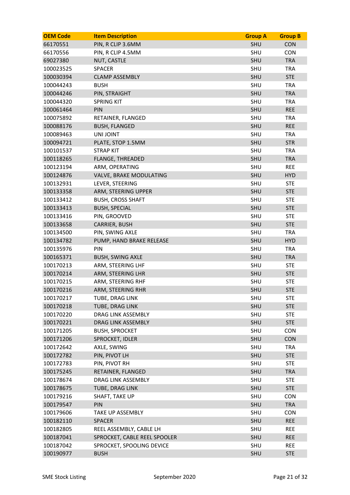| <b>OEM Code</b> | <b>Item Description</b>      | <b>Group A</b> | <b>Group B</b> |
|-----------------|------------------------------|----------------|----------------|
| 66170551        | PIN, R CLIP 3.6MM            | <b>SHU</b>     | <b>CON</b>     |
| 66170556        | PIN, R CLIP 4.5MM            | SHU            | <b>CON</b>     |
| 69027380        | NUT, CASTLE                  | SHU            | <b>TRA</b>     |
| 100023525       | <b>SPACER</b>                | SHU            | <b>TRA</b>     |
| 100030394       | <b>CLAMP ASSEMBLY</b>        | SHU            | <b>STE</b>     |
| 100044243       | <b>BUSH</b>                  | SHU            | <b>TRA</b>     |
| 100044246       | PIN, STRAIGHT                | SHU            | <b>TRA</b>     |
| 100044320       | <b>SPRING KIT</b>            | SHU            | <b>TRA</b>     |
| 100061464       | PIN                          | SHU            | <b>REE</b>     |
| 100075892       | RETAINER, FLANGED            | SHU            | <b>TRA</b>     |
| 100088176       | <b>BUSH, FLANGED</b>         | SHU            | <b>REE</b>     |
| 100089463       | <b>UNI JOINT</b>             | SHU            | <b>TRA</b>     |
| 100094721       | PLATE, STOP 1.5MM            | SHU            | <b>STR</b>     |
| 100101537       | <b>STRAP KIT</b>             | SHU            | <b>TRA</b>     |
| 100118265       | <b>FLANGE, THREADED</b>      | SHU            | <b>TRA</b>     |
| 100123194       | ARM, OPERATING               | SHU            | <b>REE</b>     |
| 100124876       | VALVE, BRAKE MODULATING      | SHU            | <b>HYD</b>     |
| 100132931       | LEVER, STEERING              | SHU            | <b>STE</b>     |
| 100133358       | ARM, STEERING UPPER          | SHU            | <b>STE</b>     |
| 100133412       | <b>BUSH, CROSS SHAFT</b>     | SHU            | <b>STE</b>     |
| 100133413       | <b>BUSH, SPECIAL</b>         | SHU            | <b>STE</b>     |
| 100133416       | PIN, GROOVED                 | SHU            | <b>STE</b>     |
| 100133658       | CARRIER, BUSH                | SHU            | <b>STE</b>     |
| 100134500       | PIN, SWING AXLE              | SHU            | <b>TRA</b>     |
| 100134782       | PUMP, HAND BRAKE RELEASE     | SHU            | <b>HYD</b>     |
| 100135976       | PIN                          | SHU            | <b>TRA</b>     |
| 100165371       | <b>BUSH, SWING AXLE</b>      | SHU            | <b>TRA</b>     |
| 100170213       | ARM, STEERING LHF            | SHU            | <b>STE</b>     |
| 100170214       | ARM, STEERING LHR            | SHU            | <b>STE</b>     |
| 100170215       | ARM, STEERING RHF            | SHU            | <b>STE</b>     |
| 100170216       | ARM, STEERING RHR            | SHU            | <b>STE</b>     |
| 100170217       | TUBE, DRAG LINK              | SHU            | <b>STE</b>     |
| 100170218       | TUBE, DRAG LINK              | SHU            | <b>STE</b>     |
| 100170220       | DRAG LINK ASSEMBLY           | SHU            | <b>STE</b>     |
| 100170221       | DRAG LINK ASSEMBLY           | SHU            | <b>STE</b>     |
| 100171205       | <b>BUSH, SPROCKET</b>        | SHU            | <b>CON</b>     |
| 100171206       | SPROCKET, IDLER              | SHU            | <b>CON</b>     |
| 100172642       | AXLE, SWING                  | SHU            | <b>TRA</b>     |
| 100172782       | PIN, PIVOT LH                | SHU            | <b>STE</b>     |
| 100172783       | PIN, PIVOT RH                | SHU            | <b>STE</b>     |
| 100175245       | RETAINER, FLANGED            | SHU            | <b>TRA</b>     |
| 100178674       | DRAG LINK ASSEMBLY           | SHU            | <b>STE</b>     |
| 100178675       | TUBE, DRAG LINK              | SHU            | <b>STE</b>     |
| 100179216       | SHAFT, TAKE UP               | SHU            | <b>CON</b>     |
| 100179547       | PIN                          | SHU            | <b>TRA</b>     |
| 100179606       | <b>TAKE UP ASSEMBLY</b>      | SHU            | <b>CON</b>     |
| 100182110       | <b>SPACER</b>                | SHU            | <b>REE</b>     |
| 100182805       | REEL ASSEMBLY, CABLE LH      | SHU            | <b>REE</b>     |
| 100187041       | SPROCKET, CABLE REEL SPOOLER | SHU            | <b>REE</b>     |
| 100187042       | SPROCKET, SPOOLING DEVICE    | SHU            | <b>REE</b>     |
| 100190977       | <b>BUSH</b>                  | SHU            | <b>STE</b>     |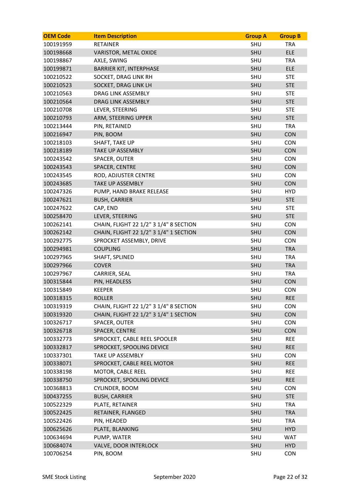| <b>OEM Code</b> | <b>Item Description</b>                | <b>Group A</b> | <b>Group B</b> |
|-----------------|----------------------------------------|----------------|----------------|
| 100191959       | <b>RETAINER</b>                        | SHU            | <b>TRA</b>     |
| 100198668       | VARISTOR, METAL OXIDE                  | SHU            | <b>ELE</b>     |
| 100198867       | AXLE, SWING                            | SHU            | <b>TRA</b>     |
| 100199871       | <b>BARRIER KIT, INTERPHASE</b>         | SHU            | <b>ELE</b>     |
| 100210522       | SOCKET, DRAG LINK RH                   | SHU            | <b>STE</b>     |
| 100210523       | SOCKET, DRAG LINK LH                   | SHU            | <b>STE</b>     |
| 100210563       | DRAG LINK ASSEMBLY                     | SHU            | <b>STE</b>     |
| 100210564       | DRAG LINK ASSEMBLY                     | SHU            | <b>STE</b>     |
| 100210708       | LEVER, STEERING                        | SHU            | <b>STE</b>     |
| 100210793       | ARM, STEERING UPPER                    | SHU            | <b>STE</b>     |
| 100213444       | PIN, RETAINED                          | SHU            | <b>TRA</b>     |
| 100216947       | PIN, BOOM                              | SHU            | <b>CON</b>     |
| 100218103       | <b>SHAFT, TAKE UP</b>                  | SHU            | <b>CON</b>     |
| 100218189       | <b>TAKE UP ASSEMBLY</b>                | SHU            | <b>CON</b>     |
| 100243542       | SPACER, OUTER                          | SHU            | <b>CON</b>     |
| 100243543       | SPACER, CENTRE                         | SHU            | <b>CON</b>     |
| 100243545       | ROD, ADJUSTER CENTRE                   | SHU            | <b>CON</b>     |
| 100243685       | <b>TAKE UP ASSEMBLY</b>                | SHU            | <b>CON</b>     |
| 100247326       | PUMP, HAND BRAKE RELEASE               | SHU            | <b>HYD</b>     |
| 100247621       | <b>BUSH, CARRIER</b>                   | SHU            | <b>STE</b>     |
| 100247622       | CAP, END                               | SHU            | <b>STE</b>     |
| 100258470       | LEVER, STEERING                        | SHU            | <b>STE</b>     |
| 100262141       | CHAIN, FLIGHT 22 1/2" 3 1/4" 8 SECTION | SHU            | <b>CON</b>     |
| 100262142       | CHAIN, FLIGHT 22 1/2" 3 1/4" 1 SECTION | SHU            | <b>CON</b>     |
| 100292775       | SPROCKET ASSEMBLY, DRIVE               | SHU            | <b>CON</b>     |
| 100294981       | <b>COUPLING</b>                        | SHU            | <b>TRA</b>     |
| 100297965       | SHAFT, SPLINED                         | SHU            | <b>TRA</b>     |
| 100297966       | <b>COVER</b>                           | SHU            | <b>TRA</b>     |
| 100297967       | CARRIER, SEAL                          | SHU            | <b>TRA</b>     |
| 100315844       | PIN, HEADLESS                          | SHU            | <b>CON</b>     |
| 100315849       | <b>KEEPER</b>                          | SHU            | <b>CON</b>     |
| 100318315       | <b>ROLLER</b>                          | <b>SHU</b>     | <b>REE</b>     |
| 100319319       | CHAIN, FLIGHT 22 1/2" 3 1/4" 8 SECTION | SHU            | <b>CON</b>     |
| 100319320       | CHAIN, FLIGHT 22 1/2" 3 1/4" 1 SECTION | SHU            | <b>CON</b>     |
| 100326717       | SPACER, OUTER                          | SHU            | <b>CON</b>     |
| 100326718       | SPACER, CENTRE                         | SHU            | <b>CON</b>     |
| 100332773       | SPROCKET, CABLE REEL SPOOLER           | SHU            | <b>REE</b>     |
| 100332817       | SPROCKET, SPOOLING DEVICE              | SHU            | <b>REE</b>     |
| 100337301       | TAKE UP ASSEMBLY                       | SHU            | <b>CON</b>     |
| 100338071       | SPROCKET, CABLE REEL MOTOR             | SHU            | <b>REE</b>     |
| 100338198       | MOTOR, CABLE REEL                      | SHU            | <b>REE</b>     |
| 100338750       | SPROCKET, SPOOLING DEVICE              | SHU            | <b>REE</b>     |
| 100368813       | CYLINDER, BOOM                         | SHU            | <b>CON</b>     |
| 100437255       | <b>BUSH, CARRIER</b>                   | SHU            | <b>STE</b>     |
| 100522329       | PLATE, RETAINER                        | SHU            | <b>TRA</b>     |
| 100522425       | RETAINER, FLANGED                      | SHU            | <b>TRA</b>     |
| 100522426       | PIN, HEADED                            | SHU            | <b>TRA</b>     |
| 100625626       | PLATE, BLANKING                        | SHU            | <b>HYD</b>     |
| 100634694       | PUMP, WATER                            | SHU            | <b>WAT</b>     |
| 100684074       | VALVE, DOOR INTERLOCK                  | SHU            | <b>HYD</b>     |
| 100706254       | PIN, BOOM                              | SHU            | <b>CON</b>     |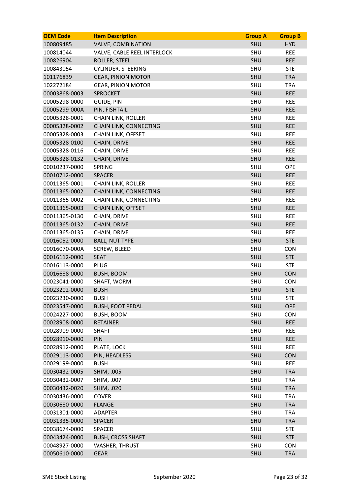| <b>OEM Code</b> | <b>Item Description</b>     | <b>Group A</b> | <b>Group B</b> |
|-----------------|-----------------------------|----------------|----------------|
| 100809485       | <b>VALVE, COMBINATION</b>   | <b>SHU</b>     | <b>HYD</b>     |
| 100814044       | VALVE, CABLE REEL INTERLOCK | SHU            | <b>REE</b>     |
| 100826904       | ROLLER, STEEL               | <b>SHU</b>     | <b>REE</b>     |
| 100843054       | <b>CYLINDER, STEERING</b>   | SHU            | <b>STE</b>     |
| 101176839       | <b>GEAR, PINION MOTOR</b>   | SHU            | <b>TRA</b>     |
| 102272184       | <b>GEAR, PINION MOTOR</b>   | SHU            | <b>TRA</b>     |
| 00003868-0003   | <b>SPROCKET</b>             | SHU            | <b>REE</b>     |
| 00005298-0000   | <b>GUIDE, PIN</b>           | SHU            | <b>REE</b>     |
| 00005299-000A   | PIN, FISHTAIL               | <b>SHU</b>     | <b>REE</b>     |
| 00005328-0001   | <b>CHAIN LINK, ROLLER</b>   | SHU            | <b>REE</b>     |
| 00005328-0002   | CHAIN LINK, CONNECTING      | SHU            | <b>REE</b>     |
| 00005328-0003   | CHAIN LINK, OFFSET          | SHU            | <b>REE</b>     |
| 00005328-0100   | CHAIN, DRIVE                | SHU            | <b>REE</b>     |
| 00005328-0116   | CHAIN, DRIVE                | SHU            | <b>REE</b>     |
| 00005328-0132   | CHAIN, DRIVE                | <b>SHU</b>     | <b>REE</b>     |
| 00010237-0000   | <b>SPRING</b>               | SHU            | <b>OPE</b>     |
| 00010712-0000   | <b>SPACER</b>               | <b>SHU</b>     | <b>REE</b>     |
| 00011365-0001   | <b>CHAIN LINK, ROLLER</b>   | SHU            | <b>REE</b>     |
| 00011365-0002   | CHAIN LINK, CONNECTING      | SHU            | <b>REE</b>     |
| 00011365-0002   | CHAIN LINK, CONNECTING      | <b>SHU</b>     | <b>REE</b>     |
| 00011365-0003   | <b>CHAIN LINK, OFFSET</b>   | <b>SHU</b>     | <b>REE</b>     |
| 00011365-0130   | CHAIN, DRIVE                | SHU            | <b>REE</b>     |
| 00011365-0132   | CHAIN, DRIVE                | <b>SHU</b>     | <b>REE</b>     |
| 00011365-0135   | CHAIN, DRIVE                | SHU            | <b>REE</b>     |
| 00016052-0000   | <b>BALL, NUT TYPE</b>       | SHU            | <b>STE</b>     |
| 00016070-000A   | <b>SCREW, BLEED</b>         | SHU            | <b>CON</b>     |
| 00016112-0000   | <b>SEAT</b>                 | SHU            | <b>STE</b>     |
| 00016113-0000   | <b>PLUG</b>                 | SHU            | <b>STE</b>     |
| 00016688-0000   | <b>BUSH, BOOM</b>           | <b>SHU</b>     | <b>CON</b>     |
| 00023041-0000   | SHAFT, WORM                 | SHU            | <b>CON</b>     |
| 00023202-0000   | <b>BUSH</b>                 | SHU            | <b>STE</b>     |
| 00023230-0000   | <b>BUSH</b>                 | SHU            | <b>STE</b>     |
| 00023547-0000   | <b>BUSH, FOOT PEDAL</b>     | SHU            | OPE            |
| 00024227-0000   | BUSH, BOOM                  | SHU            | <b>CON</b>     |
| 00028908-0000   | <b>RETAINER</b>             | SHU            | <b>REE</b>     |
| 00028909-0000   | <b>SHAFT</b>                | SHU            | <b>REE</b>     |
| 00028910-0000   | PIN                         | SHU            | <b>REE</b>     |
| 00028912-0000   | PLATE, LOCK                 | SHU            | <b>REE</b>     |
| 00029113-0000   | PIN, HEADLESS               | SHU            | <b>CON</b>     |
| 00029199-0000   | <b>BUSH</b>                 | SHU            | <b>REE</b>     |
| 00030432-0005   | SHIM, .005                  | SHU            | <b>TRA</b>     |
| 00030432-0007   | SHIM, .007                  | SHU            | <b>TRA</b>     |
| 00030432-0020   | SHIM, .020                  | SHU            | <b>TRA</b>     |
| 00030436-0000   | <b>COVER</b>                | SHU            | <b>TRA</b>     |
| 00030680-0000   | <b>FLANGE</b>               | SHU            | <b>TRA</b>     |
| 00031301-0000   | <b>ADAPTER</b>              | SHU            | <b>TRA</b>     |
| 00031335-0000   | <b>SPACER</b>               | SHU            | <b>TRA</b>     |
| 00038674-0000   | <b>SPACER</b>               | SHU            | <b>STE</b>     |
| 00043424-0000   | <b>BUSH, CROSS SHAFT</b>    | SHU            | <b>STE</b>     |
| 00048927-0000   | <b>WASHER, THRUST</b>       | SHU            | <b>CON</b>     |
| 00050610-0000   | <b>GEAR</b>                 | SHU            | <b>TRA</b>     |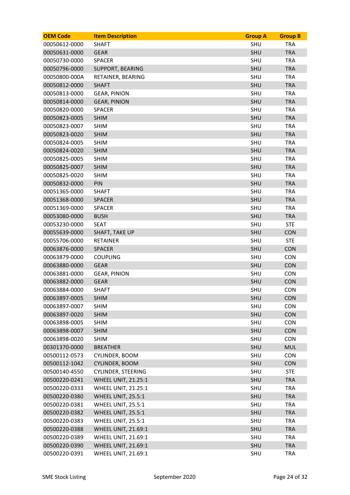| <b>OEM Code</b> | <b>Item Description</b>    | <b>Group A</b> | <b>Group B</b> |
|-----------------|----------------------------|----------------|----------------|
| 00050612-0000   | <b>SHAFT</b>               | <b>SHU</b>     | <b>TRA</b>     |
| 00050631-0000   | <b>GEAR</b>                | <b>SHU</b>     | <b>TRA</b>     |
| 00050730-0000   | <b>SPACER</b>              | SHU            | <b>TRA</b>     |
| 00050796-0000   | SUPPORT, BEARING           | <b>SHU</b>     | <b>TRA</b>     |
| 00050800-000A   | RETAINER, BEARING          | <b>SHU</b>     | <b>TRA</b>     |
| 00050812-0000   | <b>SHAFT</b>               | <b>SHU</b>     | <b>TRA</b>     |
| 00050813-0000   | <b>GEAR, PINION</b>        | SHU            | <b>TRA</b>     |
| 00050814-0000   | <b>GEAR, PINION</b>        | <b>SHU</b>     | <b>TRA</b>     |
| 00050820-0000   | <b>SPACER</b>              | <b>SHU</b>     | <b>TRA</b>     |
| 00050823-0005   | <b>SHIM</b>                | <b>SHU</b>     | <b>TRA</b>     |
| 00050823-0007   | <b>SHIM</b>                | <b>SHU</b>     | <b>TRA</b>     |
| 00050823-0020   | <b>SHIM</b>                | <b>SHU</b>     | <b>TRA</b>     |
| 00050824-0005   | <b>SHIM</b>                | SHU            | <b>TRA</b>     |
| 00050824-0020   | <b>SHIM</b>                | <b>SHU</b>     | <b>TRA</b>     |
| 00050825-0005   | <b>SHIM</b>                | SHU            | <b>TRA</b>     |
| 00050825-0007   | <b>SHIM</b>                | <b>SHU</b>     | <b>TRA</b>     |
| 00050825-0020   | <b>SHIM</b>                | SHU            | <b>TRA</b>     |
| 00050832-0000   | PIN                        | <b>SHU</b>     | <b>TRA</b>     |
| 00051365-0000   | <b>SHAFT</b>               | <b>SHU</b>     | <b>TRA</b>     |
| 00051368-0000   | <b>SPACER</b>              | <b>SHU</b>     | <b>TRA</b>     |
| 00051369-0000   | <b>SPACER</b>              | SHU            | <b>TRA</b>     |
| 00053080-0000   | <b>BUSH</b>                | <b>SHU</b>     | <b>TRA</b>     |
| 00053230-0000   | <b>SEAT</b>                | SHU            | <b>STE</b>     |
| 00055639-0000   | <b>SHAFT, TAKE UP</b>      | <b>SHU</b>     | <b>CON</b>     |
| 00055706-0000   | <b>RETAINER</b>            | <b>SHU</b>     | <b>STE</b>     |
| 00063876-0000   | <b>SPACER</b>              | <b>SHU</b>     | <b>CON</b>     |
| 00063879-0000   | <b>COUPLING</b>            | <b>SHU</b>     | CON            |
| 00063880-0000   | <b>GEAR</b>                | <b>SHU</b>     | <b>CON</b>     |
| 00063881-0000   | <b>GEAR, PINION</b>        | SHU            | <b>CON</b>     |
| 00063882-0000   | <b>GEAR</b>                | SHU            | <b>CON</b>     |
| 00063884-0000   | <b>SHAFT</b>               | SHU            | <b>CON</b>     |
| 00063897-0005   | <b>SHIM</b>                | <b>SHU</b>     | <b>CON</b>     |
| 00063897-0007   | <b>SHIM</b>                | <b>SHU</b>     | <b>CON</b>     |
| 00063897-0020   | <b>SHIM</b>                | <b>SHU</b>     | CON            |
| 00063898-0005   | <b>SHIM</b>                | SHU            | <b>CON</b>     |
| 00063898-0007   | <b>SHIM</b>                | <b>SHU</b>     | <b>CON</b>     |
| 00063898-0020   | <b>SHIM</b>                | SHU            | <b>CON</b>     |
| 00301370-0000   | <b>BREATHER</b>            | SHU            | <b>MUL</b>     |
| 00500112-0573   | CYLINDER, BOOM             | SHU            | <b>CON</b>     |
| 00500112-1042   | CYLINDER, BOOM             | SHU            | CON            |
| 00500140-4550   | <b>CYLINDER, STEERING</b>  | SHU            | <b>STE</b>     |
| 00500220-0241   | <b>WHEEL UNIT, 21.25:1</b> | <b>SHU</b>     | <b>TRA</b>     |
| 00500220-0333   | <b>WHEEL UNIT, 21.25:1</b> | SHU            | <b>TRA</b>     |
| 00500220-0380   | WHEEL UNIT, 25.5:1         | <b>SHU</b>     | <b>TRA</b>     |
| 00500220-0381   | WHEEL UNIT, 25.5:1         | SHU            | <b>TRA</b>     |
| 00500220-0382   | WHEEL UNIT, 25.5:1         | SHU            | <b>TRA</b>     |
| 00500220-0383   | WHEEL UNIT, 25.5:1         | SHU            | <b>TRA</b>     |
| 00500220-0388   | <b>WHEEL UNIT, 21.69:1</b> | <b>SHU</b>     | <b>TRA</b>     |
| 00500220-0389   | <b>WHEEL UNIT, 21.69:1</b> | SHU            | <b>TRA</b>     |
| 00500220-0390   | <b>WHEEL UNIT, 21.69:1</b> | <b>SHU</b>     | <b>TRA</b>     |
| 00500220-0391   | <b>WHEEL UNIT, 21.69:1</b> | SHU            | <b>TRA</b>     |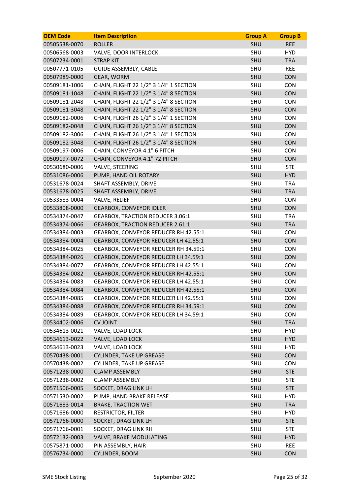| <b>OEM Code</b> | <b>Item Description</b>                 | <b>Group A</b> | <b>Group B</b> |
|-----------------|-----------------------------------------|----------------|----------------|
| 00505538-0070   | <b>ROLLER</b>                           | <b>SHU</b>     | <b>REE</b>     |
| 00506568-0003   | VALVE, DOOR INTERLOCK                   | SHU            | <b>HYD</b>     |
| 00507234-0001   | <b>STRAP KIT</b>                        | <b>SHU</b>     | <b>TRA</b>     |
| 00507771-0105   | <b>GUIDE ASSEMBLY, CABLE</b>            | SHU            | <b>REE</b>     |
| 00507989-0000   | GEAR, WORM                              | <b>SHU</b>     | <b>CON</b>     |
| 00509181-1006   | CHAIN, FLIGHT 22 1/2" 3 1/4" 1 SECTION  | SHU            | <b>CON</b>     |
| 00509181-1048   | CHAIN, FLIGHT 22 1/2" 3 1/4" 8 SECTION  | <b>SHU</b>     | <b>CON</b>     |
| 00509181-2048   | CHAIN, FLIGHT 22 1/2" 3 1/4" 8 SECTION  | SHU            | <b>CON</b>     |
| 00509181-3048   | CHAIN, FLIGHT 22 1/2" 3 1/4" 8 SECTION  | <b>SHU</b>     | CON            |
| 00509182-0006   | CHAIN, FLIGHT 26 1/2" 3 1/4" 1 SECTION  | SHU            | <b>CON</b>     |
| 00509182-0048   | CHAIN, FLIGHT 26 1/2" 3 1/4" 8 SECTION  | <b>SHU</b>     | <b>CON</b>     |
| 00509182-3006   | CHAIN, FLIGHT 26 1/2" 3 1/4" 1 SECTION  | SHU            | <b>CON</b>     |
| 00509182-3048   | CHAIN, FLIGHT 26 1/2" 3 1/4" 8 SECTION  | <b>SHU</b>     | CON            |
| 00509197-0006   | CHAIN, CONVEYOR 4.1" 6 PITCH            | SHU            | <b>CON</b>     |
| 00509197-0072   | CHAIN, CONVEYOR 4.1" 72 PITCH           | <b>SHU</b>     | CON            |
| 00530680-0006   | VALVE, STEERING                         | SHU            | <b>STE</b>     |
| 00531086-0006   | PUMP, HAND OIL ROTARY                   | <b>SHU</b>     | <b>HYD</b>     |
| 00531678-0024   | SHAFT ASSEMBLY, DRIVE                   | SHU            | <b>TRA</b>     |
| 00531678-0025   | SHAFT ASSEMBLY, DRIVE                   | <b>SHU</b>     | <b>TRA</b>     |
| 00533583-0004   | VALVE, RELIEF                           | SHU            | <b>CON</b>     |
| 00533808-0000   | <b>GEARBOX, CONVEYOR IDLER</b>          | <b>SHU</b>     | <b>CON</b>     |
| 00534374-0047   | <b>GEARBOX, TRACTION REDUCER 3.06:1</b> | SHU            | <b>TRA</b>     |
| 00534374-0066   | <b>GEARBOX, TRACTION REDUCER 2.61:1</b> | <b>SHU</b>     | <b>TRA</b>     |
| 00534384-0003   | GEARBOX, CONVEYOR REDUCER RH 42.55:1    | SHU            | <b>CON</b>     |
| 00534384-0004   | GEARBOX, CONVEYOR REDUCER LH 42.55:1    | <b>SHU</b>     | <b>CON</b>     |
| 00534384-0025   | GEARBOX, CONVEYOR REDUCER RH 34.59:1    | SHU            | <b>CON</b>     |
| 00534384-0026   | GEARBOX, CONVEYOR REDUCER LH 34.59:1    | SHU            | <b>CON</b>     |
| 00534384-0077   | GEARBOX, CONVEYOR REDUCER LH 42.55:1    | SHU            | <b>CON</b>     |
| 00534384-0082   | GEARBOX, CONVEYOR REDUCER RH 42.55:1    | <b>SHU</b>     | <b>CON</b>     |
| 00534384-0083   | GEARBOX, CONVEYOR REDUCER LH 42.55:1    | SHU            | <b>CON</b>     |
| 00534384-0084   | GEARBOX, CONVEYOR REDUCER RH 42.55:1    | <b>SHU</b>     | <b>CON</b>     |
| 00534384-0085   | GEARBOX, CONVEYOR REDUCER LH 42.55:1    | SHU            | <b>CON</b>     |
| 00534384-0088   | GEARBOX, CONVEYOR REDUCER RH 34.59:1    | SHU            | <b>CON</b>     |
| 00534384-0089   | GEARBOX, CONVEYOR REDUCER LH 34.59:1    | SHU            | <b>CON</b>     |
| 00534402-0006   | <b>CV JOINT</b>                         | <b>SHU</b>     | <b>TRA</b>     |
| 00534613-0021   | VALVE, LOAD LOCK                        | SHU            | <b>HYD</b>     |
| 00534613-0022   | VALVE, LOAD LOCK                        | <b>SHU</b>     | <b>HYD</b>     |
| 00534613-0023   | VALVE, LOAD LOCK                        | SHU            | <b>HYD</b>     |
| 00570438-0001   | <b>CYLINDER, TAKE UP GREASE</b>         | <b>SHU</b>     | <b>CON</b>     |
| 00570438-0002   | <b>CYLINDER, TAKE UP GREASE</b>         | SHU            | <b>CON</b>     |
| 00571238-0000   | <b>CLAMP ASSEMBLY</b>                   | SHU            | <b>STE</b>     |
| 00571238-0002   | <b>CLAMP ASSEMBLY</b>                   | SHU            | <b>STE</b>     |
| 00571506-0005   | SOCKET, DRAG LINK LH                    | <b>SHU</b>     | <b>STE</b>     |
| 00571530-0002   | PUMP, HAND BRAKE RELEASE                | SHU            | <b>HYD</b>     |
| 00571683-0014   | <b>BRAKE, TRACTION WET</b>              | <b>SHU</b>     | <b>TRA</b>     |
| 00571686-0000   | <b>RESTRICTOR, FILTER</b>               | SHU            | <b>HYD</b>     |
| 00571766-0000   | SOCKET, DRAG LINK LH                    | SHU            | <b>STE</b>     |
| 00571766-0001   | SOCKET, DRAG LINK RH                    | SHU            | <b>STE</b>     |
| 00572132-0003   | VALVE, BRAKE MODULATING                 | SHU            | <b>HYD</b>     |
| 00575871-0000   | PIN ASSEMBLY, HAIR                      | SHU            | <b>REE</b>     |
| 00576734-0000   | CYLINDER, BOOM                          | <b>SHU</b>     | <b>CON</b>     |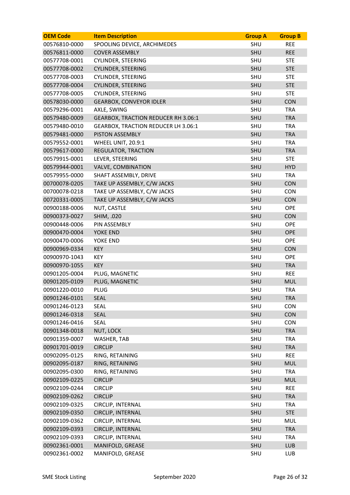| <b>OEM Code</b> | <b>Item Description</b>                    | <b>Group A</b> | <b>Group B</b> |
|-----------------|--------------------------------------------|----------------|----------------|
| 00576810-0000   | SPOOLING DEVICE, ARCHIMEDES                | SHU            | <b>REE</b>     |
| 00576811-0000   | <b>COVER ASSEMBLY</b>                      | SHU            | <b>REE</b>     |
| 00577708-0001   | <b>CYLINDER, STEERING</b>                  | SHU            | <b>STE</b>     |
| 00577708-0002   | <b>CYLINDER, STEERING</b>                  | SHU            | <b>STE</b>     |
| 00577708-0003   | <b>CYLINDER, STEERING</b>                  | SHU            | <b>STE</b>     |
| 00577708-0004   | <b>CYLINDER, STEERING</b>                  | <b>SHU</b>     | <b>STE</b>     |
| 00577708-0005   | <b>CYLINDER, STEERING</b>                  | SHU            | <b>STE</b>     |
| 00578030-0000   | <b>GEARBOX, CONVEYOR IDLER</b>             | <b>SHU</b>     | <b>CON</b>     |
| 00579296-0001   | AXLE, SWING                                | SHU            | <b>TRA</b>     |
| 00579480-0009   | <b>GEARBOX, TRACTION REDUCER RH 3.06:1</b> | SHU            | <b>TRA</b>     |
| 00579480-0010   | <b>GEARBOX, TRACTION REDUCER LH 3.06:1</b> | SHU            | <b>TRA</b>     |
| 00579481-0000   | PISTON ASSEMBLY                            | <b>SHU</b>     | <b>TRA</b>     |
| 00579552-0001   | WHEEL UNIT, 20.9:1                         | SHU            | <b>TRA</b>     |
| 00579617-0000   | <b>REGULATOR, TRACTION</b>                 | <b>SHU</b>     | <b>TRA</b>     |
| 00579915-0001   | LEVER, STEERING                            | <b>SHU</b>     | <b>STE</b>     |
| 00579944-0001   | <b>VALVE, COMBINATION</b>                  | SHU            | <b>HYD</b>     |
| 00579955-0000   | SHAFT ASSEMBLY, DRIVE                      | SHU            | <b>TRA</b>     |
| 00700078-0205   | TAKE UP ASSEMBLY, C/W JACKS                | <b>SHU</b>     | CON            |
| 00700078-0218   | TAKE UP ASSEMBLY, C/W JACKS                | SHU            | <b>CON</b>     |
| 00720331-0005   | TAKE UP ASSEMBLY, C/W JACKS                | <b>SHU</b>     | <b>CON</b>     |
| 00900188-0006   | NUT, CASTLE                                | SHU            | OPE            |
| 00900373-0027   | SHIM, .020                                 | <b>SHU</b>     | <b>CON</b>     |
| 00900448-0006   | PIN ASSEMBLY                               | SHU            | OPE            |
| 00900470-0004   | YOKE END                                   | SHU            | <b>OPE</b>     |
| 00900470-0006   | <b>YOKE END</b>                            | SHU            | OPE            |
| 00900969-0334   | <b>KEY</b>                                 | SHU            | <b>CON</b>     |
| 00900970-1043   | <b>KEY</b>                                 | SHU            | OPE            |
| 00900970-1055   | <b>KEY</b>                                 | <b>SHU</b>     | <b>TRA</b>     |
| 00901205-0004   | PLUG, MAGNETIC                             | SHU            | <b>REE</b>     |
| 00901205-0109   | PLUG, MAGNETIC                             | SHU            | <b>MUL</b>     |
| 00901220-0010   | <b>PLUG</b>                                | SHU            | <b>TRA</b>     |
| 00901246-0101   | <b>SEAL</b>                                | <b>SHU</b>     | <b>TRA</b>     |
| 00901246-0123   | <b>SEAL</b>                                | SHU            | CON            |
| 00901246-0318   | <b>SEAL</b>                                | SHU            | <b>CON</b>     |
| 00901246-0416   | <b>SEAL</b>                                | SHU            | <b>CON</b>     |
| 00901348-0018   | NUT, LOCK                                  | SHU            | <b>TRA</b>     |
| 00901359-0007   | WASHER, TAB                                | SHU            | <b>TRA</b>     |
| 00901701-0019   | <b>CIRCLIP</b>                             | SHU            | <b>TRA</b>     |
| 00902095-0125   | RING, RETAINING                            | SHU            | <b>REE</b>     |
| 00902095-0187   | RING, RETAINING                            | SHU            | <b>MUL</b>     |
| 00902095-0300   | RING, RETAINING                            | SHU            | <b>TRA</b>     |
| 00902109-0225   | <b>CIRCLIP</b>                             | <b>SHU</b>     | <b>MUL</b>     |
| 00902109-0244   | <b>CIRCLIP</b>                             | SHU            | <b>REE</b>     |
| 00902109-0262   | <b>CIRCLIP</b>                             | SHU            | <b>TRA</b>     |
| 00902109-0325   | CIRCLIP, INTERNAL                          | SHU            | <b>TRA</b>     |
| 00902109-0350   | CIRCLIP, INTERNAL                          | SHU            | <b>STE</b>     |
| 00902109-0362   | CIRCLIP, INTERNAL                          | SHU            | <b>MUL</b>     |
| 00902109-0393   | CIRCLIP, INTERNAL                          | SHU            | <b>TRA</b>     |
| 00902109-0393   | CIRCLIP, INTERNAL                          | SHU            | <b>TRA</b>     |
| 00902361-0001   | MANIFOLD, GREASE                           | SHU            | <b>LUB</b>     |
| 00902361-0002   | MANIFOLD, GREASE                           | SHU            | <b>LUB</b>     |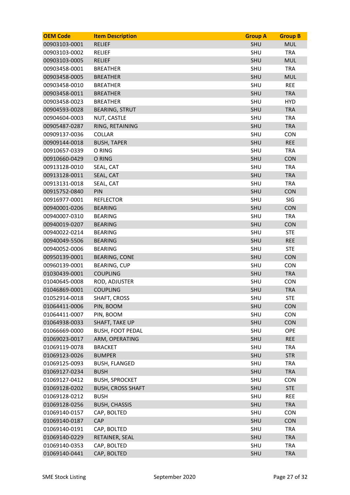| <b>OEM Code</b> | <b>Item Description</b>  | <b>Group A</b> | <b>Group B</b> |
|-----------------|--------------------------|----------------|----------------|
| 00903103-0001   | <b>RELIEF</b>            | <b>SHU</b>     | <b>MUL</b>     |
| 00903103-0002   | <b>RELIEF</b>            | SHU            | <b>TRA</b>     |
| 00903103-0005   | <b>RELIEF</b>            | <b>SHU</b>     | <b>MUL</b>     |
| 00903458-0001   | <b>BREATHER</b>          | SHU            | <b>TRA</b>     |
| 00903458-0005   | <b>BREATHER</b>          | <b>SHU</b>     | <b>MUL</b>     |
| 00903458-0010   | <b>BREATHER</b>          | SHU            | <b>REE</b>     |
| 00903458-0011   | <b>BREATHER</b>          | <b>SHU</b>     | <b>TRA</b>     |
| 00903458-0023   | <b>BREATHER</b>          | SHU            | <b>HYD</b>     |
| 00904593-0028   | <b>BEARING, STRUT</b>    | <b>SHU</b>     | <b>TRA</b>     |
| 00904604-0003   | NUT, CASTLE              | SHU            | <b>TRA</b>     |
| 00905487-0287   | RING, RETAINING          | SHU            | <b>TRA</b>     |
| 00909137-0036   | <b>COLLAR</b>            | SHU            | <b>CON</b>     |
| 00909144-0018   | <b>BUSH, TAPER</b>       | SHU            | <b>REE</b>     |
| 00910657-0339   | O RING                   | SHU            | <b>TRA</b>     |
| 00910660-0429   | O RING                   | <b>SHU</b>     | <b>CON</b>     |
| 00913128-0010   | SEAL, CAT                | SHU            | <b>TRA</b>     |
| 00913128-0011   | SEAL, CAT                | <b>SHU</b>     | <b>TRA</b>     |
| 00913131-0018   | SEAL, CAT                | SHU            | <b>TRA</b>     |
| 00915752-0840   | PIN                      | SHU            | CON            |
| 00916977-0001   | <b>REFLECTOR</b>         | SHU            | <b>SIG</b>     |
| 00940001-0206   | <b>BEARING</b>           | SHU            | CON            |
| 00940007-0310   | <b>BEARING</b>           | <b>SHU</b>     | <b>TRA</b>     |
| 00940019-0207   | <b>BEARING</b>           | <b>SHU</b>     | <b>CON</b>     |
| 00940022-0214   | <b>BEARING</b>           | SHU            | <b>STE</b>     |
| 00940049-5506   | <b>BEARING</b>           | SHU            | <b>REE</b>     |
| 00940052-0006   | <b>BEARING</b>           | SHU            | <b>STE</b>     |
| 00950139-0001   | <b>BEARING, CONE</b>     | SHU            | <b>CON</b>     |
| 00960139-0001   | <b>BEARING, CUP</b>      | SHU            | <b>CON</b>     |
| 01030439-0001   | <b>COUPLING</b>          | <b>SHU</b>     | <b>TRA</b>     |
| 01040645-0008   | ROD, ADJUSTER            | SHU            | <b>CON</b>     |
| 01046869-0001   | <b>COUPLING</b>          | <b>SHU</b>     | <b>TRA</b>     |
| 01052914-0018   | SHAFT, CROSS             | SHU            | <b>STE</b>     |
| 01064411-0006   | PIN, BOOM                | SHU            | CON            |
| 01064411-0007   | PIN, BOOM                | SHU            | <b>CON</b>     |
| 01064938-0033   | <b>SHAFT, TAKE UP</b>    | <b>SHU</b>     | <b>CON</b>     |
| 01066669-0000   | <b>BUSH, FOOT PEDAL</b>  | <b>SHU</b>     | OPE            |
| 01069023-0017   | ARM, OPERATING           | SHU            | <b>REE</b>     |
| 01069119-0078   | <b>BRACKET</b>           | SHU            | <b>TRA</b>     |
| 01069123-0026   | <b>BUMPER</b>            | SHU            | <b>STR</b>     |
| 01069125-0093   | <b>BUSH, FLANGED</b>     | SHU            | <b>TRA</b>     |
| 01069127-0234   | <b>BUSH</b>              | SHU            | <b>TRA</b>     |
| 01069127-0412   | <b>BUSH, SPROCKET</b>    | SHU            | <b>CON</b>     |
| 01069128-0202   | <b>BUSH, CROSS SHAFT</b> | SHU            | <b>STE</b>     |
| 01069128-0212   | <b>BUSH</b>              | SHU            | <b>REE</b>     |
| 01069128-0256   | <b>BUSH, CHASSIS</b>     | SHU            | <b>TRA</b>     |
| 01069140-0157   | CAP, BOLTED              | SHU            | <b>CON</b>     |
| 01069140-0187   | CAP                      | SHU            | <b>CON</b>     |
| 01069140-0191   | CAP, BOLTED              | SHU            | <b>TRA</b>     |
| 01069140-0229   | RETAINER, SEAL           | SHU            | <b>TRA</b>     |
| 01069140-0353   | CAP, BOLTED              | SHU            | <b>TRA</b>     |
| 01069140-0441   | CAP, BOLTED              | SHU            | <b>TRA</b>     |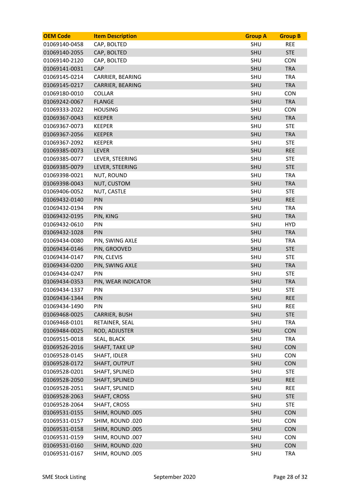| <b>OEM Code</b> | <b>Item Description</b> | <b>Group A</b> | <b>Group B</b> |
|-----------------|-------------------------|----------------|----------------|
| 01069140-0458   | CAP, BOLTED             | <b>SHU</b>     | <b>REE</b>     |
| 01069140-2055   | CAP, BOLTED             | SHU            | <b>STE</b>     |
| 01069140-2120   | CAP, BOLTED             | SHU            | <b>CON</b>     |
| 01069141-0031   | CAP                     | <b>SHU</b>     | <b>TRA</b>     |
| 01069145-0214   | CARRIER, BEARING        | SHU            | <b>TRA</b>     |
| 01069145-0217   | CARRIER, BEARING        | <b>SHU</b>     | <b>TRA</b>     |
| 01069180-0010   | <b>COLLAR</b>           | SHU            | <b>CON</b>     |
| 01069242-0067   | <b>FLANGE</b>           | SHU            | <b>TRA</b>     |
| 01069333-2022   | <b>HOUSING</b>          | <b>SHU</b>     | <b>CON</b>     |
| 01069367-0043   | <b>KEEPER</b>           | <b>SHU</b>     | <b>TRA</b>     |
| 01069367-0073   | <b>KEEPER</b>           | SHU            | <b>STE</b>     |
| 01069367-2056   | <b>KEEPER</b>           | <b>SHU</b>     | <b>TRA</b>     |
| 01069367-2092   | <b>KEEPER</b>           | SHU            | <b>STE</b>     |
| 01069385-0073   | <b>LEVER</b>            | <b>SHU</b>     | <b>REE</b>     |
| 01069385-0077   | LEVER, STEERING         | <b>SHU</b>     | <b>STE</b>     |
| 01069385-0079   | LEVER, STEERING         | SHU            | <b>STE</b>     |
| 01069398-0021   | <b>NUT, ROUND</b>       | <b>SHU</b>     | <b>TRA</b>     |
| 01069398-0043   | NUT, CUSTOM             | <b>SHU</b>     | <b>TRA</b>     |
| 01069406-0052   | NUT, CASTLE             | SHU            | <b>STE</b>     |
| 01069432-0140   | PIN                     | <b>SHU</b>     | <b>REE</b>     |
| 01069432-0194   | PIN                     | <b>SHU</b>     | <b>TRA</b>     |
| 01069432-0195   | PIN, KING               | <b>SHU</b>     | <b>TRA</b>     |
| 01069432-0610   | PIN                     | <b>SHU</b>     | <b>HYD</b>     |
| 01069432-1028   | PIN                     | <b>SHU</b>     | <b>TRA</b>     |
| 01069434-0080   | PIN, SWING AXLE         | SHU            | <b>TRA</b>     |
| 01069434-0146   | PIN, GROOVED            | <b>SHU</b>     | <b>STE</b>     |
| 01069434-0147   | PIN, CLEVIS             | SHU            | <b>STE</b>     |
| 01069434-0200   | PIN, SWING AXLE         | <b>SHU</b>     | <b>TRA</b>     |
| 01069434-0247   | PIN                     | SHU            | <b>STE</b>     |
| 01069434-0353   | PIN, WEAR INDICATOR     | SHU            | <b>TRA</b>     |
| 01069434-1337   | PIN                     | SHU            | <b>STE</b>     |
| 01069434-1344   | PIN                     | <b>SHU</b>     | <b>REE</b>     |
| 01069434-1490   | PIN                     | SHU            | <b>REE</b>     |
| 01069468-0025   | CARRIER, BUSH           | SHU            | <b>STE</b>     |
| 01069468-0101   | RETAINER, SEAL          | SHU            | <b>TRA</b>     |
| 01069484-0025   | ROD, ADJUSTER           | SHU            | CON            |
| 01069515-0018   | SEAL, BLACK             | SHU            | <b>TRA</b>     |
| 01069526-2016   | <b>SHAFT, TAKE UP</b>   | <b>SHU</b>     | <b>CON</b>     |
| 01069528-0145   | SHAFT, IDLER            | SHU            | <b>CON</b>     |
| 01069528-0172   | SHAFT, OUTPUT           | <b>SHU</b>     | CON            |
| 01069528-0201   | SHAFT, SPLINED          | SHU            | <b>STE</b>     |
| 01069528-2050   | SHAFT, SPLINED          | <b>SHU</b>     | <b>REE</b>     |
| 01069528-2051   | SHAFT, SPLINED          | SHU            | <b>REE</b>     |
| 01069528-2063   | SHAFT, CROSS            | SHU            | <b>STE</b>     |
| 01069528-2064   | SHAFT, CROSS            | SHU            | <b>STE</b>     |
| 01069531-0155   | SHIM, ROUND .005        | <b>SHU</b>     | <b>CON</b>     |
| 01069531-0157   | SHIM, ROUND .020        | SHU            | <b>CON</b>     |
| 01069531-0158   | SHIM, ROUND .005        | SHU            | CON            |
| 01069531-0159   | SHIM, ROUND .007        | SHU            | <b>CON</b>     |
| 01069531-0160   | SHIM, ROUND .020        | SHU            | <b>CON</b>     |
| 01069531-0167   | SHIM, ROUND .005        | SHU            | <b>TRA</b>     |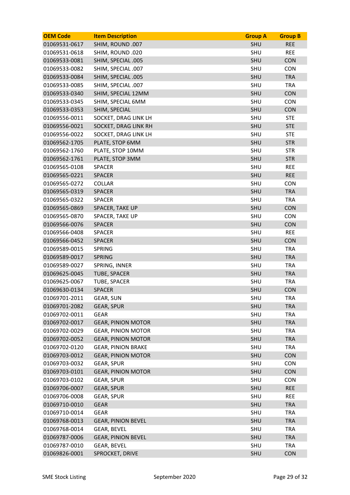| <b>OEM Code</b> | <b>Item Description</b>   | <b>Group A</b> | <b>Group B</b> |
|-----------------|---------------------------|----------------|----------------|
| 01069531-0617   | SHIM, ROUND .007          | <b>SHU</b>     | <b>REE</b>     |
| 01069531-0618   | SHIM, ROUND .020          | SHU            | <b>REE</b>     |
| 01069533-0081   | SHIM, SPECIAL .005        | <b>SHU</b>     | <b>CON</b>     |
| 01069533-0082   | SHIM, SPECIAL .007        | SHU            | <b>CON</b>     |
| 01069533-0084   | SHIM, SPECIAL .005        | <b>SHU</b>     | <b>TRA</b>     |
| 01069533-0085   | SHIM, SPECIAL .007        | SHU            | <b>TRA</b>     |
| 01069533-0340   | SHIM, SPECIAL 12MM        | <b>SHU</b>     | <b>CON</b>     |
| 01069533-0345   | SHIM, SPECIAL 6MM         | SHU            | <b>CON</b>     |
| 01069533-0353   | SHIM, SPECIAL             | <b>SHU</b>     | <b>CON</b>     |
| 01069556-0011   | SOCKET, DRAG LINK LH      | SHU            | <b>STE</b>     |
| 01069556-0021   | SOCKET, DRAG LINK RH      | <b>SHU</b>     | <b>STE</b>     |
| 01069556-0022   | SOCKET, DRAG LINK LH      | <b>SHU</b>     | <b>STE</b>     |
| 01069562-1705   | PLATE, STOP 6MM           | <b>SHU</b>     | <b>STR</b>     |
| 01069562-1760   | PLATE, STOP 10MM          | SHU            | <b>STR</b>     |
| 01069562-1761   | PLATE, STOP 3MM           | <b>SHU</b>     | <b>STR</b>     |
| 01069565-0108   | <b>SPACER</b>             | SHU            | <b>REE</b>     |
| 01069565-0221   | <b>SPACER</b>             | <b>SHU</b>     | <b>REE</b>     |
| 01069565-0272   | <b>COLLAR</b>             | SHU            | <b>CON</b>     |
| 01069565-0319   | <b>SPACER</b>             | SHU            | <b>TRA</b>     |
| 01069565-0322   | <b>SPACER</b>             | SHU            | <b>TRA</b>     |
| 01069565-0869   | SPACER, TAKE UP           | <b>SHU</b>     | CON            |
| 01069565-0870   | SPACER, TAKE UP           | SHU            | <b>CON</b>     |
| 01069566-0076   | <b>SPACER</b>             | <b>SHU</b>     | <b>CON</b>     |
| 01069566-0408   | <b>SPACER</b>             | SHU            | <b>REE</b>     |
| 01069566-0452   | <b>SPACER</b>             | SHU            | <b>CON</b>     |
| 01069589-0015   | <b>SPRING</b>             | <b>SHU</b>     | <b>TRA</b>     |
| 01069589-0017   | <b>SPRING</b>             | SHU            | <b>TRA</b>     |
| 01069589-0027   | SPRING, INNER             | SHU            | <b>TRA</b>     |
| 01069625-0045   | TUBE, SPACER              | <b>SHU</b>     | <b>TRA</b>     |
| 01069625-0067   | TUBE, SPACER              | SHU            | <b>TRA</b>     |
| 01069630-0134   | <b>SPACER</b>             | <b>SHU</b>     | <b>CON</b>     |
| 01069701-2011   | <b>GEAR, SUN</b>          | SHU            | <b>TRA</b>     |
| 01069701-2082   | <b>GEAR, SPUR</b>         | SHU            | <b>TRA</b>     |
| 01069702-0011   | <b>GEAR</b>               | SHU            | <b>TRA</b>     |
| 01069702-0017   | <b>GEAR, PINION MOTOR</b> | <b>SHU</b>     | <b>TRA</b>     |
| 01069702-0029   | <b>GEAR, PINION MOTOR</b> | SHU            | <b>TRA</b>     |
| 01069702-0052   | <b>GEAR, PINION MOTOR</b> | <b>SHU</b>     | <b>TRA</b>     |
| 01069702-0120   | <b>GEAR, PINION BRAKE</b> | SHU            | <b>TRA</b>     |
| 01069703-0012   | <b>GEAR, PINION MOTOR</b> | SHU            | <b>CON</b>     |
| 01069703-0032   | <b>GEAR, SPUR</b>         | SHU            | <b>CON</b>     |
| 01069703-0101   | <b>GEAR, PINION MOTOR</b> | <b>SHU</b>     | <b>CON</b>     |
| 01069703-0102   | <b>GEAR, SPUR</b>         | SHU            | <b>CON</b>     |
| 01069706-0007   | <b>GEAR, SPUR</b>         | SHU            | <b>REE</b>     |
| 01069706-0008   | <b>GEAR, SPUR</b>         | SHU            | <b>REE</b>     |
| 01069710-0010   | <b>GEAR</b>               | SHU            | <b>TRA</b>     |
| 01069710-0014   | <b>GEAR</b>               | SHU            | <b>TRA</b>     |
| 01069768-0013   | <b>GEAR, PINION BEVEL</b> | SHU            | <b>TRA</b>     |
| 01069768-0014   | <b>GEAR, BEVEL</b>        | SHU            | <b>TRA</b>     |
| 01069787-0006   | <b>GEAR, PINION BEVEL</b> | <b>SHU</b>     | <b>TRA</b>     |
| 01069787-0010   | <b>GEAR, BEVEL</b>        | SHU            | <b>TRA</b>     |
| 01069826-0001   | SPROCKET, DRIVE           | SHU            | <b>CON</b>     |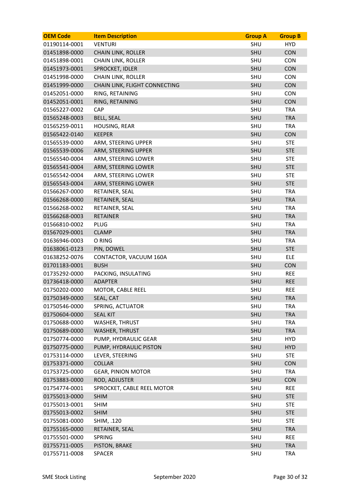| <b>OEM Code</b> | <b>Item Description</b>       | <b>Group A</b> | <b>Group B</b> |
|-----------------|-------------------------------|----------------|----------------|
| 01190114-0001   | <b>VENTURI</b>                | <b>SHU</b>     | <b>HYD</b>     |
| 01451898-0000   | <b>CHAIN LINK, ROLLER</b>     | SHU            | <b>CON</b>     |
| 01451898-0001   | <b>CHAIN LINK, ROLLER</b>     | SHU            | <b>CON</b>     |
| 01451973-0001   | SPROCKET, IDLER               | <b>SHU</b>     | <b>CON</b>     |
| 01451998-0000   | <b>CHAIN LINK, ROLLER</b>     | SHU            | <b>CON</b>     |
| 01451999-0000   | CHAIN LINK, FLIGHT CONNECTING | <b>SHU</b>     | <b>CON</b>     |
| 01452051-0000   | RING, RETAINING               | SHU            | <b>CON</b>     |
| 01452051-0001   | RING, RETAINING               | <b>SHU</b>     | <b>CON</b>     |
| 01565227-0002   | CAP                           | SHU            | <b>TRA</b>     |
| 01565248-0003   | <b>BELL, SEAL</b>             | <b>SHU</b>     | <b>TRA</b>     |
| 01565259-0011   | HOUSING, REAR                 | SHU            | <b>TRA</b>     |
| 01565422-0140   | <b>KEEPER</b>                 | <b>SHU</b>     | <b>CON</b>     |
| 01565539-0000   | ARM, STEERING UPPER           | SHU            | <b>STE</b>     |
| 01565539-0006   | ARM, STEERING UPPER           | <b>SHU</b>     | <b>STE</b>     |
| 01565540-0004   | ARM, STEERING LOWER           | <b>SHU</b>     | <b>STE</b>     |
| 01565541-0004   | ARM, STEERING LOWER           | <b>SHU</b>     | <b>STE</b>     |
| 01565542-0004   | ARM, STEERING LOWER           | <b>SHU</b>     | <b>STE</b>     |
| 01565543-0004   | ARM, STEERING LOWER           | SHU            | <b>STE</b>     |
| 01566267-0000   | RETAINER, SEAL                | SHU            | <b>TRA</b>     |
| 01566268-0000   | RETAINER, SEAL                | <b>SHU</b>     | <b>TRA</b>     |
| 01566268-0002   | RETAINER, SEAL                | SHU            | <b>TRA</b>     |
| 01566268-0003   | <b>RETAINER</b>               | <b>SHU</b>     | <b>TRA</b>     |
| 01566810-0002   | <b>PLUG</b>                   | SHU            | <b>TRA</b>     |
| 01567029-0001   | <b>CLAMP</b>                  | SHU            | <b>TRA</b>     |
| 01636946-0003   | O RING                        | SHU            | <b>TRA</b>     |
| 01638061-0123   | PIN, DOWEL                    | <b>SHU</b>     | <b>STE</b>     |
| 01638252-0076   | CONTACTOR, VACUUM 160A        | SHU            | <b>ELE</b>     |
| 01701183-0001   | <b>BUSH</b>                   | <b>SHU</b>     | <b>CON</b>     |
| 01735292-0000   | PACKING, INSULATING           | SHU            | <b>REE</b>     |
| 01736418-0000   | <b>ADAPTER</b>                | SHU            | <b>REE</b>     |
| 01750202-0000   | MOTOR, CABLE REEL             | SHU            | <b>REE</b>     |
| 01750349-0000   | SEAL, CAT                     | <b>SHU</b>     | <b>TRA</b>     |
| 01750546-0000   | SPRING, ACTUATOR              | SHU            | <b>TRA</b>     |
| 01750604-0000   | <b>SEAL KIT</b>               | <b>SHU</b>     | <b>TRA</b>     |
| 01750688-0000   | WASHER, THRUST                | SHU            | <b>TRA</b>     |
| 01750689-0000   | <b>WASHER, THRUST</b>         | SHU            | <b>TRA</b>     |
| 01750774-0000   | PUMP, HYDRAULIC GEAR          | SHU            | <b>HYD</b>     |
| 01750775-0000   | PUMP, HYDRAULIC PISTON        | SHU            | <b>HYD</b>     |
| 01753114-0000   | LEVER, STEERING               | SHU            | <b>STE</b>     |
| 01753371-0000   | <b>COLLAR</b>                 | <b>SHU</b>     | <b>CON</b>     |
| 01753725-0000   | <b>GEAR, PINION MOTOR</b>     | SHU            | <b>TRA</b>     |
| 01753883-0000   | ROD, ADJUSTER                 | <b>SHU</b>     | <b>CON</b>     |
| 01754774-0001   | SPROCKET, CABLE REEL MOTOR    | SHU            | <b>REE</b>     |
| 01755013-0000   | <b>SHIM</b>                   | SHU            | <b>STE</b>     |
| 01755013-0001   | <b>SHIM</b>                   | SHU            | <b>STE</b>     |
| 01755013-0002   | <b>SHIM</b>                   | <b>SHU</b>     | <b>STE</b>     |
| 01755081-0000   | SHIM, .120                    | SHU            | <b>STE</b>     |
| 01755165-0000   | RETAINER, SEAL                | <b>SHU</b>     | <b>TRA</b>     |
| 01755501-0000   | <b>SPRING</b>                 | SHU            | <b>REE</b>     |
| 01755711-0005   | PISTON, BRAKE                 | SHU            | <b>TRA</b>     |
| 01755711-0008   | <b>SPACER</b>                 | SHU            | <b>TRA</b>     |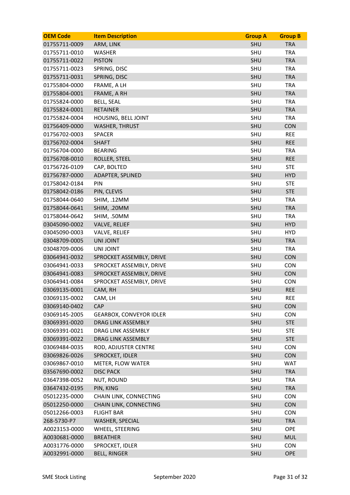| <b>OEM Code</b> | <b>Item Description</b>        | <b>Group A</b> | <b>Group B</b> |
|-----------------|--------------------------------|----------------|----------------|
| 01755711-0009   | ARM, LINK                      | <b>SHU</b>     | <b>TRA</b>     |
| 01755711-0010   | <b>WASHER</b>                  | SHU            | <b>TRA</b>     |
| 01755711-0022   | <b>PISTON</b>                  | <b>SHU</b>     | <b>TRA</b>     |
| 01755711-0023   | SPRING, DISC                   | SHU            | <b>TRA</b>     |
| 01755711-0031   | SPRING, DISC                   | <b>SHU</b>     | <b>TRA</b>     |
| 01755804-0000   | FRAME, A LH                    | SHU            | <b>TRA</b>     |
| 01755804-0001   | FRAME, A RH                    | <b>SHU</b>     | <b>TRA</b>     |
| 01755824-0000   | <b>BELL, SEAL</b>              | SHU            | <b>TRA</b>     |
| 01755824-0001   | <b>RETAINER</b>                | <b>SHU</b>     | <b>TRA</b>     |
| 01755824-0004   | HOUSING, BELL JOINT            | SHU            | <b>TRA</b>     |
| 01756409-0000   | <b>WASHER, THRUST</b>          | <b>SHU</b>     | <b>CON</b>     |
| 01756702-0003   | <b>SPACER</b>                  | <b>SHU</b>     | <b>REE</b>     |
| 01756702-0004   | <b>SHAFT</b>                   | <b>SHU</b>     | <b>REE</b>     |
| 01756704-0000   | <b>BEARING</b>                 | SHU            | <b>TRA</b>     |
| 01756708-0010   | ROLLER, STEEL                  | <b>SHU</b>     | <b>REE</b>     |
| 01756726-0109   | CAP, BOLTED                    | SHU            | <b>STE</b>     |
| 01756787-0000   | ADAPTER, SPLINED               | <b>SHU</b>     | <b>HYD</b>     |
| 01758042-0184   | PIN                            | SHU            | <b>STE</b>     |
| 01758042-0186   | PIN, CLEVIS                    | SHU            | <b>STE</b>     |
| 01758044-0640   | SHIM, .12MM                    | <b>SHU</b>     | <b>TRA</b>     |
| 01758044-0641   | SHIM, .20MM                    | <b>SHU</b>     | <b>TRA</b>     |
| 01758044-0642   | SHIM, .50MM                    | SHU            | <b>TRA</b>     |
| 03045090-0002   | <b>VALVE, RELIEF</b>           | <b>SHU</b>     | <b>HYD</b>     |
| 03045090-0003   | VALVE, RELIEF                  | SHU            | <b>HYD</b>     |
| 03048709-0005   | <b>UNI JOINT</b>               | <b>SHU</b>     | <b>TRA</b>     |
| 03048709-0006   | UNI JOINT                      | SHU            | <b>TRA</b>     |
| 03064941-0032   | SPROCKET ASSEMBLY, DRIVE       | SHU            | CON            |
| 03064941-0033   | SPROCKET ASSEMBLY, DRIVE       | SHU            | <b>CON</b>     |
| 03064941-0083   | SPROCKET ASSEMBLY, DRIVE       | <b>SHU</b>     | <b>CON</b>     |
| 03064941-0084   | SPROCKET ASSEMBLY, DRIVE       | SHU            | <b>CON</b>     |
| 03069135-0001   | CAM, RH                        | <b>SHU</b>     | <b>REE</b>     |
| 03069135-0002   | CAM, LH                        | SHU            | <b>REE</b>     |
| 03069140-0402   | CAP                            | SHU            | CON            |
| 03069145-2005   | <b>GEARBOX, CONVEYOR IDLER</b> | SHU            | <b>CON</b>     |
| 03069391-0020   | DRAG LINK ASSEMBLY             | <b>SHU</b>     | <b>STE</b>     |
| 03069391-0021   | DRAG LINK ASSEMBLY             | SHU            | <b>STE</b>     |
| 03069391-0022   | DRAG LINK ASSEMBLY             | SHU            | <b>STE</b>     |
| 03069484-0035   | ROD, ADJUSTER CENTRE           | SHU            | <b>CON</b>     |
| 03069826-0026   | SPROCKET, IDLER                | SHU            | <b>CON</b>     |
| 03069867-0010   | METER, FLOW WATER              | SHU            | <b>WAT</b>     |
| 03567690-0002   | <b>DISC PACK</b>               | SHU            | <b>TRA</b>     |
| 03647398-0052   | <b>NUT, ROUND</b>              | SHU            | <b>TRA</b>     |
| 03647432-0195   | PIN, KING                      | <b>SHU</b>     | <b>TRA</b>     |
| 05012235-0000   | CHAIN LINK, CONNECTING         | SHU            | <b>CON</b>     |
| 05012250-0000   | CHAIN LINK, CONNECTING         | SHU            | <b>CON</b>     |
| 05012266-0003   | <b>FLIGHT BAR</b>              | SHU            | <b>CON</b>     |
| 268-5730-P7     | WASHER, SPECIAL                | SHU            | <b>TRA</b>     |
| A0023153-0000   | WHEEL, STEERING                | SHU            | OPE            |
| A0030681-0000   | <b>BREATHER</b>                | SHU            | <b>MUL</b>     |
| A0031776-0000   | SPROCKET, IDLER                | SHU            | <b>CON</b>     |
| A0032991-0000   | <b>BELL, RINGER</b>            | SHU            | <b>OPE</b>     |